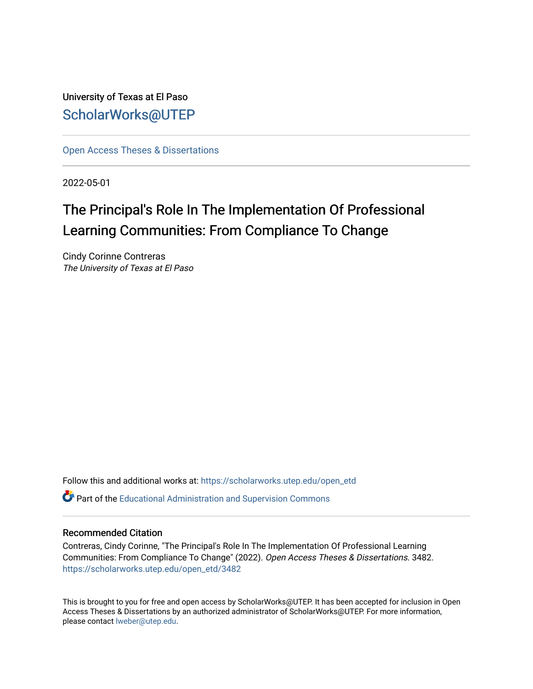University of Texas at El Paso [ScholarWorks@UTEP](https://scholarworks.utep.edu/)

[Open Access Theses & Dissertations](https://scholarworks.utep.edu/open_etd) 

2022-05-01

# The Principal's Role In The Implementation Of Professional Learning Communities: From Compliance To Change

Cindy Corinne Contreras The University of Texas at El Paso

Follow this and additional works at: [https://scholarworks.utep.edu/open\\_etd](https://scholarworks.utep.edu/open_etd?utm_source=scholarworks.utep.edu%2Fopen_etd%2F3482&utm_medium=PDF&utm_campaign=PDFCoverPages)

**P** Part of the [Educational Administration and Supervision Commons](https://network.bepress.com/hgg/discipline/787?utm_source=scholarworks.utep.edu%2Fopen_etd%2F3482&utm_medium=PDF&utm_campaign=PDFCoverPages)

#### Recommended Citation

Contreras, Cindy Corinne, "The Principal's Role In The Implementation Of Professional Learning Communities: From Compliance To Change" (2022). Open Access Theses & Dissertations. 3482. [https://scholarworks.utep.edu/open\\_etd/3482](https://scholarworks.utep.edu/open_etd/3482?utm_source=scholarworks.utep.edu%2Fopen_etd%2F3482&utm_medium=PDF&utm_campaign=PDFCoverPages) 

This is brought to you for free and open access by ScholarWorks@UTEP. It has been accepted for inclusion in Open Access Theses & Dissertations by an authorized administrator of ScholarWorks@UTEP. For more information, please contact [lweber@utep.edu.](mailto:lweber@utep.edu)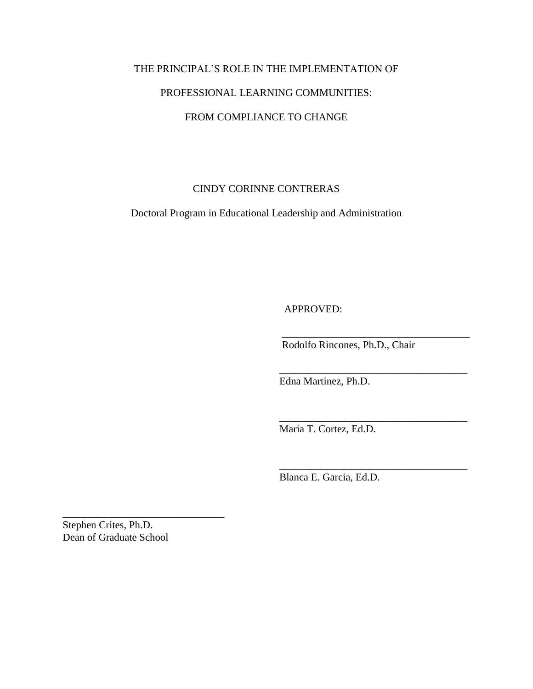# THE PRINCIPAL'S ROLE IN THE IMPLEMENTATION OF PROFESSIONAL LEARNING COMMUNITIES: FROM COMPLIANCE TO CHANGE

## CINDY CORINNE CONTRERAS

Doctoral Program in Educational Leadership and Administration

APPROVED:

Rodolfo Rincones, Ph.D., Chair

 $\overline{\phantom{a}}$  ,  $\overline{\phantom{a}}$  ,  $\overline{\phantom{a}}$  ,  $\overline{\phantom{a}}$  ,  $\overline{\phantom{a}}$  ,  $\overline{\phantom{a}}$  ,  $\overline{\phantom{a}}$  ,  $\overline{\phantom{a}}$  ,  $\overline{\phantom{a}}$  ,  $\overline{\phantom{a}}$  ,  $\overline{\phantom{a}}$  ,  $\overline{\phantom{a}}$  ,  $\overline{\phantom{a}}$  ,  $\overline{\phantom{a}}$  ,  $\overline{\phantom{a}}$  ,  $\overline{\phantom{a}}$ 

\_\_\_\_\_\_\_\_\_\_\_\_\_\_\_\_\_\_\_\_\_\_\_\_\_\_\_\_\_\_\_\_\_\_\_\_

Edna Martinez, Ph.D.

Maria T. Cortez, Ed.D.

 $\overline{\phantom{a}}$  ,  $\overline{\phantom{a}}$  ,  $\overline{\phantom{a}}$  ,  $\overline{\phantom{a}}$  ,  $\overline{\phantom{a}}$  ,  $\overline{\phantom{a}}$  ,  $\overline{\phantom{a}}$  ,  $\overline{\phantom{a}}$  ,  $\overline{\phantom{a}}$  ,  $\overline{\phantom{a}}$  ,  $\overline{\phantom{a}}$  ,  $\overline{\phantom{a}}$  ,  $\overline{\phantom{a}}$  ,  $\overline{\phantom{a}}$  ,  $\overline{\phantom{a}}$  ,  $\overline{\phantom{a}}$ 

 $\overline{\phantom{a}}$  ,  $\overline{\phantom{a}}$  ,  $\overline{\phantom{a}}$  ,  $\overline{\phantom{a}}$  ,  $\overline{\phantom{a}}$  ,  $\overline{\phantom{a}}$  ,  $\overline{\phantom{a}}$  ,  $\overline{\phantom{a}}$  ,  $\overline{\phantom{a}}$  ,  $\overline{\phantom{a}}$  ,  $\overline{\phantom{a}}$  ,  $\overline{\phantom{a}}$  ,  $\overline{\phantom{a}}$  ,  $\overline{\phantom{a}}$  ,  $\overline{\phantom{a}}$  ,  $\overline{\phantom{a}}$ 

Blanca E. Garcia, Ed.D.

Stephen Crites, Ph.D. Dean of Graduate School

\_\_\_\_\_\_\_\_\_\_\_\_\_\_\_\_\_\_\_\_\_\_\_\_\_\_\_\_\_\_\_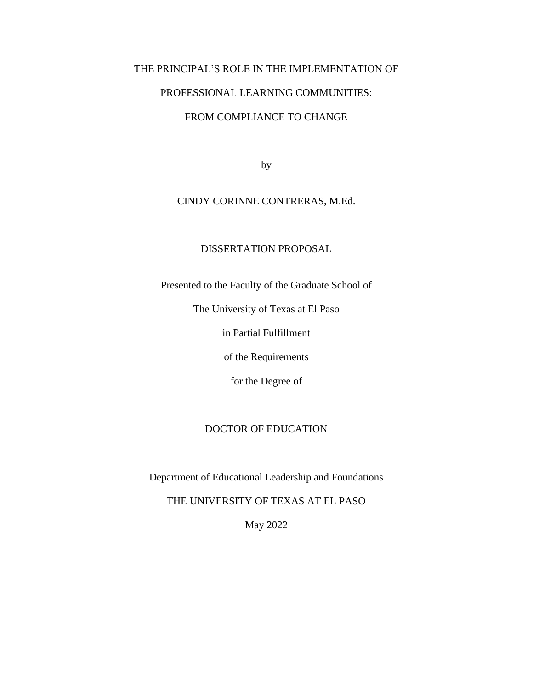# THE PRINCIPAL'S ROLE IN THE IMPLEMENTATION OF PROFESSIONAL LEARNING COMMUNITIES: FROM COMPLIANCE TO CHANGE

by

## CINDY CORINNE CONTRERAS, M.Ed.

## DISSERTATION PROPOSAL

Presented to the Faculty of the Graduate School of

The University of Texas at El Paso

in Partial Fulfillment

of the Requirements

for the Degree of

### DOCTOR OF EDUCATION

Department of Educational Leadership and Foundations

THE UNIVERSITY OF TEXAS AT EL PASO

May 2022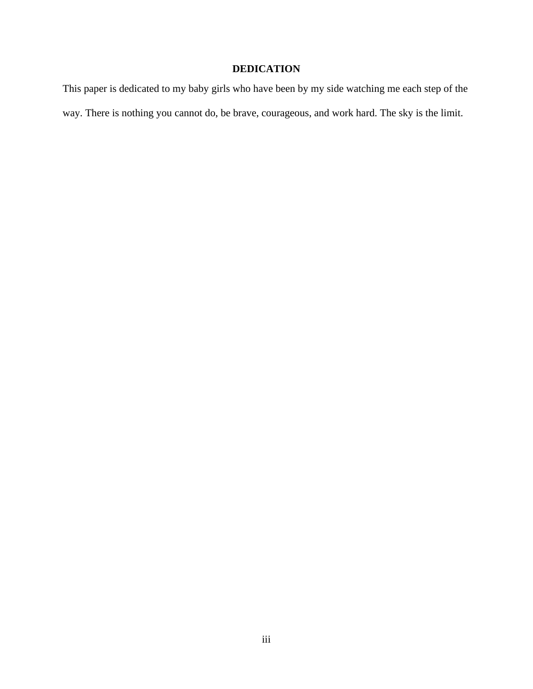# **DEDICATION**

This paper is dedicated to my baby girls who have been by my side watching me each step of the way. There is nothing you cannot do, be brave, courageous, and work hard. The sky is the limit.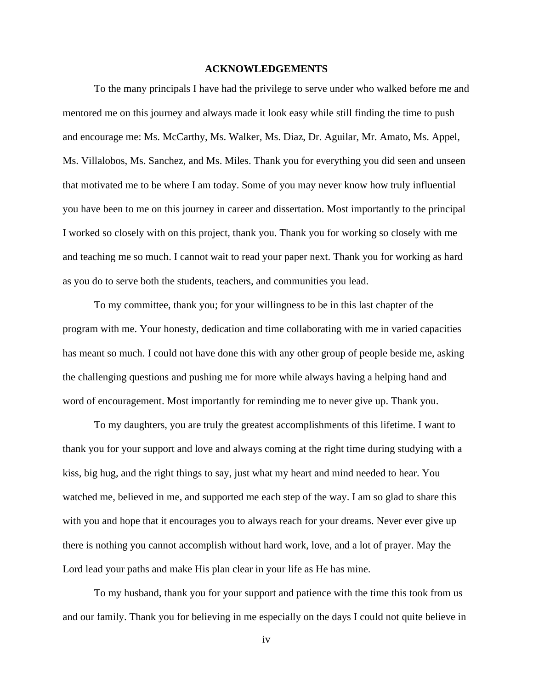#### **ACKNOWLEDGEMENTS**

To the many principals I have had the privilege to serve under who walked before me and mentored me on this journey and always made it look easy while still finding the time to push and encourage me: Ms. McCarthy, Ms. Walker, Ms. Diaz, Dr. Aguilar, Mr. Amato, Ms. Appel, Ms. Villalobos, Ms. Sanchez, and Ms. Miles. Thank you for everything you did seen and unseen that motivated me to be where I am today. Some of you may never know how truly influential you have been to me on this journey in career and dissertation. Most importantly to the principal I worked so closely with on this project, thank you. Thank you for working so closely with me and teaching me so much. I cannot wait to read your paper next. Thank you for working as hard as you do to serve both the students, teachers, and communities you lead.

To my committee, thank you; for your willingness to be in this last chapter of the program with me. Your honesty, dedication and time collaborating with me in varied capacities has meant so much. I could not have done this with any other group of people beside me, asking the challenging questions and pushing me for more while always having a helping hand and word of encouragement. Most importantly for reminding me to never give up. Thank you.

To my daughters, you are truly the greatest accomplishments of this lifetime. I want to thank you for your support and love and always coming at the right time during studying with a kiss, big hug, and the right things to say, just what my heart and mind needed to hear. You watched me, believed in me, and supported me each step of the way. I am so glad to share this with you and hope that it encourages you to always reach for your dreams. Never ever give up there is nothing you cannot accomplish without hard work, love, and a lot of prayer. May the Lord lead your paths and make His plan clear in your life as He has mine.

To my husband, thank you for your support and patience with the time this took from us and our family. Thank you for believing in me especially on the days I could not quite believe in

iv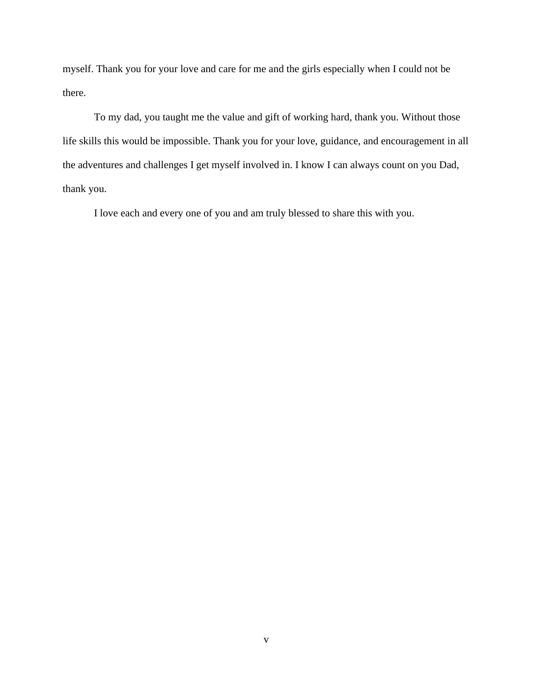myself. Thank you for your love and care for me and the girls especially when I could not be there.

To my dad, you taught me the value and gift of working hard, thank you. Without those life skills this would be impossible. Thank you for your love, guidance, and encouragement in all the adventures and challenges I get myself involved in. I know I can always count on you Dad, thank you.

I love each and every one of you and am truly blessed to share this with you.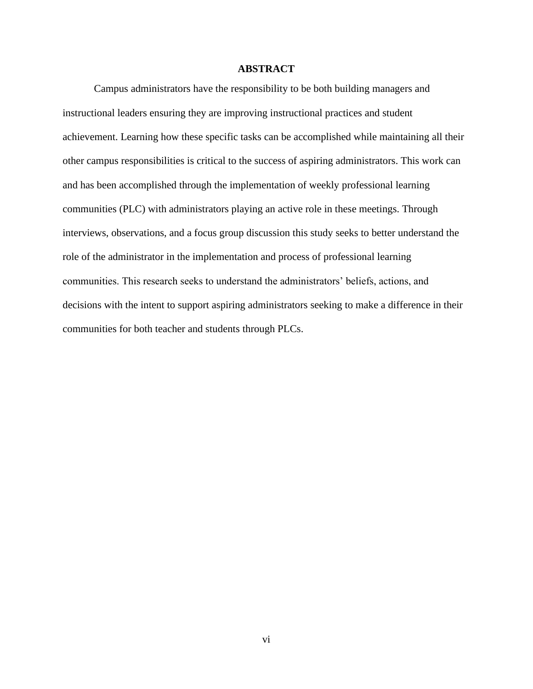### **ABSTRACT**

Campus administrators have the responsibility to be both building managers and instructional leaders ensuring they are improving instructional practices and student achievement. Learning how these specific tasks can be accomplished while maintaining all their other campus responsibilities is critical to the success of aspiring administrators. This work can and has been accomplished through the implementation of weekly professional learning communities (PLC) with administrators playing an active role in these meetings. Through interviews, observations, and a focus group discussion this study seeks to better understand the role of the administrator in the implementation and process of professional learning communities. This research seeks to understand the administrators' beliefs, actions, and decisions with the intent to support aspiring administrators seeking to make a difference in their communities for both teacher and students through PLCs.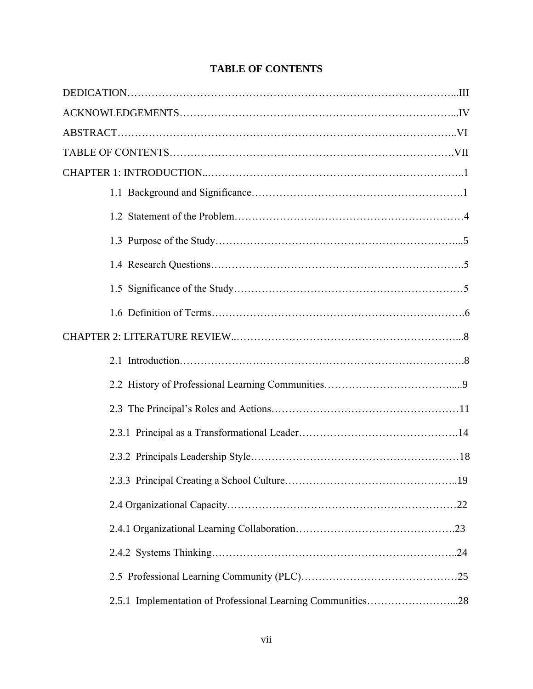|  | 2.5.1 Implementation of Professional Learning Communities28 |  |
|--|-------------------------------------------------------------|--|

# **TABLE OF CONTENTS**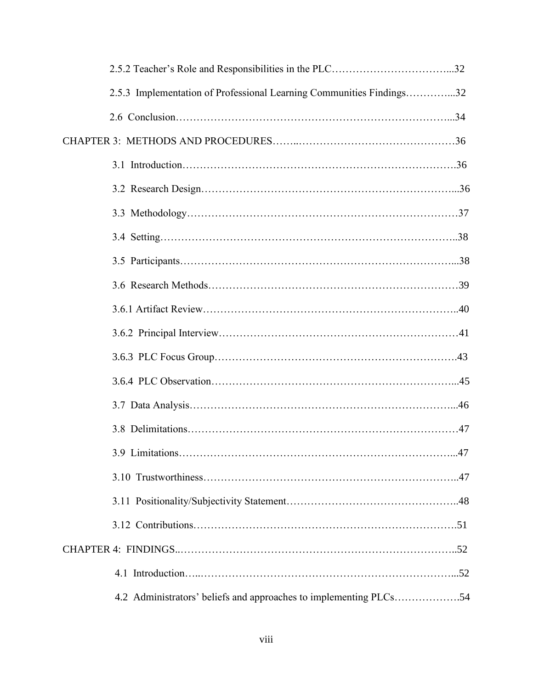| 2.5.3 Implementation of Professional Learning Communities Findings32 |  |
|----------------------------------------------------------------------|--|
|                                                                      |  |
|                                                                      |  |
|                                                                      |  |
|                                                                      |  |
|                                                                      |  |
|                                                                      |  |
|                                                                      |  |
|                                                                      |  |
|                                                                      |  |
|                                                                      |  |
|                                                                      |  |
|                                                                      |  |
|                                                                      |  |
|                                                                      |  |
|                                                                      |  |
|                                                                      |  |
|                                                                      |  |
|                                                                      |  |
|                                                                      |  |
|                                                                      |  |
| 4.2 Administrators' beliefs and approaches to implementing PLCs54    |  |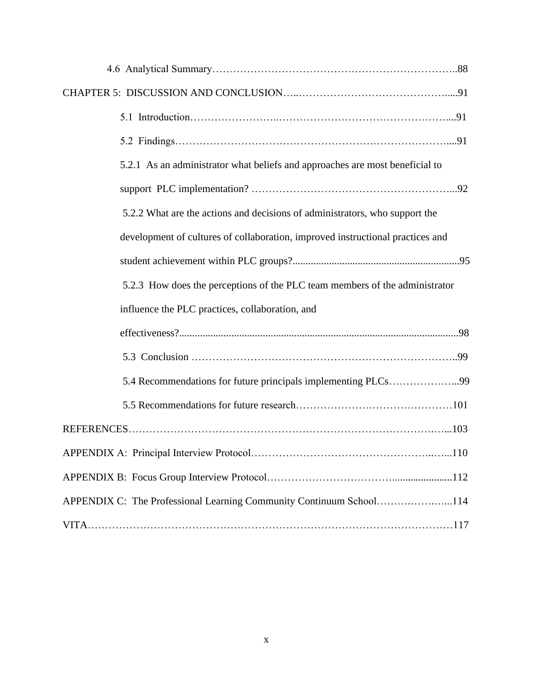| 5.2.1 As an administrator what beliefs and approaches are most beneficial to   |
|--------------------------------------------------------------------------------|
|                                                                                |
| 5.2.2 What are the actions and decisions of administrators, who support the    |
| development of cultures of collaboration, improved instructional practices and |
|                                                                                |
| 5.2.3 How does the perceptions of the PLC team members of the administrator    |
| influence the PLC practices, collaboration, and                                |
|                                                                                |
|                                                                                |
| 5.4 Recommendations for future principals implementing PLCs99                  |
|                                                                                |
|                                                                                |
|                                                                                |
|                                                                                |
| APPENDIX C: The Professional Learning Community Continuum School114            |
|                                                                                |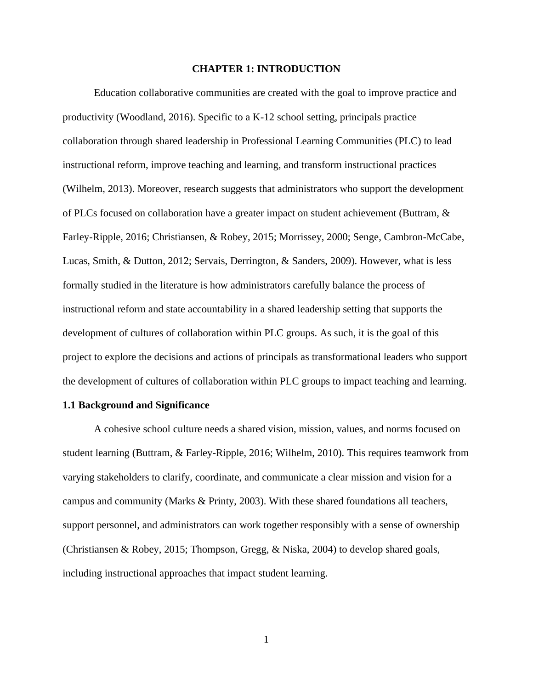#### **CHAPTER 1: INTRODUCTION**

Education collaborative communities are created with the goal to improve practice and productivity (Woodland, 2016). Specific to a K-12 school setting, principals practice collaboration through shared leadership in Professional Learning Communities (PLC) to lead instructional reform, improve teaching and learning, and transform instructional practices (Wilhelm, 2013). Moreover, research suggests that administrators who support the development of PLCs focused on collaboration have a greater impact on student achievement (Buttram, & Farley-Ripple, 2016; Christiansen, & Robey, 2015; Morrissey, 2000; Senge, Cambron-McCabe, Lucas, Smith, & Dutton, 2012; Servais, Derrington, & Sanders, 2009). However, what is less formally studied in the literature is how administrators carefully balance the process of instructional reform and state accountability in a shared leadership setting that supports the development of cultures of collaboration within PLC groups. As such, it is the goal of this project to explore the decisions and actions of principals as transformational leaders who support the development of cultures of collaboration within PLC groups to impact teaching and learning.

#### **1.1 Background and Significance**

A cohesive school culture needs a shared vision, mission, values, and norms focused on student learning (Buttram, & Farley-Ripple, 2016; Wilhelm, 2010). This requires teamwork from varying stakeholders to clarify, coordinate, and communicate a clear mission and vision for a campus and community (Marks & Printy, 2003). With these shared foundations all teachers, support personnel, and administrators can work together responsibly with a sense of ownership (Christiansen & Robey, 2015; Thompson, Gregg, & Niska, 2004) to develop shared goals, including instructional approaches that impact student learning.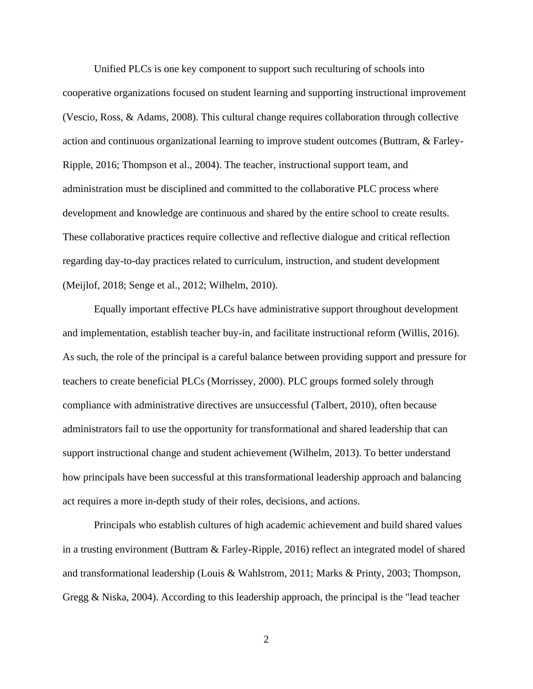Unified PLCs is one key component to support such reculturing of schools into cooperative organizations focused on student learning and supporting instructional improvement (Vescio, Ross, & Adams, 2008). This cultural change requires collaboration through collective action and continuous organizational learning to improve student outcomes (Buttram, & Farley-Ripple, 2016; Thompson et al., 2004). The teacher, instructional support team, and administration must be disciplined and committed to the collaborative PLC process where development and knowledge are continuous and shared by the entire school to create results. These collaborative practices require collective and reflective dialogue and critical reflection regarding day-to-day practices related to curriculum, instruction, and student development (Meijlof, 2018; Senge et al., 2012; Wilhelm, 2010).

Equally important effective PLCs have administrative support throughout development and implementation, establish teacher buy-in, and facilitate instructional reform (Willis, 2016). As such, the role of the principal is a careful balance between providing support and pressure for teachers to create beneficial PLCs (Morrissey, 2000). PLC groups formed solely through compliance with administrative directives are unsuccessful (Talbert, 2010), often because administrators fail to use the opportunity for transformational and shared leadership that can support instructional change and student achievement (Wilhelm, 2013). To better understand how principals have been successful at this transformational leadership approach and balancing act requires a more in-depth study of their roles, decisions, and actions.

Principals who establish cultures of high academic achievement and build shared values in a trusting environment (Buttram & Farley-Ripple, 2016) reflect an integrated model of shared and transformational leadership (Louis & Wahlstrom, 2011; Marks & Printy, 2003; Thompson, Gregg & Niska, 2004). According to this leadership approach, the principal is the "lead teacher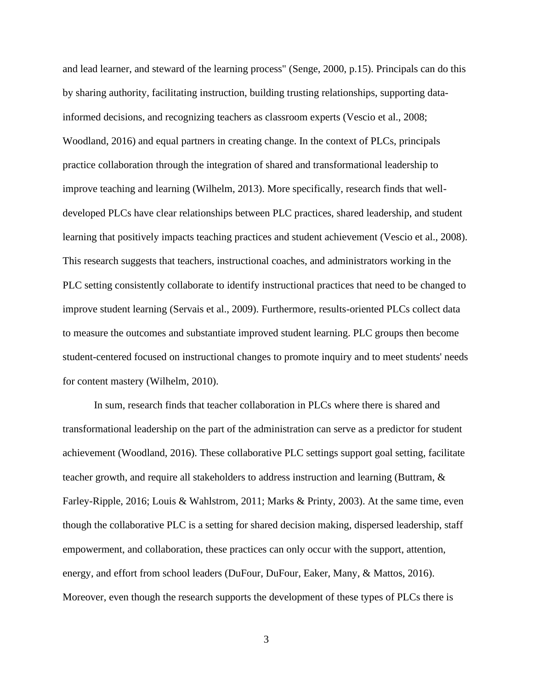and lead learner, and steward of the learning process" (Senge, 2000, p.15). Principals can do this by sharing authority, facilitating instruction, building trusting relationships, supporting datainformed decisions, and recognizing teachers as classroom experts (Vescio et al., 2008; Woodland, 2016) and equal partners in creating change. In the context of PLCs, principals practice collaboration through the integration of shared and transformational leadership to improve teaching and learning (Wilhelm, 2013). More specifically, research finds that welldeveloped PLCs have clear relationships between PLC practices, shared leadership, and student learning that positively impacts teaching practices and student achievement (Vescio et al., 2008). This research suggests that teachers, instructional coaches, and administrators working in the PLC setting consistently collaborate to identify instructional practices that need to be changed to improve student learning (Servais et al., 2009). Furthermore, results-oriented PLCs collect data to measure the outcomes and substantiate improved student learning. PLC groups then become student-centered focused on instructional changes to promote inquiry and to meet students' needs for content mastery (Wilhelm, 2010).

In sum, research finds that teacher collaboration in PLCs where there is shared and transformational leadership on the part of the administration can serve as a predictor for student achievement (Woodland, 2016). These collaborative PLC settings support goal setting, facilitate teacher growth, and require all stakeholders to address instruction and learning (Buttram, & Farley-Ripple, 2016; Louis & Wahlstrom, 2011; Marks & Printy, 2003). At the same time, even though the collaborative PLC is a setting for shared decision making, dispersed leadership, staff empowerment, and collaboration, these practices can only occur with the support, attention, energy, and effort from school leaders (DuFour, DuFour, Eaker, Many, & Mattos, 2016). Moreover, even though the research supports the development of these types of PLCs there is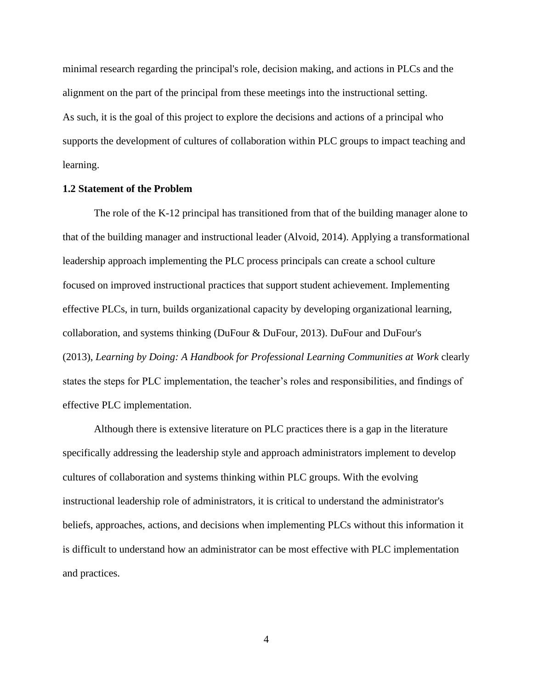minimal research regarding the principal's role, decision making, and actions in PLCs and the alignment on the part of the principal from these meetings into the instructional setting. As such, it is the goal of this project to explore the decisions and actions of a principal who supports the development of cultures of collaboration within PLC groups to impact teaching and learning.

#### **1.2 Statement of the Problem**

The role of the K-12 principal has transitioned from that of the building manager alone to that of the building manager and instructional leader (Alvoid, 2014). Applying a transformational leadership approach implementing the PLC process principals can create a school culture focused on improved instructional practices that support student achievement. Implementing effective PLCs, in turn, builds organizational capacity by developing organizational learning, collaboration, and systems thinking (DuFour & DuFour, 2013). DuFour and DuFour's (2013), *Learning by Doing: A Handbook for Professional Learning Communities at Work* clearly states the steps for PLC implementation, the teacher's roles and responsibilities, and findings of effective PLC implementation.

Although there is extensive literature on PLC practices there is a gap in the literature specifically addressing the leadership style and approach administrators implement to develop cultures of collaboration and systems thinking within PLC groups. With the evolving instructional leadership role of administrators, it is critical to understand the administrator's beliefs, approaches, actions, and decisions when implementing PLCs without this information it is difficult to understand how an administrator can be most effective with PLC implementation and practices.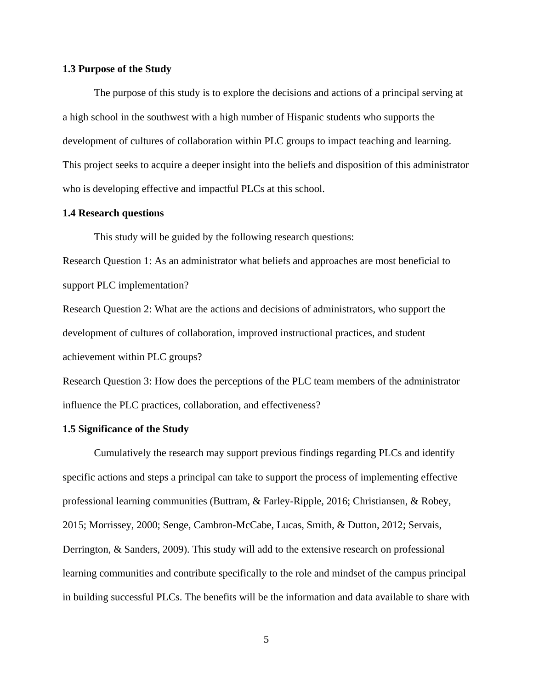#### **1.3 Purpose of the Study**

The purpose of this study is to explore the decisions and actions of a principal serving at a high school in the southwest with a high number of Hispanic students who supports the development of cultures of collaboration within PLC groups to impact teaching and learning. This project seeks to acquire a deeper insight into the beliefs and disposition of this administrator who is developing effective and impactful PLCs at this school.

#### **1.4 Research questions**

This study will be guided by the following research questions:

Research Question 1: As an administrator what beliefs and approaches are most beneficial to support PLC implementation?

Research Question 2: What are the actions and decisions of administrators, who support the development of cultures of collaboration, improved instructional practices, and student achievement within PLC groups?

Research Question 3: How does the perceptions of the PLC team members of the administrator influence the PLC practices, collaboration, and effectiveness?

#### **1.5 Significance of the Study**

Cumulatively the research may support previous findings regarding PLCs and identify specific actions and steps a principal can take to support the process of implementing effective professional learning communities (Buttram, & Farley-Ripple, 2016; Christiansen, & Robey, 2015; Morrissey, 2000; Senge, Cambron-McCabe, Lucas, Smith, & Dutton, 2012; Servais, Derrington, & Sanders, 2009). This study will add to the extensive research on professional learning communities and contribute specifically to the role and mindset of the campus principal in building successful PLCs. The benefits will be the information and data available to share with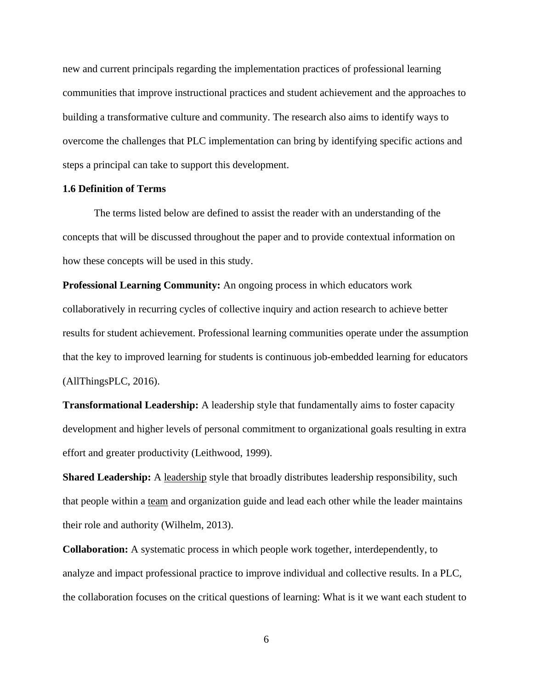new and current principals regarding the implementation practices of professional learning communities that improve instructional practices and student achievement and the approaches to building a transformative culture and community. The research also aims to identify ways to overcome the challenges that PLC implementation can bring by identifying specific actions and steps a principal can take to support this development.

#### **1.6 Definition of Terms**

The terms listed below are defined to assist the reader with an understanding of the concepts that will be discussed throughout the paper and to provide contextual information on how these concepts will be used in this study.

**Professional Learning Community:** An ongoing process in which educators work collaboratively in recurring cycles of collective inquiry and action research to achieve better results for student achievement. Professional learning communities operate under the assumption that the key to improved learning for students is continuous job-embedded learning for educators (AllThingsPLC, 2016).

**Transformational Leadership:** A leadership style that fundamentally aims to foster capacity development and higher levels of personal commitment to organizational goals resulting in extra effort and greater productivity (Leithwood, 1999).

**Shared Leadership:** A [leadership](https://en.wikipedia.org/wiki/Leadership) style that broadly distributes leadership responsibility, such that people within a [team](https://en.wikipedia.org/wiki/Team) and organization guide and lead each other while the leader maintains their role and authority (Wilhelm, 2013).

**Collaboration:** A systematic process in which people work together, interdependently, to analyze and impact professional practice to improve individual and collective results. In a PLC, the collaboration focuses on the critical questions of learning: What is it we want each student to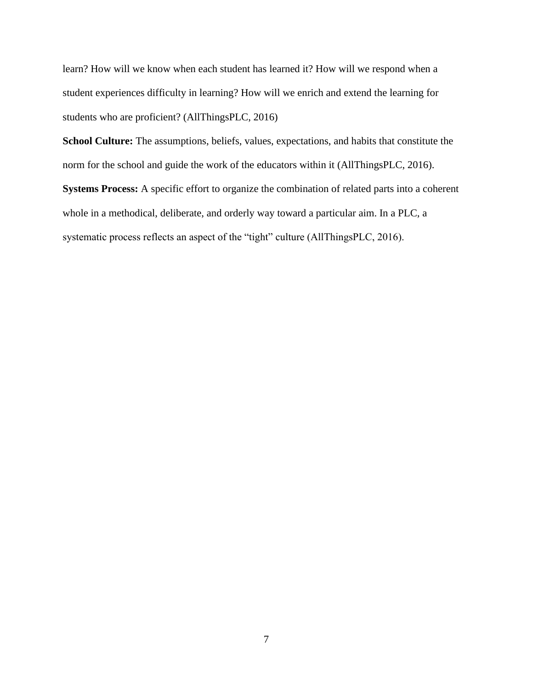learn? How will we know when each student has learned it? How will we respond when a student experiences difficulty in learning? How will we enrich and extend the learning for students who are proficient? (AllThingsPLC, 2016)

**School Culture:** The assumptions, beliefs, values, expectations, and habits that constitute the norm for the school and guide the work of the educators within it (AllThingsPLC, 2016).

**Systems Process:** A specific effort to organize the combination of related parts into a coherent whole in a methodical, deliberate, and orderly way toward a particular aim. In a PLC, a systematic process reflects an aspect of the "tight" culture (AllThingsPLC, 2016).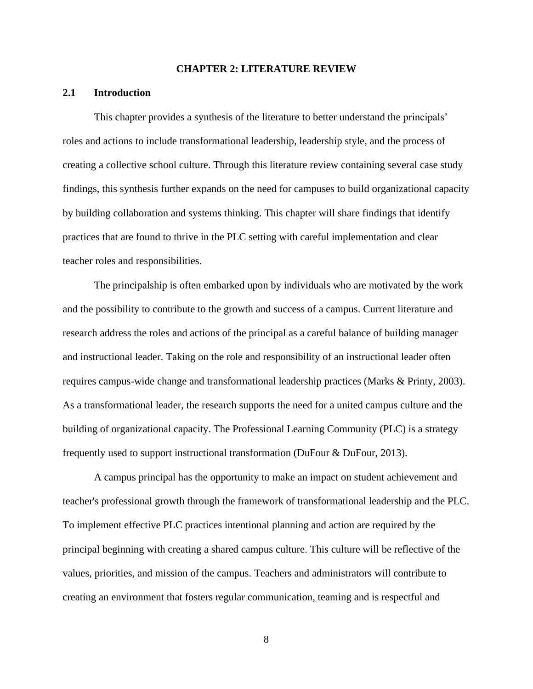#### **CHAPTER 2: LITERATURE REVIEW**

#### **2.1 Introduction**

This chapter provides a synthesis of the literature to better understand the principals' roles and actions to include transformational leadership, leadership style, and the process of creating a collective school culture. Through this literature review containing several case study findings, this synthesis further expands on the need for campuses to build organizational capacity by building collaboration and systems thinking. This chapter will share findings that identify practices that are found to thrive in the PLC setting with careful implementation and clear teacher roles and responsibilities.

The principalship is often embarked upon by individuals who are motivated by the work and the possibility to contribute to the growth and success of a campus. Current literature and research address the roles and actions of the principal as a careful balance of building manager and instructional leader. Taking on the role and responsibility of an instructional leader often requires campus-wide change and transformational leadership practices (Marks & Printy, 2003). As a transformational leader, the research supports the need for a united campus culture and the building of organizational capacity. The Professional Learning Community (PLC) is a strategy frequently used to support instructional transformation (DuFour & DuFour, 2013).

A campus principal has the opportunity to make an impact on student achievement and teacher's professional growth through the framework of transformational leadership and the PLC. To implement effective PLC practices intentional planning and action are required by the principal beginning with creating a shared campus culture. This culture will be reflective of the values, priorities, and mission of the campus. Teachers and administrators will contribute to creating an environment that fosters regular communication, teaming and is respectful and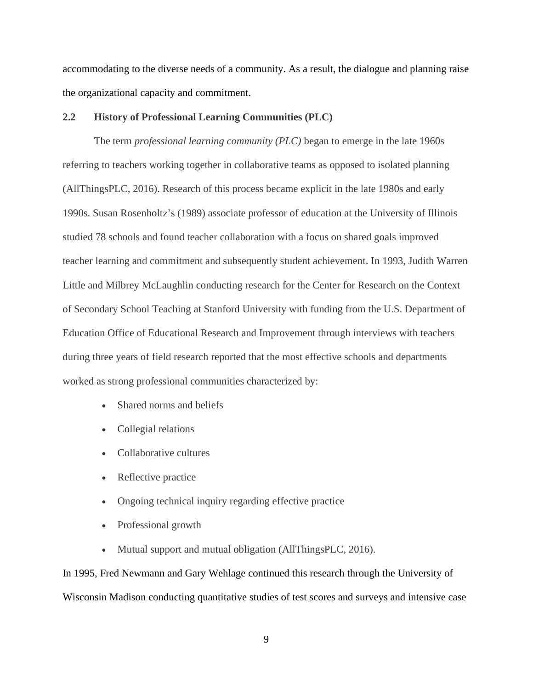accommodating to the diverse needs of a community. As a result, the dialogue and planning raise the organizational capacity and commitment.

#### **2.2 History of Professional Learning Communities (PLC)**

The term *professional learning community (PLC)* began to emerge in the late 1960s referring to teachers working together in collaborative teams as opposed to isolated planning (AllThingsPLC, 2016). Research of this process became explicit in the late 1980s and early 1990s. Susan Rosenholtz's (1989) associate professor of education at the University of Illinois studied 78 schools and found teacher collaboration with a focus on shared goals improved teacher learning and commitment and subsequently student achievement. In 1993, Judith Warren Little and Milbrey McLaughlin conducting research for the Center for Research on the Context of Secondary School Teaching at Stanford University with funding from the U.S. Department of Education Office of Educational Research and Improvement through interviews with teachers during three years of field research reported that the most effective schools and departments worked as strong professional communities characterized by:

- Shared norms and beliefs
- Collegial relations
- Collaborative cultures
- Reflective practice
- Ongoing technical inquiry regarding effective practice
- Professional growth
- Mutual support and mutual obligation (AllThingsPLC, 2016).

In 1995, Fred Newmann and Gary Wehlage continued this research through the University of Wisconsin Madison conducting quantitative studies of test scores and surveys and intensive case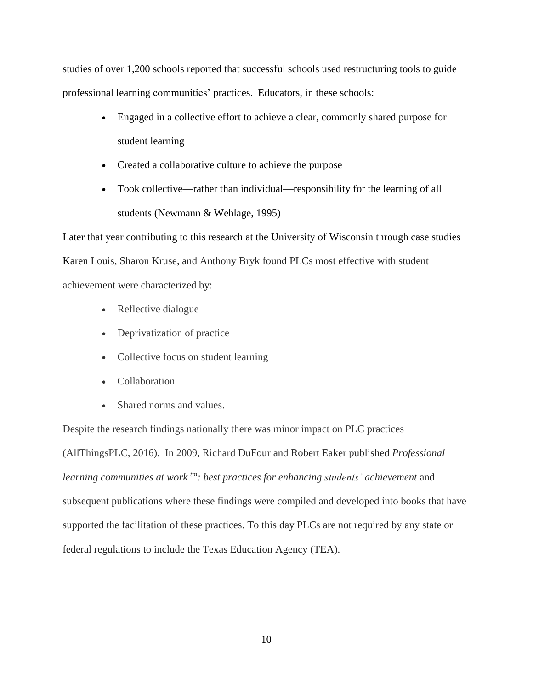studies of over 1,200 schools reported that successful schools used restructuring tools to guide professional learning communities' practices. Educators, in these schools:

- Engaged in a collective effort to achieve a clear, commonly shared purpose for student learning
- Created a collaborative culture to achieve the purpose
- Took collective—rather than individual—responsibility for the learning of all students (Newmann & Wehlage, 1995)

Later that year contributing to this research at the University of Wisconsin through case studies Karen Louis, Sharon Kruse, and Anthony Bryk found PLCs most effective with student achievement were characterized by:

- Reflective dialogue
- Deprivatization of practice
- Collective focus on student learning
- Collaboration
- Shared norms and values.

Despite the research findings nationally there was minor impact on PLC practices (AllThingsPLC, 2016). In 2009, Richard DuFour and Robert Eaker published *Professional learning communities at work tm: best practices for enhancing students' achievement* and subsequent publications where these findings were compiled and developed into books that have supported the facilitation of these practices. To this day PLCs are not required by any state or federal regulations to include the Texas Education Agency (TEA).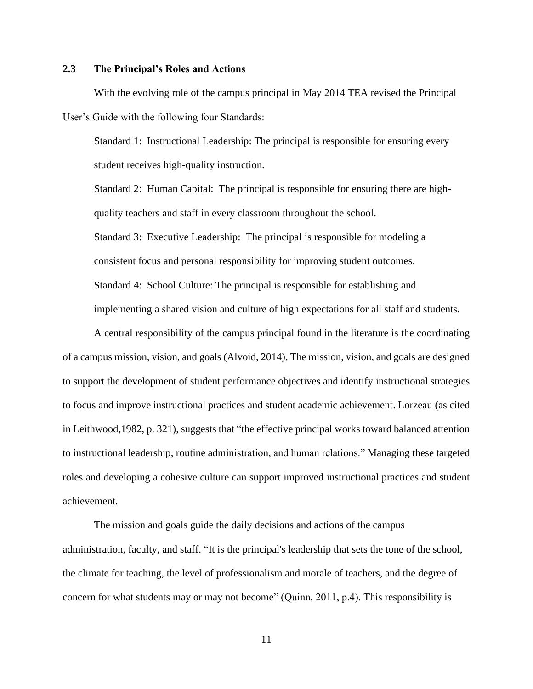### **2.3 The Principal's Roles and Actions**

With the evolving role of the campus principal in May 2014 TEA revised the Principal User's Guide with the following four Standards:

Standard 1: Instructional Leadership: The principal is responsible for ensuring every student receives high-quality instruction.

Standard 2: Human Capital: The principal is responsible for ensuring there are highquality teachers and staff in every classroom throughout the school.

Standard 3: Executive Leadership: The principal is responsible for modeling a consistent focus and personal responsibility for improving student outcomes. Standard 4: School Culture: The principal is responsible for establishing and implementing a shared vision and culture of high expectations for all staff and students.

A central responsibility of the campus principal found in the literature is the coordinating of a campus mission, vision, and goals (Alvoid, 2014). The mission, vision, and goals are designed to support the development of student performance objectives and identify instructional strategies to focus and improve instructional practices and student academic achievement. Lorzeau (as cited in Leithwood,1982, p. 321), suggests that "the effective principal works toward balanced attention to instructional leadership, routine administration, and human relations." Managing these targeted roles and developing a cohesive culture can support improved instructional practices and student achievement.

The mission and goals guide the daily decisions and actions of the campus administration, faculty, and staff. "It is the principal's leadership that sets the tone of the school, the climate for teaching, the level of professionalism and morale of teachers, and the degree of concern for what students may or may not become" (Quinn, 2011, p.4). This responsibility is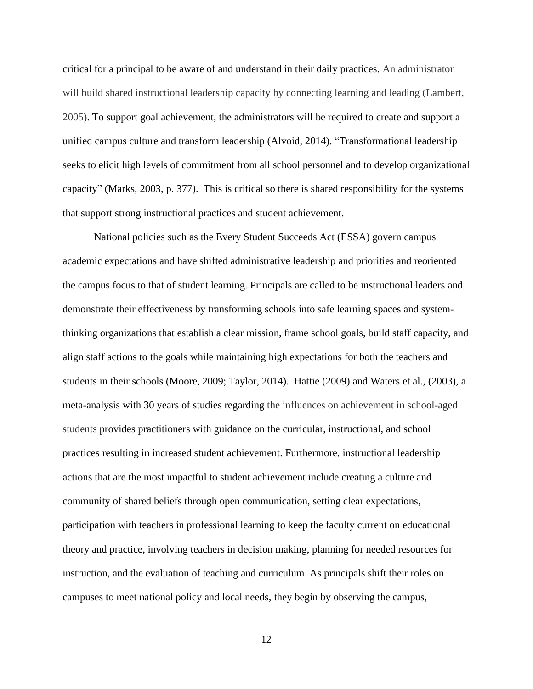critical for a principal to be aware of and understand in their daily practices. An administrator will build shared instructional leadership capacity by connecting learning and leading (Lambert, 2005). To support goal achievement, the administrators will be required to create and support a unified campus culture and transform leadership (Alvoid, 2014). "Transformational leadership seeks to elicit high levels of commitment from all school personnel and to develop organizational capacity" (Marks, 2003, p. 377). This is critical so there is shared responsibility for the systems that support strong instructional practices and student achievement.

National policies such as the Every Student Succeeds Act (ESSA) govern campus academic expectations and have shifted administrative leadership and priorities and reoriented the campus focus to that of student learning. Principals are called to be instructional leaders and demonstrate their effectiveness by transforming schools into safe learning spaces and systemthinking organizations that establish a clear mission, frame school goals, build staff capacity, and align staff actions to the goals while maintaining high expectations for both the teachers and students in their schools (Moore, 2009; Taylor, 2014). Hattie (2009) and Waters et al., (2003), a meta-analysis with 30 years of studies regarding the influences on achievement in school-aged students provides practitioners with guidance on the curricular, instructional, and school practices resulting in increased student achievement. Furthermore, instructional leadership actions that are the most impactful to student achievement include creating a culture and community of shared beliefs through open communication, setting clear expectations, participation with teachers in professional learning to keep the faculty current on educational theory and practice, involving teachers in decision making, planning for needed resources for instruction, and the evaluation of teaching and curriculum. As principals shift their roles on campuses to meet national policy and local needs, they begin by observing the campus,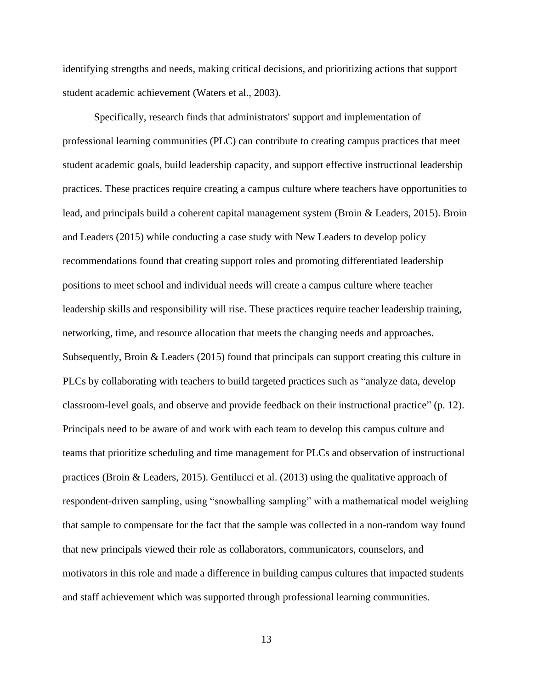identifying strengths and needs, making critical decisions, and prioritizing actions that support student academic achievement (Waters et al., 2003).

Specifically, research finds that administrators' support and implementation of professional learning communities (PLC) can contribute to creating campus practices that meet student academic goals, build leadership capacity, and support effective instructional leadership practices. These practices require creating a campus culture where teachers have opportunities to lead, and principals build a coherent capital management system (Broin & Leaders, 2015). Broin and Leaders (2015) while conducting a case study with New Leaders to develop policy recommendations found that creating support roles and promoting differentiated leadership positions to meet school and individual needs will create a campus culture where teacher leadership skills and responsibility will rise. These practices require teacher leadership training, networking, time, and resource allocation that meets the changing needs and approaches. Subsequently, Broin & Leaders (2015) found that principals can support creating this culture in PLCs by collaborating with teachers to build targeted practices such as "analyze data, develop classroom-level goals, and observe and provide feedback on their instructional practice" (p. 12). Principals need to be aware of and work with each team to develop this campus culture and teams that prioritize scheduling and time management for PLCs and observation of instructional practices (Broin & Leaders, 2015). Gentilucci et al. (2013) using the qualitative approach of respondent-driven sampling, using "snowballing sampling" with a mathematical model weighing that sample to compensate for the fact that the sample was collected in a non-random way found that new principals viewed their role as collaborators, communicators, counselors, and motivators in this role and made a difference in building campus cultures that impacted students and staff achievement which was supported through professional learning communities.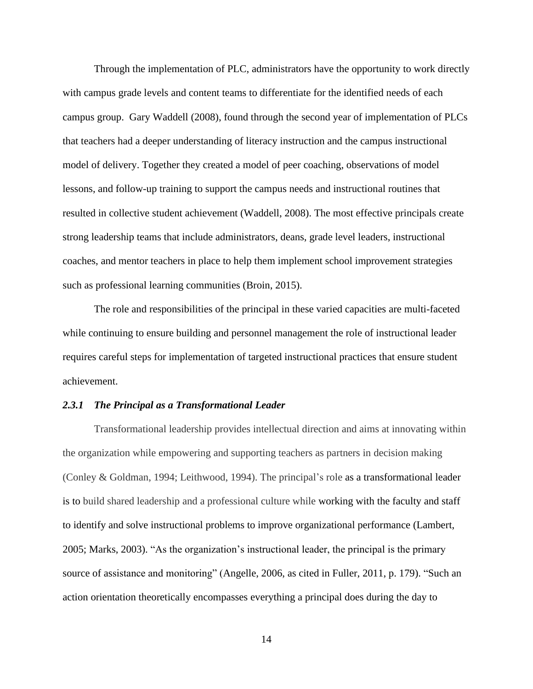Through the implementation of PLC, administrators have the opportunity to work directly with campus grade levels and content teams to differentiate for the identified needs of each campus group. Gary Waddell (2008), found through the second year of implementation of PLCs that teachers had a deeper understanding of literacy instruction and the campus instructional model of delivery. Together they created a model of peer coaching, observations of model lessons, and follow-up training to support the campus needs and instructional routines that resulted in collective student achievement (Waddell, 2008). The most effective principals create strong leadership teams that include administrators, deans, grade level leaders, instructional coaches, and mentor teachers in place to help them implement school improvement strategies such as professional learning communities (Broin, 2015).

The role and responsibilities of the principal in these varied capacities are multi-faceted while continuing to ensure building and personnel management the role of instructional leader requires careful steps for implementation of targeted instructional practices that ensure student achievement.

#### *2.3.1 The Principal as a Transformational Leader*

Transformational leadership provides intellectual direction and aims at innovating within the organization while empowering and supporting teachers as partners in decision making (Conley & Goldman, 1994; Leithwood, 1994). The principal's role as a transformational leader is to build shared leadership and a professional culture while working with the faculty and staff to identify and solve instructional problems to improve organizational performance (Lambert, 2005; Marks, 2003). "As the organization's instructional leader, the principal is the primary source of assistance and monitoring" (Angelle, 2006, as cited in Fuller, 2011, p. 179). "Such an action orientation theoretically encompasses everything a principal does during the day to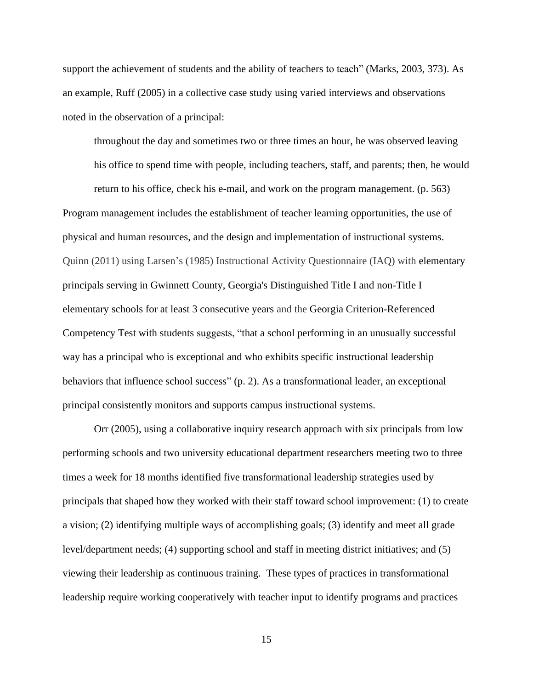support the achievement of students and the ability of teachers to teach" (Marks, 2003, 373). As an example, Ruff (2005) in a collective case study using varied interviews and observations noted in the observation of a principal:

throughout the day and sometimes two or three times an hour, he was observed leaving

his office to spend time with people, including teachers, staff, and parents; then, he would

return to his office, check his e-mail, and work on the program management. (p. 563) Program management includes the establishment of teacher learning opportunities, the use of physical and human resources, and the design and implementation of instructional systems. Quinn (2011) using Larsen's (1985) Instructional Activity Questionnaire (IAQ) with elementary principals serving in Gwinnett County, Georgia's Distinguished Title I and non-Title I elementary schools for at least 3 consecutive years and the Georgia Criterion-Referenced Competency Test with students suggests, "that a school performing in an unusually successful way has a principal who is exceptional and who exhibits specific instructional leadership behaviors that influence school success" (p. 2). As a transformational leader, an exceptional principal consistently monitors and supports campus instructional systems.

Orr (2005), using a collaborative inquiry research approach with six principals from low performing schools and two university educational department researchers meeting two to three times a week for 18 months identified five transformational leadership strategies used by principals that shaped how they worked with their staff toward school improvement: (1) to create a vision; (2) identifying multiple ways of accomplishing goals; (3) identify and meet all grade level/department needs; (4) supporting school and staff in meeting district initiatives; and (5) viewing their leadership as continuous training. These types of practices in transformational leadership require working cooperatively with teacher input to identify programs and practices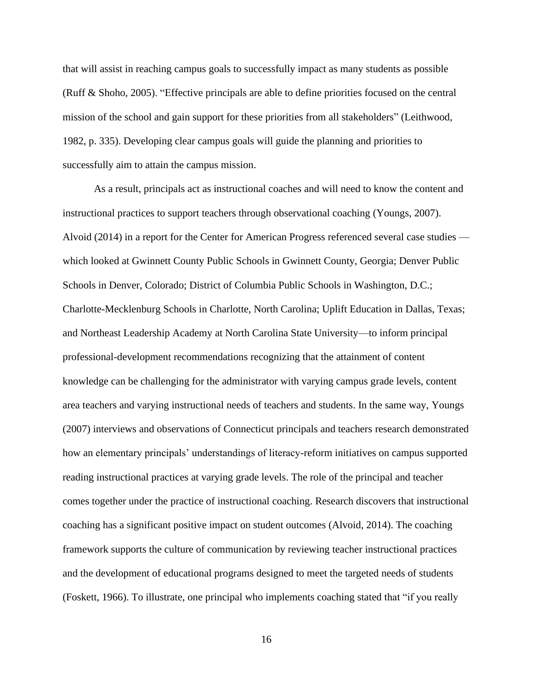that will assist in reaching campus goals to successfully impact as many students as possible (Ruff & Shoho, 2005). "Effective principals are able to define priorities focused on the central mission of the school and gain support for these priorities from all stakeholders" (Leithwood, 1982, p. 335). Developing clear campus goals will guide the planning and priorities to successfully aim to attain the campus mission.

As a result, principals act as instructional coaches and will need to know the content and instructional practices to support teachers through observational coaching (Youngs, 2007). Alvoid (2014) in a report for the Center for American Progress referenced several case studies which looked at Gwinnett County Public Schools in Gwinnett County, Georgia; Denver Public Schools in Denver, Colorado; District of Columbia Public Schools in Washington, D.C.; Charlotte-Mecklenburg Schools in Charlotte, North Carolina; Uplift Education in Dallas, Texas; and Northeast Leadership Academy at North Carolina State University—to inform principal professional-development recommendations recognizing that the attainment of content knowledge can be challenging for the administrator with varying campus grade levels, content area teachers and varying instructional needs of teachers and students. In the same way, Youngs (2007) interviews and observations of Connecticut principals and teachers research demonstrated how an elementary principals' understandings of literacy-reform initiatives on campus supported reading instructional practices at varying grade levels. The role of the principal and teacher comes together under the practice of instructional coaching. Research discovers that instructional coaching has a significant positive impact on student outcomes (Alvoid, 2014). The coaching framework supports the culture of communication by reviewing teacher instructional practices and the development of educational programs designed to meet the targeted needs of students (Foskett, 1966). To illustrate, one principal who implements coaching stated that "if you really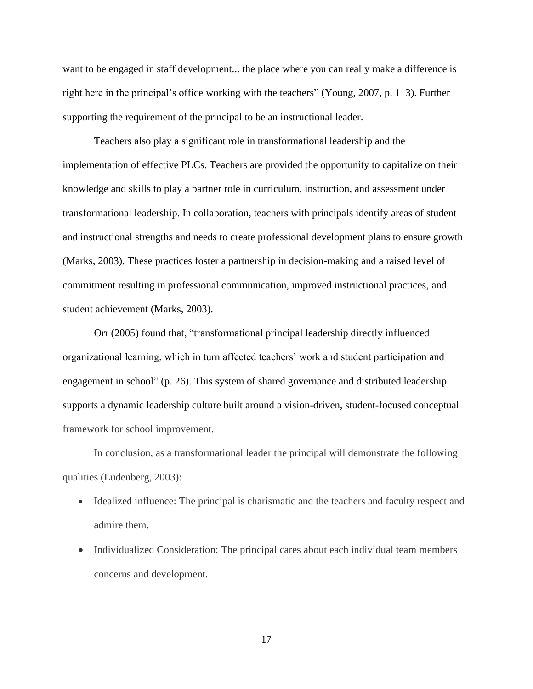want to be engaged in staff development... the place where you can really make a difference is right here in the principal's office working with the teachers" (Young, 2007, p. 113). Further supporting the requirement of the principal to be an instructional leader.

Teachers also play a significant role in transformational leadership and the implementation of effective PLCs. Teachers are provided the opportunity to capitalize on their knowledge and skills to play a partner role in curriculum, instruction, and assessment under transformational leadership. In collaboration, teachers with principals identify areas of student and instructional strengths and needs to create professional development plans to ensure growth (Marks, 2003). These practices foster a partnership in decision-making and a raised level of commitment resulting in professional communication, improved instructional practices, and student achievement (Marks, 2003).

Orr (2005) found that, "transformational principal leadership directly influenced organizational learning, which in turn affected teachers' work and student participation and engagement in school" (p. 26). This system of shared governance and distributed leadership supports a dynamic leadership culture built around a vision-driven, student-focused conceptual framework for school improvement.

In conclusion, as a transformational leader the principal will demonstrate the following qualities (Ludenberg, 2003):

- Idealized influence: The principal is charismatic and the teachers and faculty respect and admire them.
- Individualized Consideration: The principal cares about each individual team members concerns and development.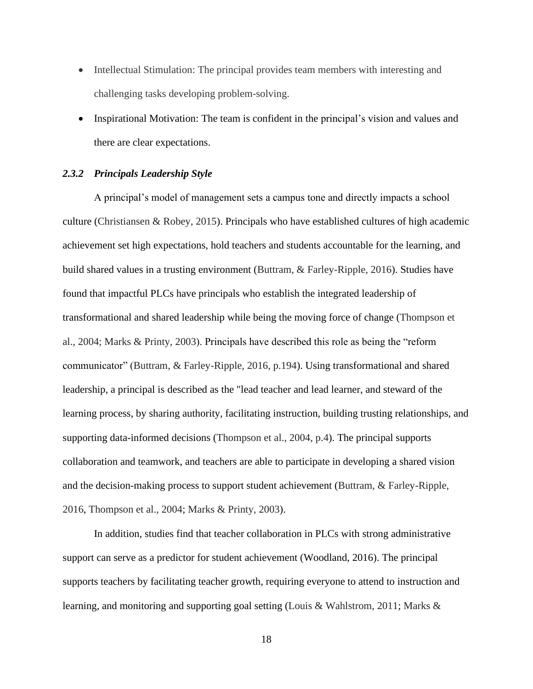- Intellectual Stimulation: The principal provides team members with interesting and challenging tasks developing problem-solving.
- Inspirational Motivation: The team is confident in the principal's vision and values and there are clear expectations.

#### *2.3.2 Principals Leadership Style*

A principal's model of management sets a campus tone and directly impacts a school culture (Christiansen & Robey, 2015). Principals who have established cultures of high academic achievement set high expectations, hold teachers and students accountable for the learning, and build shared values in a trusting environment (Buttram, & Farley-Ripple, 2016). Studies have found that impactful PLCs have principals who establish the integrated leadership of transformational and shared leadership while being the moving force of change (Thompson et al., 2004; Marks & Printy, 2003). Principals have described this role as being the "reform communicator" (Buttram, & Farley-Ripple, 2016, p.194). Using transformational and shared leadership, a principal is described as the "lead teacher and lead learner, and steward of the learning process, by sharing authority, facilitating instruction, building trusting relationships, and supporting data-informed decisions (Thompson et al., 2004, p.4). The principal supports collaboration and teamwork, and teachers are able to participate in developing a shared vision and the decision-making process to support student achievement (Buttram, & Farley-Ripple, 2016, Thompson et al., 2004; Marks & Printy, 2003).

In addition, studies find that teacher collaboration in PLCs with strong administrative support can serve as a predictor for student achievement (Woodland, 2016). The principal supports teachers by facilitating teacher growth, requiring everyone to attend to instruction and learning, and monitoring and supporting goal setting (Louis & Wahlstrom, 2011; Marks &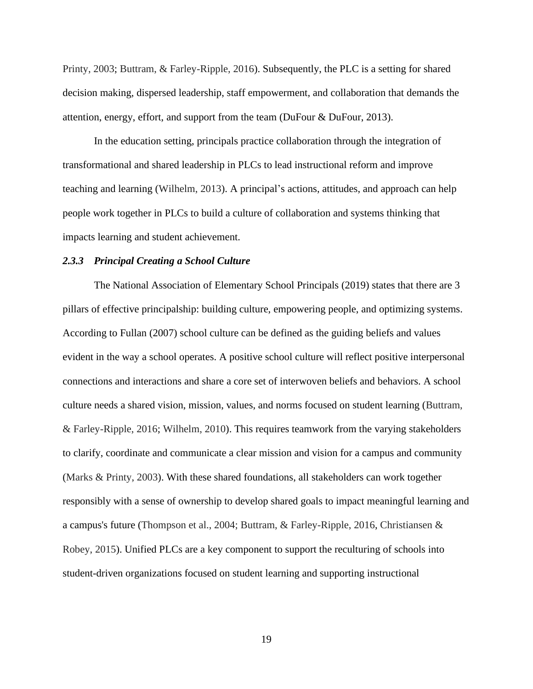Printy, 2003; Buttram, & Farley-Ripple, 2016). Subsequently, the PLC is a setting for shared decision making, dispersed leadership, staff empowerment, and collaboration that demands the attention, energy, effort, and support from the team (DuFour & DuFour, 2013).

In the education setting, principals practice collaboration through the integration of transformational and shared leadership in PLCs to lead instructional reform and improve teaching and learning (Wilhelm, 2013). A principal's actions, attitudes, and approach can help people work together in PLCs to build a culture of collaboration and systems thinking that impacts learning and student achievement.

#### *2.3.3 Principal Creating a School Culture*

The National Association of Elementary School Principals (2019) states that there are 3 pillars of effective principalship: building culture, empowering people, and optimizing systems. According to Fullan (2007) school culture can be defined as the guiding beliefs and values evident in the way a school operates. A positive school culture will reflect positive interpersonal connections and interactions and share a core set of interwoven beliefs and behaviors. A school culture needs a shared vision, mission, values, and norms focused on student learning (Buttram, & Farley-Ripple, 2016; Wilhelm, 2010). This requires teamwork from the varying stakeholders to clarify, coordinate and communicate a clear mission and vision for a campus and community (Marks & Printy, 2003). With these shared foundations, all stakeholders can work together responsibly with a sense of ownership to develop shared goals to impact meaningful learning and a campus's future (Thompson et al., 2004; Buttram, & Farley-Ripple, 2016, Christiansen & Robey, 2015). Unified PLCs are a key component to support the reculturing of schools into student-driven organizations focused on student learning and supporting instructional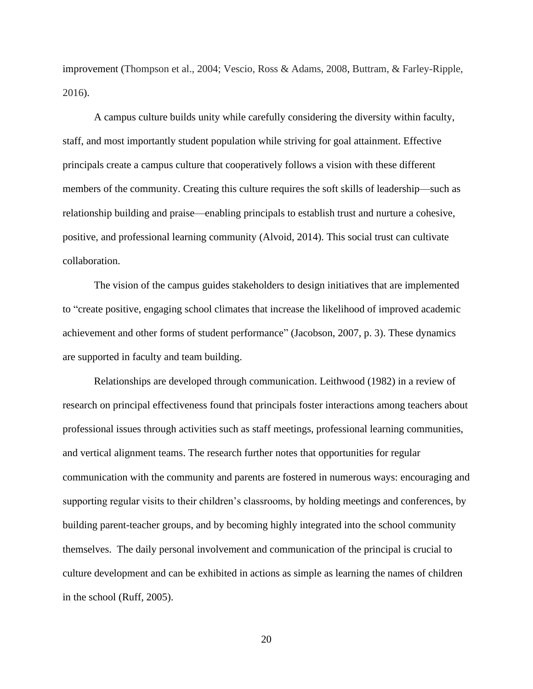improvement (Thompson et al., 2004; Vescio, Ross & Adams, 2008, Buttram, & Farley-Ripple, 2016).

A campus culture builds unity while carefully considering the diversity within faculty, staff, and most importantly student population while striving for goal attainment. Effective principals create a campus culture that cooperatively follows a vision with these different members of the community. Creating this culture requires the soft skills of leadership—such as relationship building and praise—enabling principals to establish trust and nurture a cohesive, positive, and professional learning community (Alvoid, 2014). This social trust can cultivate collaboration.

The vision of the campus guides stakeholders to design initiatives that are implemented to "create positive, engaging school climates that increase the likelihood of improved academic achievement and other forms of student performance" (Jacobson, 2007, p. 3). These dynamics are supported in faculty and team building.

Relationships are developed through communication. Leithwood (1982) in a review of research on principal effectiveness found that principals foster interactions among teachers about professional issues through activities such as staff meetings, professional learning communities, and vertical alignment teams. The research further notes that opportunities for regular communication with the community and parents are fostered in numerous ways: encouraging and supporting regular visits to their children's classrooms, by holding meetings and conferences, by building parent-teacher groups, and by becoming highly integrated into the school community themselves. The daily personal involvement and communication of the principal is crucial to culture development and can be exhibited in actions as simple as learning the names of children in the school (Ruff, 2005).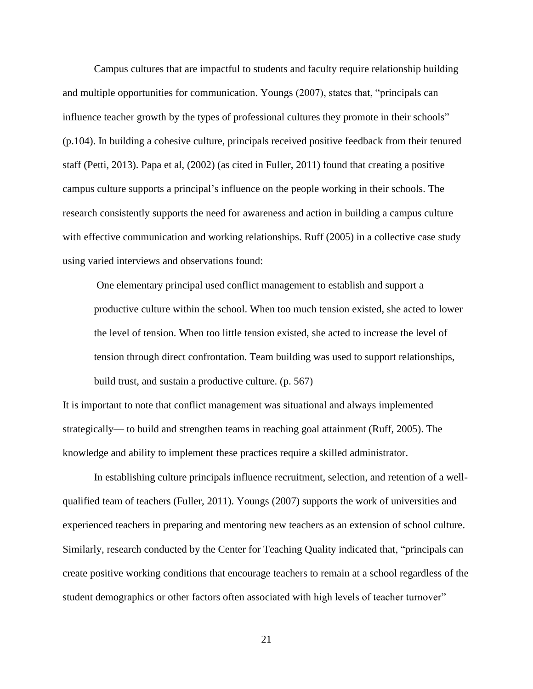Campus cultures that are impactful to students and faculty require relationship building and multiple opportunities for communication. Youngs (2007), states that, "principals can influence teacher growth by the types of professional cultures they promote in their schools" (p.104). In building a cohesive culture, principals received positive feedback from their tenured staff (Petti, 2013). Papa et al, (2002) (as cited in Fuller, 2011) found that creating a positive campus culture supports a principal's influence on the people working in their schools. The research consistently supports the need for awareness and action in building a campus culture with effective communication and working relationships. Ruff (2005) in a collective case study using varied interviews and observations found:

One elementary principal used conflict management to establish and support a productive culture within the school. When too much tension existed, she acted to lower the level of tension. When too little tension existed, she acted to increase the level of tension through direct confrontation. Team building was used to support relationships, build trust, and sustain a productive culture. (p. 567)

It is important to note that conflict management was situational and always implemented strategically— to build and strengthen teams in reaching goal attainment (Ruff, 2005). The knowledge and ability to implement these practices require a skilled administrator.

In establishing culture principals influence recruitment, selection, and retention of a wellqualified team of teachers (Fuller, 2011). Youngs (2007) supports the work of universities and experienced teachers in preparing and mentoring new teachers as an extension of school culture. Similarly, research conducted by the Center for Teaching Quality indicated that, "principals can create positive working conditions that encourage teachers to remain at a school regardless of the student demographics or other factors often associated with high levels of teacher turnover"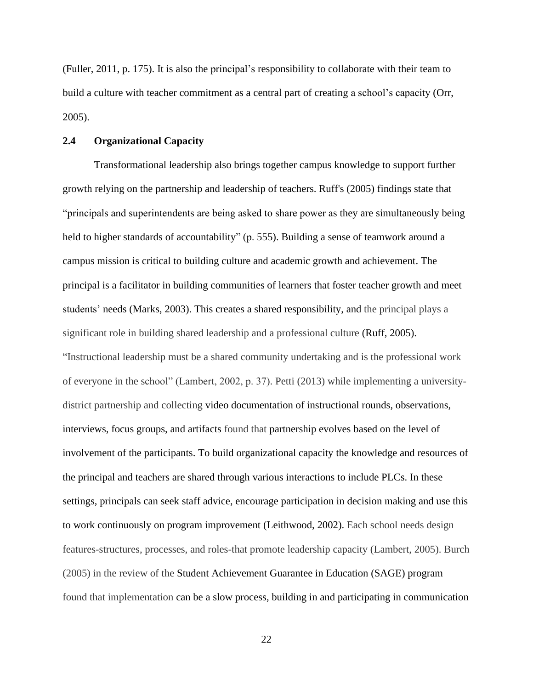(Fuller, 2011, p. 175). It is also the principal's responsibility to collaborate with their team to build a culture with teacher commitment as a central part of creating a school's capacity (Orr, 2005).

#### **2.4 Organizational Capacity**

Transformational leadership also brings together campus knowledge to support further growth relying on the partnership and leadership of teachers. Ruff's (2005) findings state that "principals and superintendents are being asked to share power as they are simultaneously being held to higher standards of accountability" (p. 555). Building a sense of teamwork around a campus mission is critical to building culture and academic growth and achievement. The principal is a facilitator in building communities of learners that foster teacher growth and meet students' needs (Marks, 2003). This creates a shared responsibility, and the principal plays a significant role in building shared leadership and a professional culture (Ruff, 2005). "Instructional leadership must be a shared community undertaking and is the professional work of everyone in the school" (Lambert, 2002, p. 37). Petti (2013) while implementing a universitydistrict partnership and collecting video documentation of instructional rounds, observations, interviews, focus groups, and artifacts found that partnership evolves based on the level of involvement of the participants. To build organizational capacity the knowledge and resources of the principal and teachers are shared through various interactions to include PLCs. In these settings, principals can seek staff advice, encourage participation in decision making and use this to work continuously on program improvement (Leithwood, 2002). Each school needs design features-structures, processes, and roles-that promote leadership capacity (Lambert, 2005). Burch (2005) in the review of the Student Achievement Guarantee in Education (SAGE) program found that implementation can be a slow process, building in and participating in communication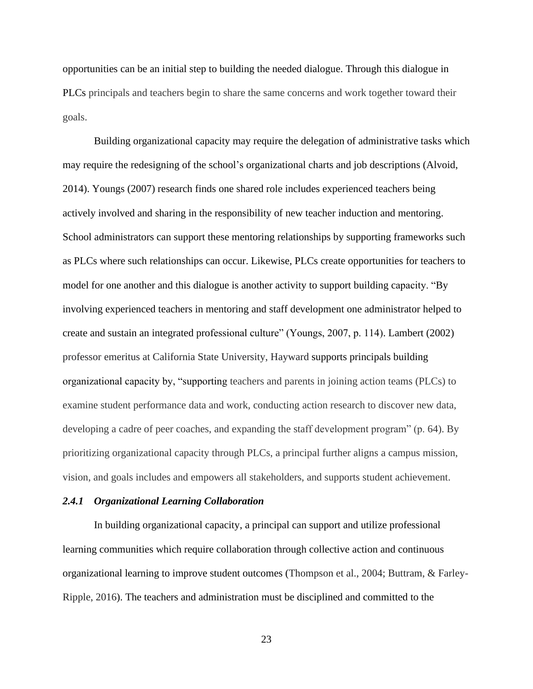opportunities can be an initial step to building the needed dialogue. Through this dialogue in PLCs principals and teachers begin to share the same concerns and work together toward their goals.

Building organizational capacity may require the delegation of administrative tasks which may require the redesigning of the school's organizational charts and job descriptions (Alvoid, 2014). Youngs (2007) research finds one shared role includes experienced teachers being actively involved and sharing in the responsibility of new teacher induction and mentoring. School administrators can support these mentoring relationships by supporting frameworks such as PLCs where such relationships can occur. Likewise, PLCs create opportunities for teachers to model for one another and this dialogue is another activity to support building capacity. "By involving experienced teachers in mentoring and staff development one administrator helped to create and sustain an integrated professional culture" (Youngs, 2007, p. 114). Lambert (2002) professor emeritus at California State University, Hayward supports principals building organizational capacity by, "supporting teachers and parents in joining action teams (PLCs) to examine student performance data and work, conducting action research to discover new data, developing a cadre of peer coaches, and expanding the staff development program" (p. 64). By prioritizing organizational capacity through PLCs, a principal further aligns a campus mission, vision, and goals includes and empowers all stakeholders, and supports student achievement.

#### *2.4.1 Organizational Learning Collaboration*

In building organizational capacity, a principal can support and utilize professional learning communities which require collaboration through collective action and continuous organizational learning to improve student outcomes (Thompson et al., 2004; Buttram, & Farley-Ripple, 2016). The teachers and administration must be disciplined and committed to the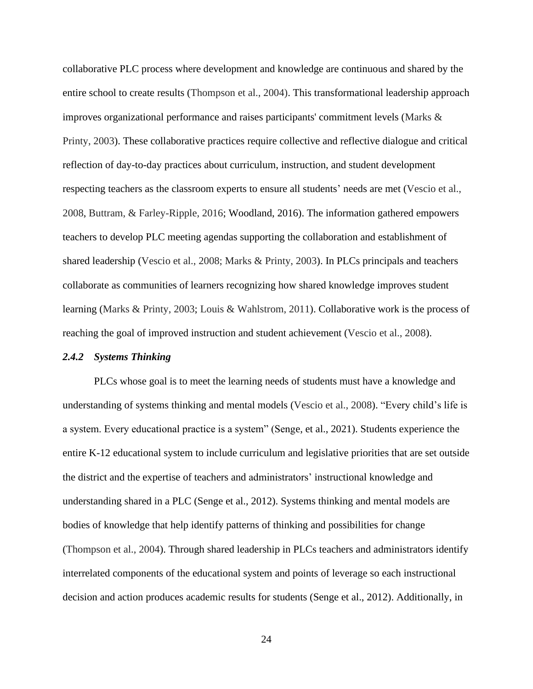collaborative PLC process where development and knowledge are continuous and shared by the entire school to create results (Thompson et al., 2004). This transformational leadership approach improves organizational performance and raises participants' commitment levels (Marks  $\&$ Printy, 2003). These collaborative practices require collective and reflective dialogue and critical reflection of day-to-day practices about curriculum, instruction, and student development respecting teachers as the classroom experts to ensure all students' needs are met (Vescio et al., 2008, Buttram, & Farley-Ripple, 2016; Woodland, 2016). The information gathered empowers teachers to develop PLC meeting agendas supporting the collaboration and establishment of shared leadership (Vescio et al., 2008; Marks & Printy, 2003). In PLCs principals and teachers collaborate as communities of learners recognizing how shared knowledge improves student learning (Marks & Printy, 2003; Louis & Wahlstrom, 2011). Collaborative work is the process of reaching the goal of improved instruction and student achievement (Vescio et al., 2008).

#### *2.4.2 Systems Thinking*

PLCs whose goal is to meet the learning needs of students must have a knowledge and understanding of systems thinking and mental models (Vescio et al., 2008). "Every child's life is a system. Every educational practice is a system" (Senge, et al., 2021). Students experience the entire K-12 educational system to include curriculum and legislative priorities that are set outside the district and the expertise of teachers and administrators' instructional knowledge and understanding shared in a PLC (Senge et al., 2012). Systems thinking and mental models are bodies of knowledge that help identify patterns of thinking and possibilities for change (Thompson et al., 2004). Through shared leadership in PLCs teachers and administrators identify interrelated components of the educational system and points of leverage so each instructional decision and action produces academic results for students (Senge et al., 2012). Additionally, in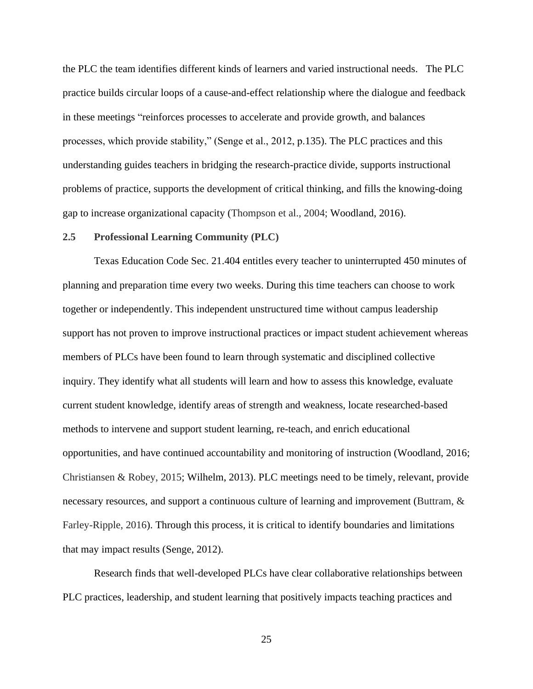the PLC the team identifies different kinds of learners and varied instructional needs. The PLC practice builds circular loops of a cause-and-effect relationship where the dialogue and feedback in these meetings "reinforces processes to accelerate and provide growth, and balances processes, which provide stability," (Senge et al., 2012, p.135). The PLC practices and this understanding guides teachers in bridging the research-practice divide, supports instructional problems of practice, supports the development of critical thinking, and fills the knowing-doing gap to increase organizational capacity (Thompson et al., 2004; Woodland, 2016).

#### **2.5 Professional Learning Community (PLC)**

Texas Education Code Sec. 21.404 entitles every teacher to uninterrupted 450 minutes of planning and preparation time every two weeks. During this time teachers can choose to work together or independently. This independent unstructured time without campus leadership support has not proven to improve instructional practices or impact student achievement whereas members of PLCs have been found to learn through systematic and disciplined collective inquiry. They identify what all students will learn and how to assess this knowledge, evaluate current student knowledge, identify areas of strength and weakness, locate researched-based methods to intervene and support student learning, re-teach, and enrich educational opportunities, and have continued accountability and monitoring of instruction (Woodland, 2016; Christiansen & Robey, 2015; Wilhelm, 2013). PLC meetings need to be timely, relevant, provide necessary resources, and support a continuous culture of learning and improvement (Buttram, & Farley-Ripple, 2016). Through this process, it is critical to identify boundaries and limitations that may impact results (Senge, 2012).

Research finds that well-developed PLCs have clear collaborative relationships between PLC practices, leadership, and student learning that positively impacts teaching practices and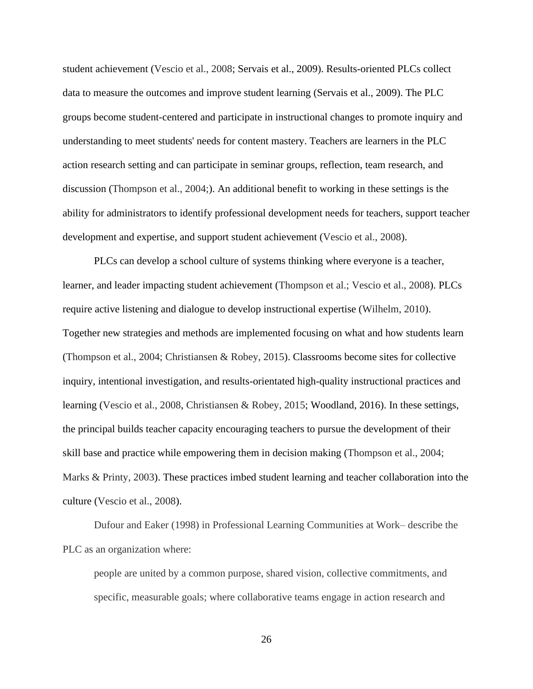student achievement (Vescio et al., 2008; Servais et al., 2009). Results-oriented PLCs collect data to measure the outcomes and improve student learning (Servais et al., 2009). The PLC groups become student-centered and participate in instructional changes to promote inquiry and understanding to meet students' needs for content mastery. Teachers are learners in the PLC action research setting and can participate in seminar groups, reflection, team research, and discussion (Thompson et al., 2004;). An additional benefit to working in these settings is the ability for administrators to identify professional development needs for teachers, support teacher development and expertise, and support student achievement (Vescio et al., 2008).

PLCs can develop a school culture of systems thinking where everyone is a teacher, learner, and leader impacting student achievement (Thompson et al.; Vescio et al., 2008). PLCs require active listening and dialogue to develop instructional expertise (Wilhelm, 2010). Together new strategies and methods are implemented focusing on what and how students learn (Thompson et al., 2004; Christiansen & Robey, 2015). Classrooms become sites for collective inquiry, intentional investigation, and results-orientated high-quality instructional practices and learning (Vescio et al., 2008, Christiansen & Robey, 2015; Woodland, 2016). In these settings, the principal builds teacher capacity encouraging teachers to pursue the development of their skill base and practice while empowering them in decision making (Thompson et al., 2004; Marks & Printy, 2003). These practices imbed student learning and teacher collaboration into the culture (Vescio et al., 2008).

Dufour and Eaker (1998) in Professional Learning Communities at Work– describe the PLC as an organization where:

people are united by a common purpose, shared vision, collective commitments, and specific, measurable goals; where collaborative teams engage in action research and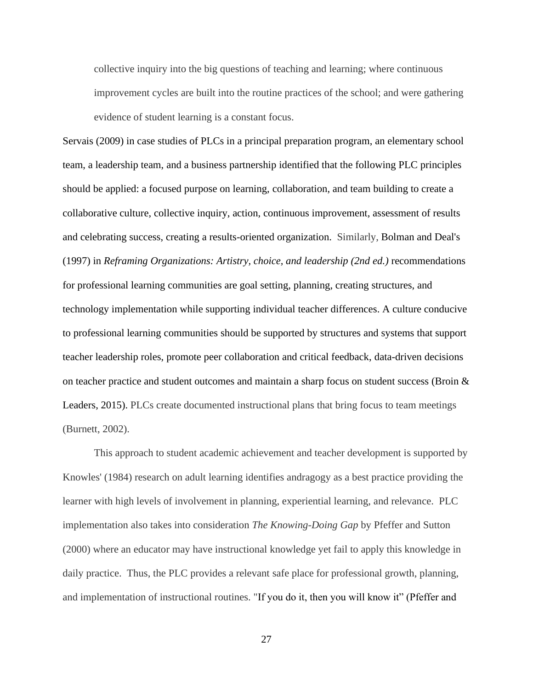collective inquiry into the big questions of teaching and learning; where continuous improvement cycles are built into the routine practices of the school; and were gathering evidence of student learning is a constant focus.

Servais (2009) in case studies of PLCs in a principal preparation program, an elementary school team, a leadership team, and a business partnership identified that the following PLC principles should be applied: a focused purpose on learning, collaboration, and team building to create a collaborative culture, collective inquiry, action, continuous improvement, assessment of results and celebrating success, creating a results-oriented organization. Similarly, Bolman and Deal's (1997) in *Reframing Organizations: Artistry, choice, and leadership (2nd ed.)* recommendations for professional learning communities are goal setting, planning, creating structures, and technology implementation while supporting individual teacher differences. A culture conducive to professional learning communities should be supported by structures and systems that support teacher leadership roles, promote peer collaboration and critical feedback, data-driven decisions on teacher practice and student outcomes and maintain a sharp focus on student success (Broin  $\&$ Leaders, 2015). PLCs create documented instructional plans that bring focus to team meetings (Burnett, 2002).

This approach to student academic achievement and teacher development is supported by Knowles' (1984) research on adult learning identifies andragogy as a best practice providing the learner with high levels of involvement in planning, experiential learning, and relevance. PLC implementation also takes into consideration *The Knowing-Doing Gap* by Pfeffer and Sutton (2000) where an educator may have instructional knowledge yet fail to apply this knowledge in daily practice. Thus, the PLC provides a relevant safe place for professional growth, planning, and implementation of instructional routines. "If you do it, then you will know it" (Pfeffer and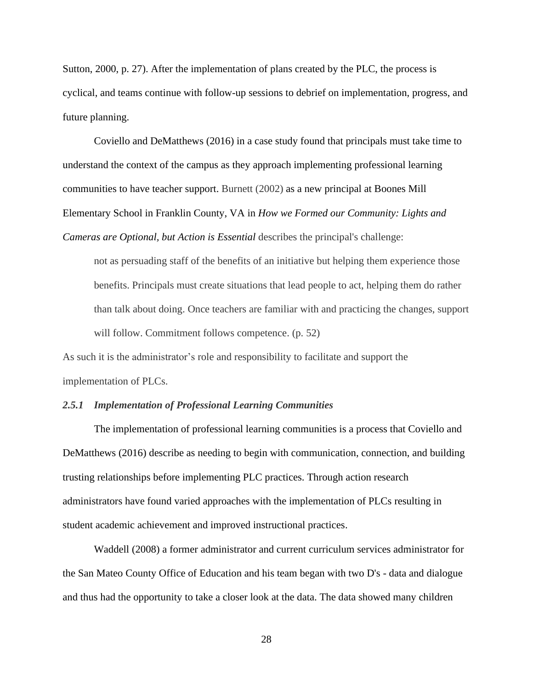Sutton, 2000, p. 27). After the implementation of plans created by the PLC, the process is cyclical, and teams continue with follow-up sessions to debrief on implementation, progress, and future planning.

Coviello and DeMatthews (2016) in a case study found that principals must take time to understand the context of the campus as they approach implementing professional learning communities to have teacher support. Burnett (2002) as a new principal at Boones Mill Elementary School in Franklin County, VA in *How we Formed our Community: Lights and Cameras are Optional, but Action is Essential* describes the principal's challenge:

not as persuading staff of the benefits of an initiative but helping them experience those benefits. Principals must create situations that lead people to act, helping them do rather than talk about doing. Once teachers are familiar with and practicing the changes, support will follow. Commitment follows competence. (p. 52)

As such it is the administrator's role and responsibility to facilitate and support the implementation of PLCs.

## *2.5.1 Implementation of Professional Learning Communities*

The implementation of professional learning communities is a process that Coviello and DeMatthews (2016) describe as needing to begin with communication, connection, and building trusting relationships before implementing PLC practices. Through action research administrators have found varied approaches with the implementation of PLCs resulting in student academic achievement and improved instructional practices.

Waddell (2008) a former administrator and current curriculum services administrator for the San Mateo County Office of Education and his team began with two D's - data and dialogue and thus had the opportunity to take a closer look at the data. The data showed many children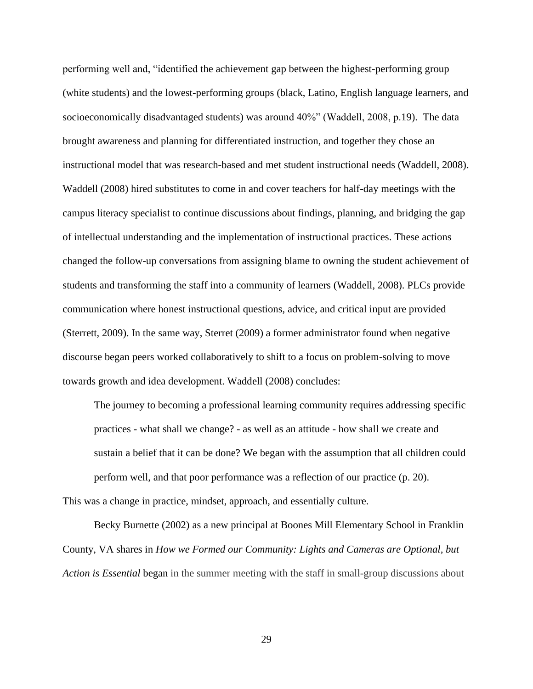performing well and, "identified the achievement gap between the highest-performing group (white students) and the lowest-performing groups (black, Latino, English language learners, and socioeconomically disadvantaged students) was around 40%" (Waddell, 2008, p.19). The data brought awareness and planning for differentiated instruction, and together they chose an instructional model that was research-based and met student instructional needs (Waddell, 2008). Waddell (2008) hired substitutes to come in and cover teachers for half-day meetings with the campus literacy specialist to continue discussions about findings, planning, and bridging the gap of intellectual understanding and the implementation of instructional practices. These actions changed the follow-up conversations from assigning blame to owning the student achievement of students and transforming the staff into a community of learners (Waddell, 2008). PLCs provide communication where honest instructional questions, advice, and critical input are provided (Sterrett, 2009). In the same way, Sterret (2009) a former administrator found when negative discourse began peers worked collaboratively to shift to a focus on problem-solving to move towards growth and idea development. Waddell (2008) concludes:

The journey to becoming a professional learning community requires addressing specific practices - what shall we change? - as well as an attitude - how shall we create and sustain a belief that it can be done? We began with the assumption that all children could perform well, and that poor performance was a reflection of our practice (p. 20). This was a change in practice, mindset, approach, and essentially culture.

Becky Burnette (2002) as a new principal at Boones Mill Elementary School in Franklin County, VA shares in *How we Formed our Community: Lights and Cameras are Optional, but Action is Essential* began in the summer meeting with the staff in small-group discussions about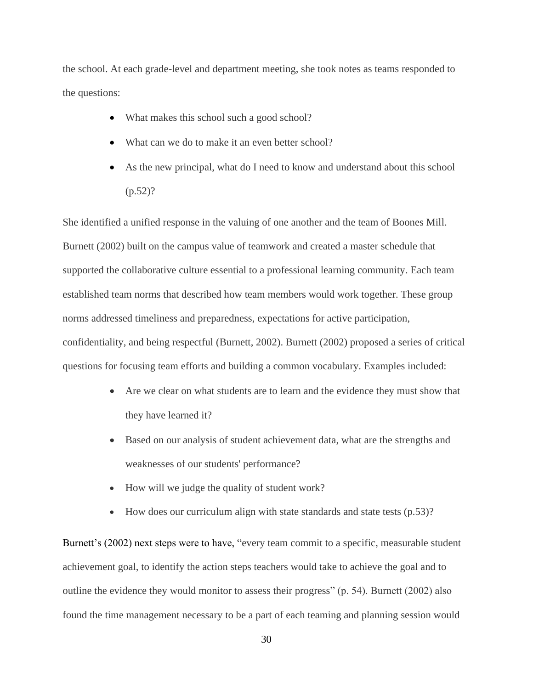the school. At each grade-level and department meeting, she took notes as teams responded to the questions:

- What makes this school such a good school?
- What can we do to make it an even better school?
- As the new principal, what do I need to know and understand about this school  $(p.52)$ ?

She identified a unified response in the valuing of one another and the team of Boones Mill. Burnett (2002) built on the campus value of teamwork and created a master schedule that supported the collaborative culture essential to a professional learning community. Each team established team norms that described how team members would work together. These group norms addressed timeliness and preparedness, expectations for active participation, confidentiality, and being respectful (Burnett, 2002). Burnett (2002) proposed a series of critical questions for focusing team efforts and building a common vocabulary. Examples included:

- Are we clear on what students are to learn and the evidence they must show that they have learned it?
- Based on our analysis of student achievement data, what are the strengths and weaknesses of our students' performance?
- How will we judge the quality of student work?
- How does our curriculum align with state standards and state tests (p.53)?

Burnett's (2002) next steps were to have, "every team commit to a specific, measurable student achievement goal, to identify the action steps teachers would take to achieve the goal and to outline the evidence they would monitor to assess their progress" (p. 54). Burnett (2002) also found the time management necessary to be a part of each teaming and planning session would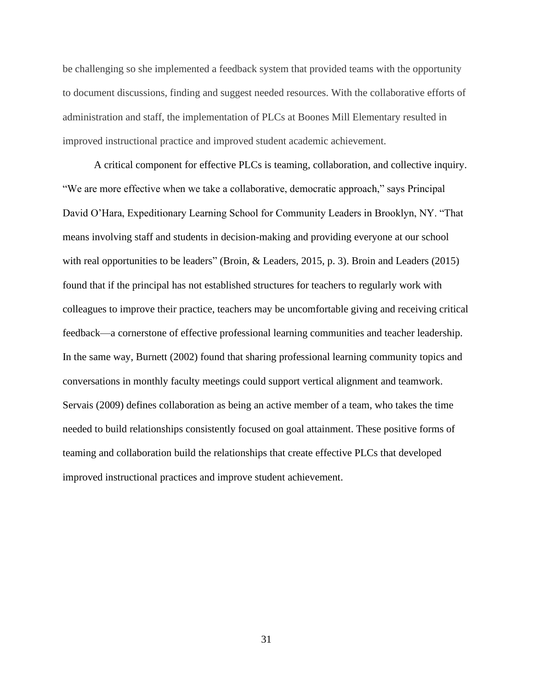be challenging so she implemented a feedback system that provided teams with the opportunity to document discussions, finding and suggest needed resources. With the collaborative efforts of administration and staff, the implementation of PLCs at Boones Mill Elementary resulted in improved instructional practice and improved student academic achievement.

A critical component for effective PLCs is teaming, collaboration, and collective inquiry. "We are more effective when we take a collaborative, democratic approach," says Principal David O'Hara, Expeditionary Learning School for Community Leaders in Brooklyn, NY. "That means involving staff and students in decision-making and providing everyone at our school with real opportunities to be leaders" (Broin, & Leaders, 2015, p. 3). Broin and Leaders (2015) found that if the principal has not established structures for teachers to regularly work with colleagues to improve their practice, teachers may be uncomfortable giving and receiving critical feedback—a cornerstone of effective professional learning communities and teacher leadership. In the same way, Burnett (2002) found that sharing professional learning community topics and conversations in monthly faculty meetings could support vertical alignment and teamwork. Servais (2009) defines collaboration as being an active member of a team, who takes the time needed to build relationships consistently focused on goal attainment. These positive forms of teaming and collaboration build the relationships that create effective PLCs that developed improved instructional practices and improve student achievement.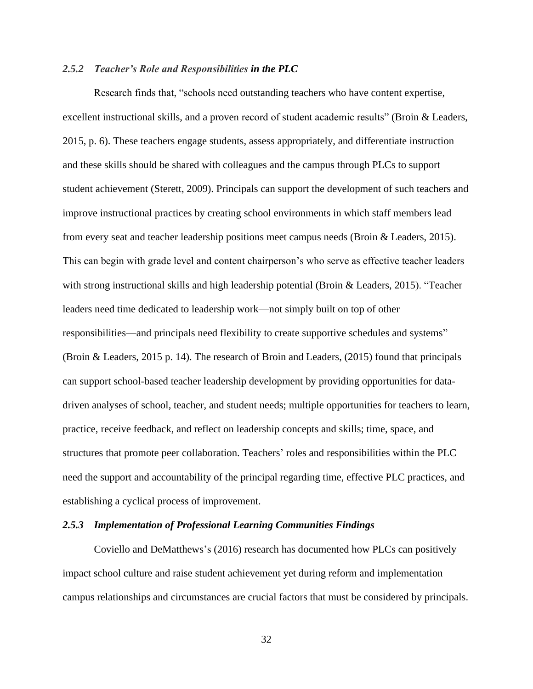### *2.5.2 Teacher's Role and Responsibilities in the PLC*

Research finds that, "schools need outstanding teachers who have content expertise, excellent instructional skills, and a proven record of student academic results" (Broin & Leaders, 2015, p. 6). These teachers engage students, assess appropriately, and differentiate instruction and these skills should be shared with colleagues and the campus through PLCs to support student achievement (Sterett, 2009). Principals can support the development of such teachers and improve instructional practices by creating school environments in which staff members lead from every seat and teacher leadership positions meet campus needs (Broin & Leaders, 2015). This can begin with grade level and content chairperson's who serve as effective teacher leaders with strong instructional skills and high leadership potential (Broin & Leaders, 2015). "Teacher leaders need time dedicated to leadership work—not simply built on top of other responsibilities—and principals need flexibility to create supportive schedules and systems" (Broin & Leaders, 2015 p. 14). The research of Broin and Leaders, (2015) found that principals can support school-based teacher leadership development by providing opportunities for datadriven analyses of school, teacher, and student needs; multiple opportunities for teachers to learn, practice, receive feedback, and reflect on leadership concepts and skills; time, space, and structures that promote peer collaboration. Teachers' roles and responsibilities within the PLC need the support and accountability of the principal regarding time, effective PLC practices, and establishing a cyclical process of improvement.

#### *2.5.3 Implementation of Professional Learning Communities Findings*

Coviello and DeMatthews's (2016) research has documented how PLCs can positively impact school culture and raise student achievement yet during reform and implementation campus relationships and circumstances are crucial factors that must be considered by principals.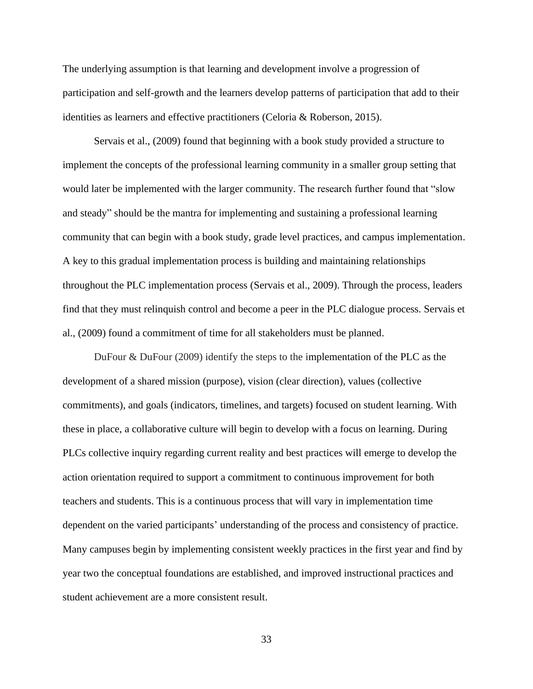The underlying assumption is that learning and development involve a progression of participation and self-growth and the learners develop patterns of participation that add to their identities as learners and effective practitioners (Celoria & Roberson, 2015).

Servais et al., (2009) found that beginning with a book study provided a structure to implement the concepts of the professional learning community in a smaller group setting that would later be implemented with the larger community. The research further found that "slow and steady" should be the mantra for implementing and sustaining a professional learning community that can begin with a book study, grade level practices, and campus implementation. A key to this gradual implementation process is building and maintaining relationships throughout the PLC implementation process (Servais et al., 2009). Through the process, leaders find that they must relinquish control and become a peer in the PLC dialogue process. Servais et al., (2009) found a commitment of time for all stakeholders must be planned.

DuFour & DuFour (2009) identify the steps to the implementation of the PLC as the development of a shared mission (purpose), vision (clear direction), values (collective commitments), and goals (indicators, timelines, and targets) focused on student learning. With these in place, a collaborative culture will begin to develop with a focus on learning. During PLCs collective inquiry regarding current reality and best practices will emerge to develop the action orientation required to support a commitment to continuous improvement for both teachers and students. This is a continuous process that will vary in implementation time dependent on the varied participants' understanding of the process and consistency of practice. Many campuses begin by implementing consistent weekly practices in the first year and find by year two the conceptual foundations are established, and improved instructional practices and student achievement are a more consistent result.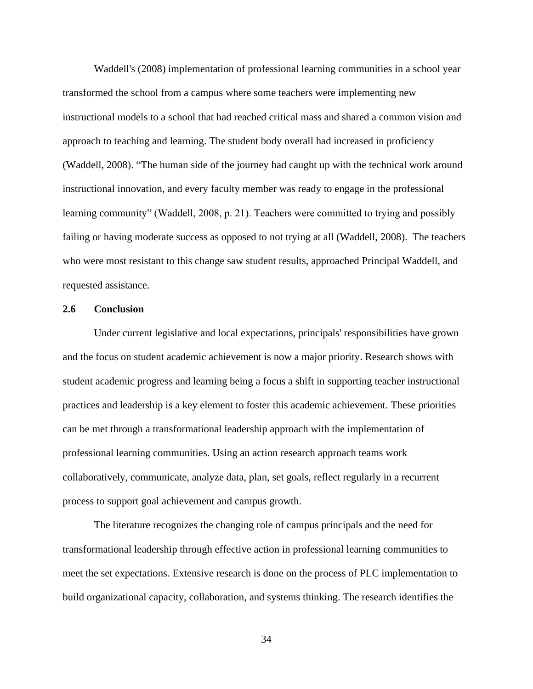Waddell's (2008) implementation of professional learning communities in a school year transformed the school from a campus where some teachers were implementing new instructional models to a school that had reached critical mass and shared a common vision and approach to teaching and learning. The student body overall had increased in proficiency (Waddell, 2008). "The human side of the journey had caught up with the technical work around instructional innovation, and every faculty member was ready to engage in the professional learning community" (Waddell, 2008, p. 21). Teachers were committed to trying and possibly failing or having moderate success as opposed to not trying at all (Waddell, 2008). The teachers who were most resistant to this change saw student results, approached Principal Waddell, and requested assistance.

#### **2.6 Conclusion**

Under current legislative and local expectations, principals' responsibilities have grown and the focus on student academic achievement is now a major priority. Research shows with student academic progress and learning being a focus a shift in supporting teacher instructional practices and leadership is a key element to foster this academic achievement. These priorities can be met through a transformational leadership approach with the implementation of professional learning communities. Using an action research approach teams work collaboratively, communicate, analyze data, plan, set goals, reflect regularly in a recurrent process to support goal achievement and campus growth.

The literature recognizes the changing role of campus principals and the need for transformational leadership through effective action in professional learning communities to meet the set expectations. Extensive research is done on the process of PLC implementation to build organizational capacity, collaboration, and systems thinking. The research identifies the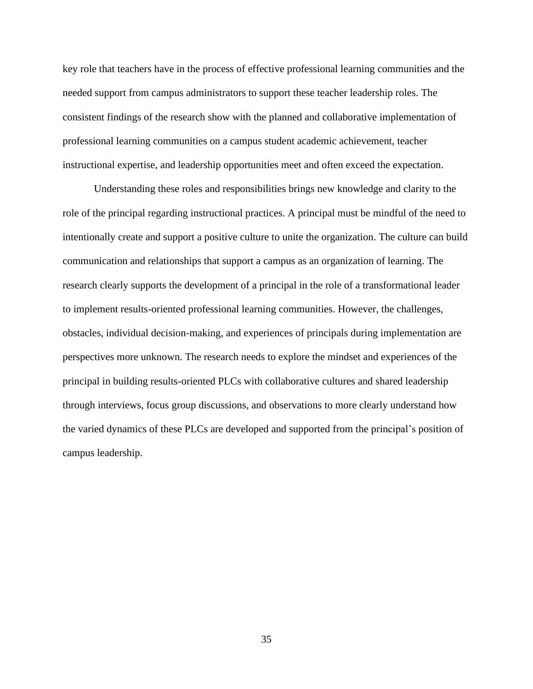key role that teachers have in the process of effective professional learning communities and the needed support from campus administrators to support these teacher leadership roles. The consistent findings of the research show with the planned and collaborative implementation of professional learning communities on a campus student academic achievement, teacher instructional expertise, and leadership opportunities meet and often exceed the expectation.

Understanding these roles and responsibilities brings new knowledge and clarity to the role of the principal regarding instructional practices. A principal must be mindful of the need to intentionally create and support a positive culture to unite the organization. The culture can build communication and relationships that support a campus as an organization of learning. The research clearly supports the development of a principal in the role of a transformational leader to implement results-oriented professional learning communities. However, the challenges, obstacles, individual decision-making, and experiences of principals during implementation are perspectives more unknown. The research needs to explore the mindset and experiences of the principal in building results-oriented PLCs with collaborative cultures and shared leadership through interviews, focus group discussions, and observations to more clearly understand how the varied dynamics of these PLCs are developed and supported from the principal's position of campus leadership.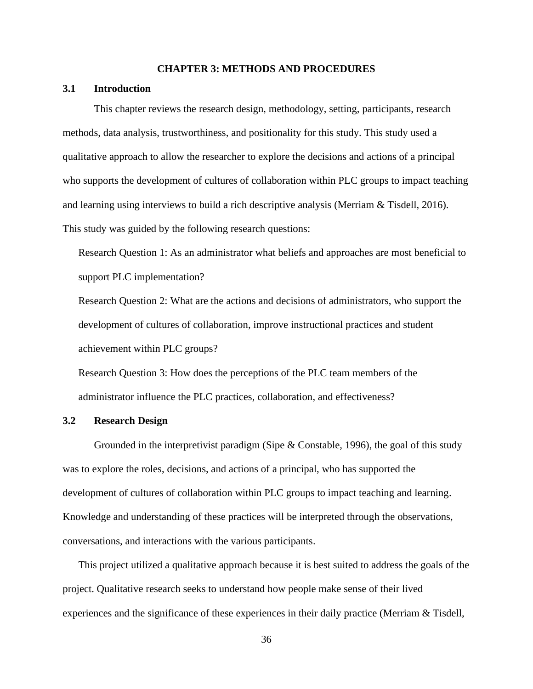#### **CHAPTER 3: METHODS AND PROCEDURES**

## **3.1 Introduction**

This chapter reviews the research design, methodology, setting, participants, research methods, data analysis, trustworthiness, and positionality for this study. This study used a qualitative approach to allow the researcher to explore the decisions and actions of a principal who supports the development of cultures of collaboration within PLC groups to impact teaching and learning using interviews to build a rich descriptive analysis (Merriam & Tisdell, 2016). This study was guided by the following research questions:

Research Question 1: As an administrator what beliefs and approaches are most beneficial to support PLC implementation?

Research Question 2: What are the actions and decisions of administrators, who support the development of cultures of collaboration, improve instructional practices and student achievement within PLC groups?

Research Question 3: How does the perceptions of the PLC team members of the administrator influence the PLC practices, collaboration, and effectiveness?

## **3.2 Research Design**

Grounded in the interpretivist paradigm (Sipe & Constable, 1996), the goal of this study was to explore the roles, decisions, and actions of a principal, who has supported the development of cultures of collaboration within PLC groups to impact teaching and learning. Knowledge and understanding of these practices will be interpreted through the observations, conversations, and interactions with the various participants.

This project utilized a qualitative approach because it is best suited to address the goals of the project. Qualitative research seeks to understand how people make sense of their lived experiences and the significance of these experiences in their daily practice (Merriam & Tisdell,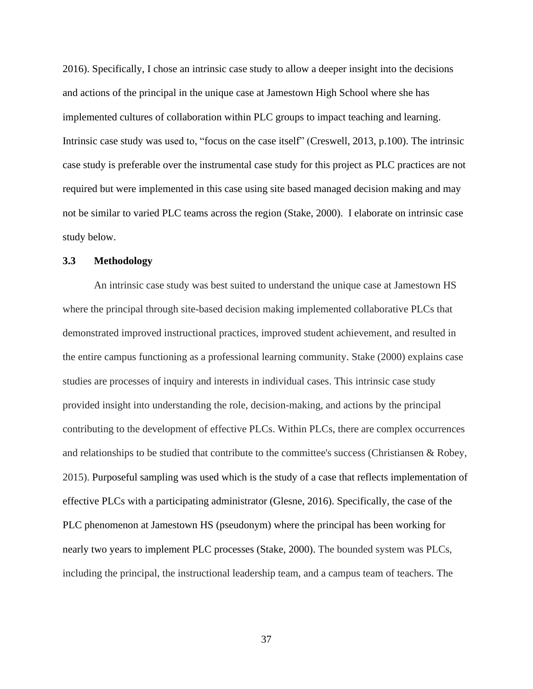2016). Specifically, I chose an intrinsic case study to allow a deeper insight into the decisions and actions of the principal in the unique case at Jamestown High School where she has implemented cultures of collaboration within PLC groups to impact teaching and learning. Intrinsic case study was used to, "focus on the case itself" (Creswell, 2013, p.100). The intrinsic case study is preferable over the instrumental case study for this project as PLC practices are not required but were implemented in this case using site based managed decision making and may not be similar to varied PLC teams across the region (Stake, 2000). I elaborate on intrinsic case study below.

## **3.3 Methodology**

An intrinsic case study was best suited to understand the unique case at Jamestown HS where the principal through site-based decision making implemented collaborative PLCs that demonstrated improved instructional practices, improved student achievement, and resulted in the entire campus functioning as a professional learning community. Stake (2000) explains case studies are processes of inquiry and interests in individual cases. This intrinsic case study provided insight into understanding the role, decision-making, and actions by the principal contributing to the development of effective PLCs. Within PLCs, there are complex occurrences and relationships to be studied that contribute to the committee's success (Christiansen & Robey, 2015). Purposeful sampling was used which is the study of a case that reflects implementation of effective PLCs with a participating administrator (Glesne, 2016). Specifically, the case of the PLC phenomenon at Jamestown HS (pseudonym) where the principal has been working for nearly two years to implement PLC processes (Stake, 2000). The bounded system was PLCs, including the principal, the instructional leadership team, and a campus team of teachers. The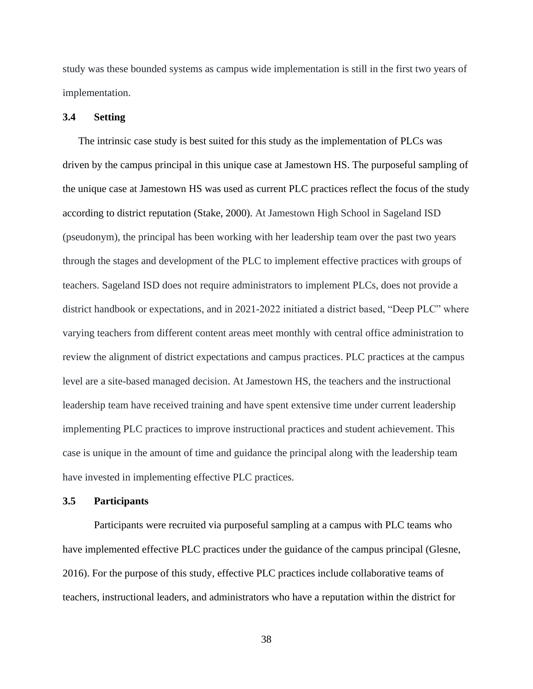study was these bounded systems as campus wide implementation is still in the first two years of implementation.

### **3.4 Setting**

The intrinsic case study is best suited for this study as the implementation of PLCs was driven by the campus principal in this unique case at Jamestown HS. The purposeful sampling of the unique case at Jamestown HS was used as current PLC practices reflect the focus of the study according to district reputation (Stake, 2000). At Jamestown High School in Sageland ISD (pseudonym), the principal has been working with her leadership team over the past two years through the stages and development of the PLC to implement effective practices with groups of teachers. Sageland ISD does not require administrators to implement PLCs, does not provide a district handbook or expectations, and in 2021-2022 initiated a district based, "Deep PLC" where varying teachers from different content areas meet monthly with central office administration to review the alignment of district expectations and campus practices. PLC practices at the campus level are a site-based managed decision. At Jamestown HS, the teachers and the instructional leadership team have received training and have spent extensive time under current leadership implementing PLC practices to improve instructional practices and student achievement. This case is unique in the amount of time and guidance the principal along with the leadership team have invested in implementing effective PLC practices.

#### **3.5 Participants**

Participants were recruited via purposeful sampling at a campus with PLC teams who have implemented effective PLC practices under the guidance of the campus principal (Glesne, 2016). For the purpose of this study, effective PLC practices include collaborative teams of teachers, instructional leaders, and administrators who have a reputation within the district for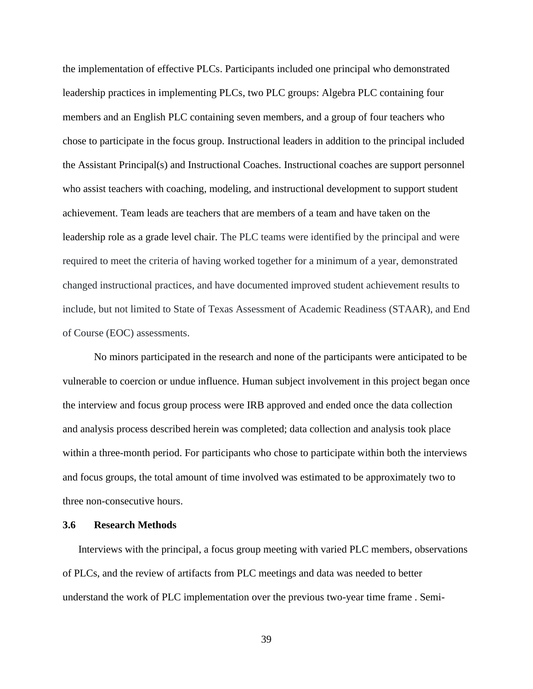the implementation of effective PLCs. Participants included one principal who demonstrated leadership practices in implementing PLCs, two PLC groups: Algebra PLC containing four members and an English PLC containing seven members, and a group of four teachers who chose to participate in the focus group. Instructional leaders in addition to the principal included the Assistant Principal(s) and Instructional Coaches. Instructional coaches are support personnel who assist teachers with coaching, modeling, and instructional development to support student achievement. Team leads are teachers that are members of a team and have taken on the leadership role as a grade level chair. The PLC teams were identified by the principal and were required to meet the criteria of having worked together for a minimum of a year, demonstrated changed instructional practices, and have documented improved student achievement results to include, but not limited to State of Texas Assessment of Academic Readiness (STAAR), and End of Course (EOC) assessments.

No minors participated in the research and none of the participants were anticipated to be vulnerable to coercion or undue influence. Human subject involvement in this project began once the interview and focus group process were IRB approved and ended once the data collection and analysis process described herein was completed; data collection and analysis took place within a three-month period. For participants who chose to participate within both the interviews and focus groups, the total amount of time involved was estimated to be approximately two to three non-consecutive hours.

### **3.6 Research Methods**

Interviews with the principal, a focus group meeting with varied PLC members, observations of PLCs, and the review of artifacts from PLC meetings and data was needed to better understand the work of PLC implementation over the previous two-year time frame . Semi-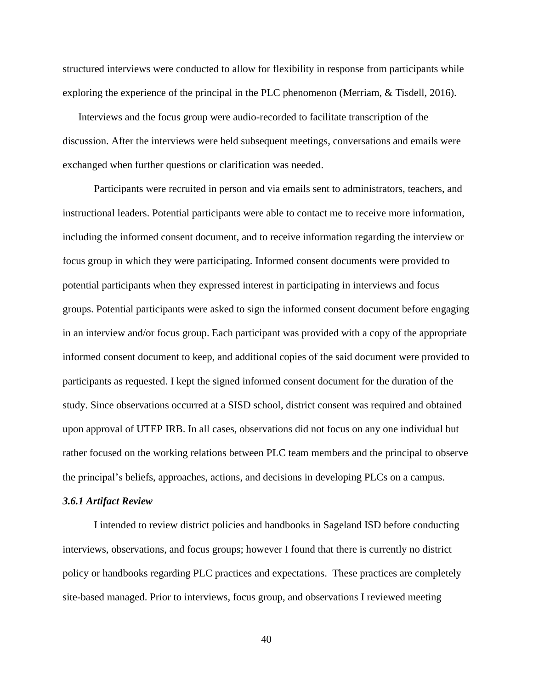structured interviews were conducted to allow for flexibility in response from participants while exploring the experience of the principal in the PLC phenomenon (Merriam, & Tisdell, 2016).

Interviews and the focus group were audio-recorded to facilitate transcription of the discussion. After the interviews were held subsequent meetings, conversations and emails were exchanged when further questions or clarification was needed.

Participants were recruited in person and via emails sent to administrators, teachers, and instructional leaders. Potential participants were able to contact me to receive more information, including the informed consent document, and to receive information regarding the interview or focus group in which they were participating. Informed consent documents were provided to potential participants when they expressed interest in participating in interviews and focus groups. Potential participants were asked to sign the informed consent document before engaging in an interview and/or focus group. Each participant was provided with a copy of the appropriate informed consent document to keep, and additional copies of the said document were provided to participants as requested. I kept the signed informed consent document for the duration of the study. Since observations occurred at a SISD school, district consent was required and obtained upon approval of UTEP IRB. In all cases, observations did not focus on any one individual but rather focused on the working relations between PLC team members and the principal to observe the principal's beliefs, approaches, actions, and decisions in developing PLCs on a campus.

#### *3.6.1 Artifact Review*

I intended to review district policies and handbooks in Sageland ISD before conducting interviews, observations, and focus groups; however I found that there is currently no district policy or handbooks regarding PLC practices and expectations. These practices are completely site-based managed. Prior to interviews, focus group, and observations I reviewed meeting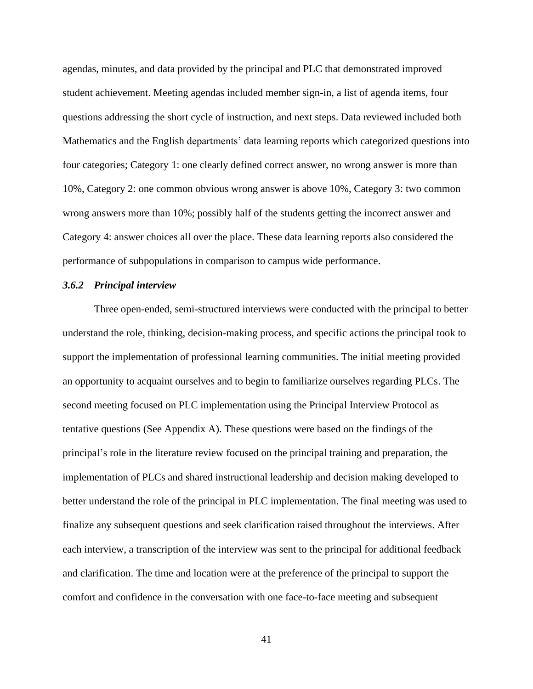agendas, minutes, and data provided by the principal and PLC that demonstrated improved student achievement. Meeting agendas included member sign-in, a list of agenda items, four questions addressing the short cycle of instruction, and next steps. Data reviewed included both Mathematics and the English departments' data learning reports which categorized questions into four categories; Category 1: one clearly defined correct answer, no wrong answer is more than 10%, Category 2: one common obvious wrong answer is above 10%, Category 3: two common wrong answers more than 10%; possibly half of the students getting the incorrect answer and Category 4: answer choices all over the place. These data learning reports also considered the performance of subpopulations in comparison to campus wide performance.

## *3.6.2 Principal interview*

Three open-ended, semi-structured interviews were conducted with the principal to better understand the role, thinking, decision-making process, and specific actions the principal took to support the implementation of professional learning communities. The initial meeting provided an opportunity to acquaint ourselves and to begin to familiarize ourselves regarding PLCs. The second meeting focused on PLC implementation using the Principal Interview Protocol as tentative questions (See Appendix A). These questions were based on the findings of the principal's role in the literature review focused on the principal training and preparation, the implementation of PLCs and shared instructional leadership and decision making developed to better understand the role of the principal in PLC implementation. The final meeting was used to finalize any subsequent questions and seek clarification raised throughout the interviews. After each interview, a transcription of the interview was sent to the principal for additional feedback and clarification. The time and location were at the preference of the principal to support the comfort and confidence in the conversation with one face-to-face meeting and subsequent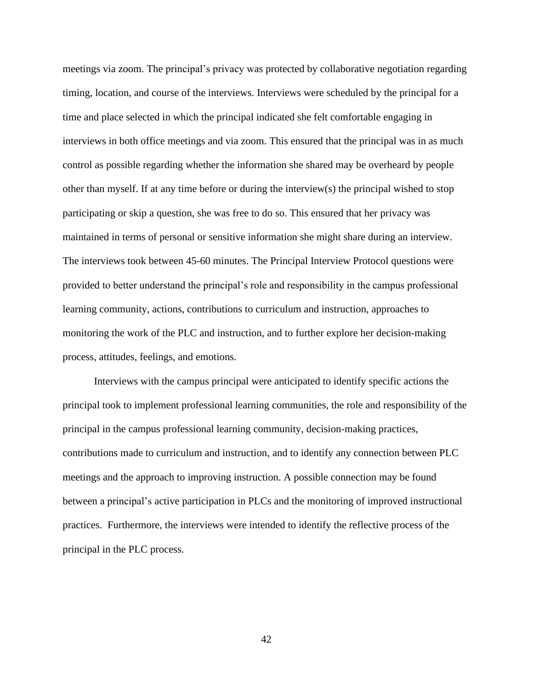meetings via zoom. The principal's privacy was protected by collaborative negotiation regarding timing, location, and course of the interviews. Interviews were scheduled by the principal for a time and place selected in which the principal indicated she felt comfortable engaging in interviews in both office meetings and via zoom. This ensured that the principal was in as much control as possible regarding whether the information she shared may be overheard by people other than myself. If at any time before or during the interview(s) the principal wished to stop participating or skip a question, she was free to do so. This ensured that her privacy was maintained in terms of personal or sensitive information she might share during an interview. The interviews took between 45-60 minutes. The Principal Interview Protocol questions were provided to better understand the principal's role and responsibility in the campus professional learning community, actions, contributions to curriculum and instruction, approaches to monitoring the work of the PLC and instruction, and to further explore her decision-making process, attitudes, feelings, and emotions.

Interviews with the campus principal were anticipated to identify specific actions the principal took to implement professional learning communities, the role and responsibility of the principal in the campus professional learning community, decision-making practices, contributions made to curriculum and instruction, and to identify any connection between PLC meetings and the approach to improving instruction. A possible connection may be found between a principal's active participation in PLCs and the monitoring of improved instructional practices. Furthermore, the interviews were intended to identify the reflective process of the principal in the PLC process.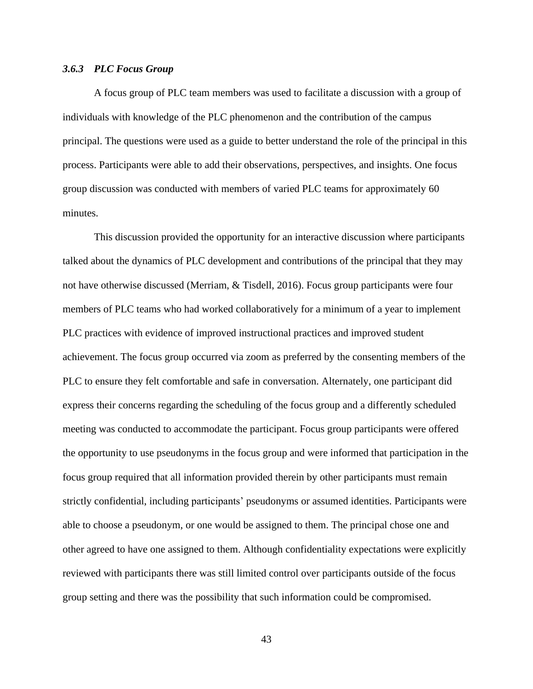#### *3.6.3 PLC Focus Group*

A focus group of PLC team members was used to facilitate a discussion with a group of individuals with knowledge of the PLC phenomenon and the contribution of the campus principal. The questions were used as a guide to better understand the role of the principal in this process. Participants were able to add their observations, perspectives, and insights. One focus group discussion was conducted with members of varied PLC teams for approximately 60 minutes.

This discussion provided the opportunity for an interactive discussion where participants talked about the dynamics of PLC development and contributions of the principal that they may not have otherwise discussed (Merriam, & Tisdell, 2016). Focus group participants were four members of PLC teams who had worked collaboratively for a minimum of a year to implement PLC practices with evidence of improved instructional practices and improved student achievement. The focus group occurred via zoom as preferred by the consenting members of the PLC to ensure they felt comfortable and safe in conversation. Alternately, one participant did express their concerns regarding the scheduling of the focus group and a differently scheduled meeting was conducted to accommodate the participant. Focus group participants were offered the opportunity to use pseudonyms in the focus group and were informed that participation in the focus group required that all information provided therein by other participants must remain strictly confidential, including participants' pseudonyms or assumed identities. Participants were able to choose a pseudonym, or one would be assigned to them. The principal chose one and other agreed to have one assigned to them. Although confidentiality expectations were explicitly reviewed with participants there was still limited control over participants outside of the focus group setting and there was the possibility that such information could be compromised.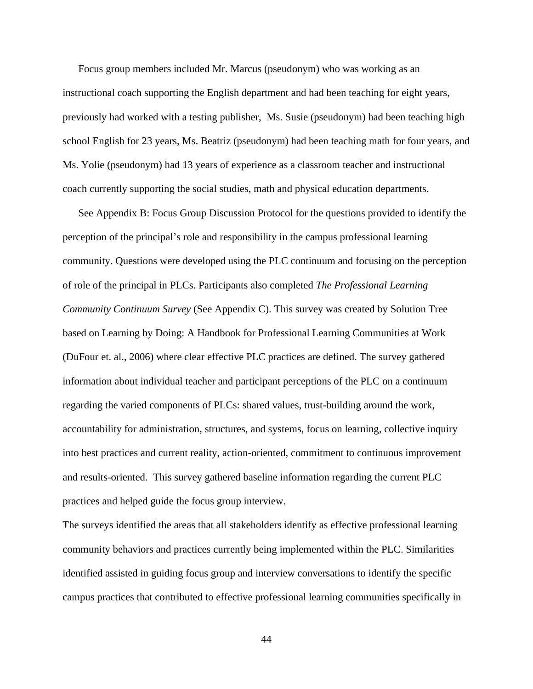Focus group members included Mr. Marcus (pseudonym) who was working as an instructional coach supporting the English department and had been teaching for eight years, previously had worked with a testing publisher, Ms. Susie (pseudonym) had been teaching high school English for 23 years, Ms. Beatriz (pseudonym) had been teaching math for four years, and Ms. Yolie (pseudonym) had 13 years of experience as a classroom teacher and instructional coach currently supporting the social studies, math and physical education departments.

See Appendix B: Focus Group Discussion Protocol for the questions provided to identify the perception of the principal's role and responsibility in the campus professional learning community. Questions were developed using the PLC continuum and focusing on the perception of role of the principal in PLCs. Participants also completed *The Professional Learning Community Continuum Survey* (See Appendix C). This survey was created by Solution Tree based on Learning by Doing: A Handbook for Professional Learning Communities at Work (DuFour et. al., 2006) where clear effective PLC practices are defined. The survey gathered information about individual teacher and participant perceptions of the PLC on a continuum regarding the varied components of PLCs: shared values, trust-building around the work, accountability for administration, structures, and systems, focus on learning, collective inquiry into best practices and current reality, action-oriented, commitment to continuous improvement and results-oriented. This survey gathered baseline information regarding the current PLC practices and helped guide the focus group interview.

The surveys identified the areas that all stakeholders identify as effective professional learning community behaviors and practices currently being implemented within the PLC. Similarities identified assisted in guiding focus group and interview conversations to identify the specific campus practices that contributed to effective professional learning communities specifically in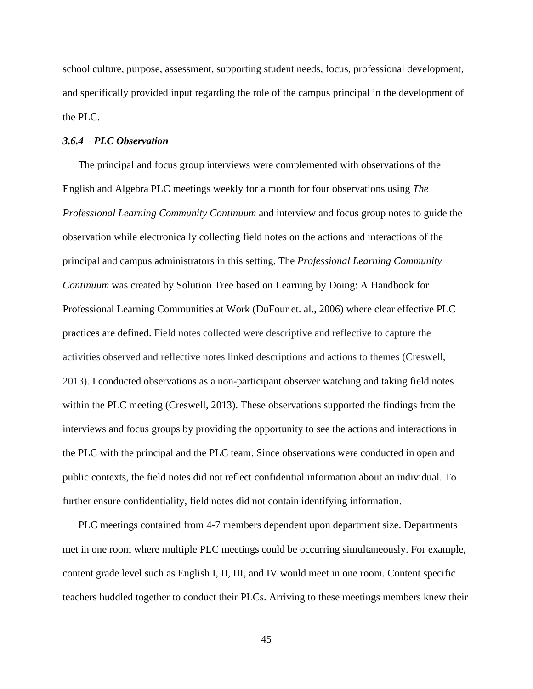school culture, purpose, assessment, supporting student needs, focus, professional development, and specifically provided input regarding the role of the campus principal in the development of the PLC.

### *3.6.4 PLC Observation*

The principal and focus group interviews were complemented with observations of the English and Algebra PLC meetings weekly for a month for four observations using *The Professional Learning Community Continuum* and interview and focus group notes to guide the observation while electronically collecting field notes on the actions and interactions of the principal and campus administrators in this setting. The *Professional Learning Community Continuum* was created by Solution Tree based on Learning by Doing: A Handbook for Professional Learning Communities at Work (DuFour et. al., 2006) where clear effective PLC practices are defined. Field notes collected were descriptive and reflective to capture the activities observed and reflective notes linked descriptions and actions to themes (Creswell, 2013). I conducted observations as a non-participant observer watching and taking field notes within the PLC meeting (Creswell, 2013). These observations supported the findings from the interviews and focus groups by providing the opportunity to see the actions and interactions in the PLC with the principal and the PLC team. Since observations were conducted in open and public contexts, the field notes did not reflect confidential information about an individual. To further ensure confidentiality, field notes did not contain identifying information.

PLC meetings contained from 4-7 members dependent upon department size. Departments met in one room where multiple PLC meetings could be occurring simultaneously. For example, content grade level such as English I, II, III, and IV would meet in one room. Content specific teachers huddled together to conduct their PLCs. Arriving to these meetings members knew their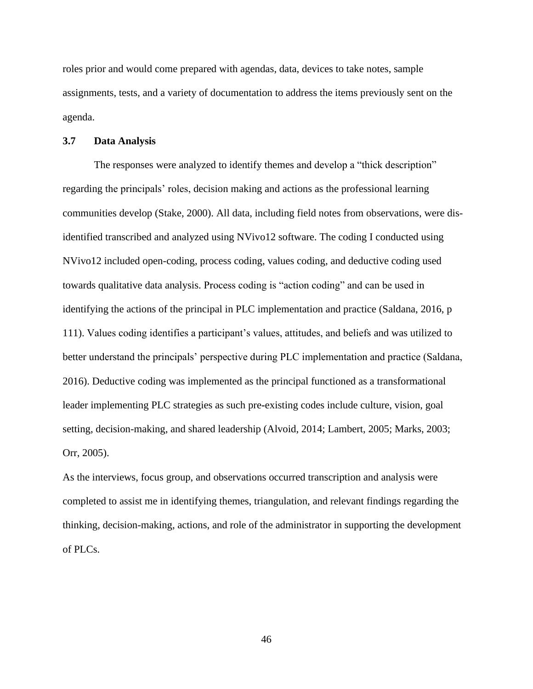roles prior and would come prepared with agendas, data, devices to take notes, sample assignments, tests, and a variety of documentation to address the items previously sent on the agenda.

### **3.7 Data Analysis**

The responses were analyzed to identify themes and develop a "thick description" regarding the principals' roles, decision making and actions as the professional learning communities develop (Stake, 2000). All data, including field notes from observations, were disidentified transcribed and analyzed using NVivo12 software. The coding I conducted using NVivo12 included open-coding, process coding, values coding, and deductive coding used towards qualitative data analysis. Process coding is "action coding" and can be used in identifying the actions of the principal in PLC implementation and practice (Saldana, 2016, p 111). Values coding identifies a participant's values, attitudes, and beliefs and was utilized to better understand the principals' perspective during PLC implementation and practice (Saldana, 2016). Deductive coding was implemented as the principal functioned as a transformational leader implementing PLC strategies as such pre**-**existing codes include culture, vision, goal setting, decision-making, and shared leadership (Alvoid, 2014; Lambert, 2005; Marks, 2003; Orr, 2005).

As the interviews, focus group, and observations occurred transcription and analysis were completed to assist me in identifying themes, triangulation, and relevant findings regarding the thinking, decision-making, actions, and role of the administrator in supporting the development of PLCs.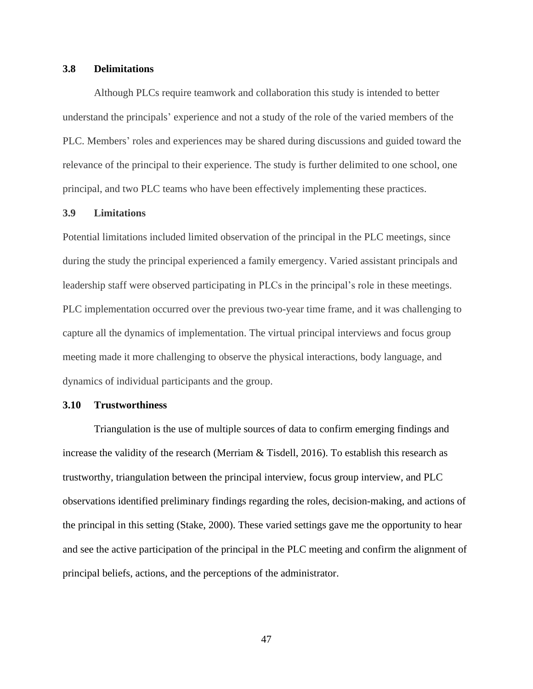## **3.8 Delimitations**

Although PLCs require teamwork and collaboration this study is intended to better understand the principals' experience and not a study of the role of the varied members of the PLC. Members' roles and experiences may be shared during discussions and guided toward the relevance of the principal to their experience. The study is further delimited to one school, one principal, and two PLC teams who have been effectively implementing these practices.

## **3.9 Limitations**

Potential limitations included limited observation of the principal in the PLC meetings, since during the study the principal experienced a family emergency. Varied assistant principals and leadership staff were observed participating in PLCs in the principal's role in these meetings. PLC implementation occurred over the previous two-year time frame, and it was challenging to capture all the dynamics of implementation. The virtual principal interviews and focus group meeting made it more challenging to observe the physical interactions, body language, and dynamics of individual participants and the group.

#### **3.10 Trustworthiness**

Triangulation is the use of multiple sources of data to confirm emerging findings and increase the validity of the research (Merriam & Tisdell, 2016). To establish this research as trustworthy, triangulation between the principal interview, focus group interview, and PLC observations identified preliminary findings regarding the roles, decision-making, and actions of the principal in this setting (Stake, 2000). These varied settings gave me the opportunity to hear and see the active participation of the principal in the PLC meeting and confirm the alignment of principal beliefs, actions, and the perceptions of the administrator.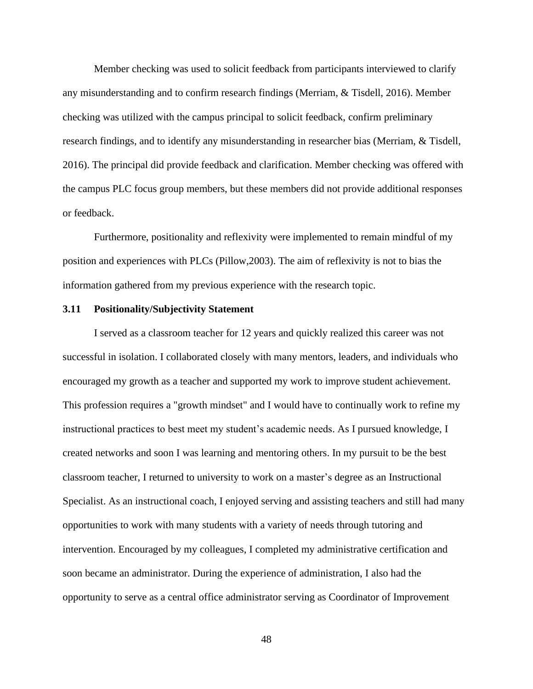Member checking was used to solicit feedback from participants interviewed to clarify any misunderstanding and to confirm research findings (Merriam, & Tisdell, 2016). Member checking was utilized with the campus principal to solicit feedback, confirm preliminary research findings, and to identify any misunderstanding in researcher bias (Merriam, & Tisdell, 2016). The principal did provide feedback and clarification. Member checking was offered with the campus PLC focus group members, but these members did not provide additional responses or feedback.

Furthermore, positionality and reflexivity were implemented to remain mindful of my position and experiences with PLCs (Pillow,2003). The aim of reflexivity is not to bias the information gathered from my previous experience with the research topic.

### **3.11 Positionality/Subjectivity Statement**

I served as a classroom teacher for 12 years and quickly realized this career was not successful in isolation. I collaborated closely with many mentors, leaders, and individuals who encouraged my growth as a teacher and supported my work to improve student achievement. This profession requires a "growth mindset" and I would have to continually work to refine my instructional practices to best meet my student's academic needs. As I pursued knowledge, I created networks and soon I was learning and mentoring others. In my pursuit to be the best classroom teacher, I returned to university to work on a master's degree as an Instructional Specialist. As an instructional coach, I enjoyed serving and assisting teachers and still had many opportunities to work with many students with a variety of needs through tutoring and intervention. Encouraged by my colleagues, I completed my administrative certification and soon became an administrator. During the experience of administration, I also had the opportunity to serve as a central office administrator serving as Coordinator of Improvement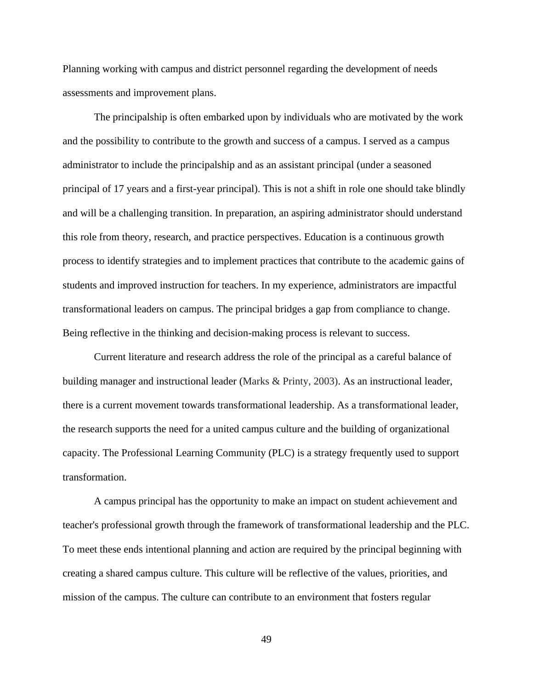Planning working with campus and district personnel regarding the development of needs assessments and improvement plans.

The principalship is often embarked upon by individuals who are motivated by the work and the possibility to contribute to the growth and success of a campus. I served as a campus administrator to include the principalship and as an assistant principal (under a seasoned principal of 17 years and a first-year principal). This is not a shift in role one should take blindly and will be a challenging transition. In preparation, an aspiring administrator should understand this role from theory, research, and practice perspectives. Education is a continuous growth process to identify strategies and to implement practices that contribute to the academic gains of students and improved instruction for teachers. In my experience, administrators are impactful transformational leaders on campus. The principal bridges a gap from compliance to change. Being reflective in the thinking and decision-making process is relevant to success.

Current literature and research address the role of the principal as a careful balance of building manager and instructional leader (Marks & Printy, 2003). As an instructional leader, there is a current movement towards transformational leadership. As a transformational leader, the research supports the need for a united campus culture and the building of organizational capacity. The Professional Learning Community (PLC) is a strategy frequently used to support transformation.

A campus principal has the opportunity to make an impact on student achievement and teacher's professional growth through the framework of transformational leadership and the PLC. To meet these ends intentional planning and action are required by the principal beginning with creating a shared campus culture. This culture will be reflective of the values, priorities, and mission of the campus. The culture can contribute to an environment that fosters regular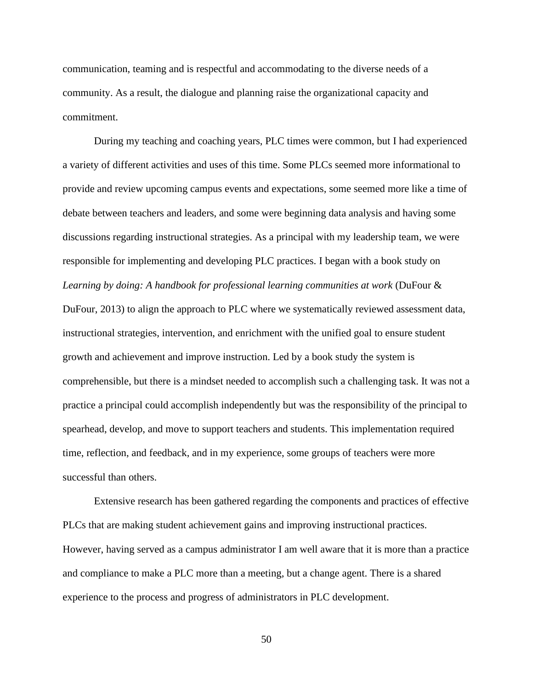communication, teaming and is respectful and accommodating to the diverse needs of a community. As a result, the dialogue and planning raise the organizational capacity and commitment.

During my teaching and coaching years, PLC times were common, but I had experienced a variety of different activities and uses of this time. Some PLCs seemed more informational to provide and review upcoming campus events and expectations, some seemed more like a time of debate between teachers and leaders, and some were beginning data analysis and having some discussions regarding instructional strategies. As a principal with my leadership team, we were responsible for implementing and developing PLC practices. I began with a book study on *Learning by doing: A handbook for professional learning communities at work* (DuFour & DuFour, 2013) to align the approach to PLC where we systematically reviewed assessment data, instructional strategies, intervention, and enrichment with the unified goal to ensure student growth and achievement and improve instruction. Led by a book study the system is comprehensible, but there is a mindset needed to accomplish such a challenging task. It was not a practice a principal could accomplish independently but was the responsibility of the principal to spearhead, develop, and move to support teachers and students. This implementation required time, reflection, and feedback, and in my experience, some groups of teachers were more successful than others.

Extensive research has been gathered regarding the components and practices of effective PLCs that are making student achievement gains and improving instructional practices. However, having served as a campus administrator I am well aware that it is more than a practice and compliance to make a PLC more than a meeting, but a change agent. There is a shared experience to the process and progress of administrators in PLC development.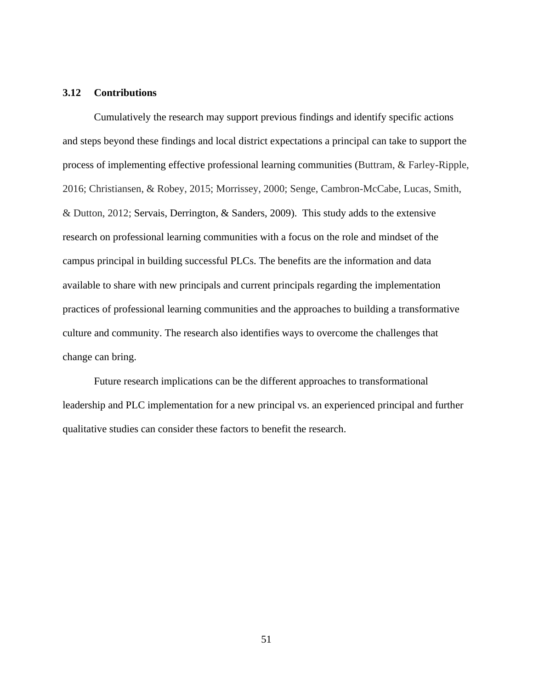# **3.12 Contributions**

Cumulatively the research may support previous findings and identify specific actions and steps beyond these findings and local district expectations a principal can take to support the process of implementing effective professional learning communities (Buttram, & Farley-Ripple, 2016; Christiansen, & Robey, 2015; Morrissey, 2000; Senge, Cambron-McCabe, Lucas, Smith, & Dutton, 2012; Servais, Derrington, & Sanders, 2009). This study adds to the extensive research on professional learning communities with a focus on the role and mindset of the campus principal in building successful PLCs. The benefits are the information and data available to share with new principals and current principals regarding the implementation practices of professional learning communities and the approaches to building a transformative culture and community. The research also identifies ways to overcome the challenges that change can bring.

Future research implications can be the different approaches to transformational leadership and PLC implementation for a new principal vs. an experienced principal and further qualitative studies can consider these factors to benefit the research.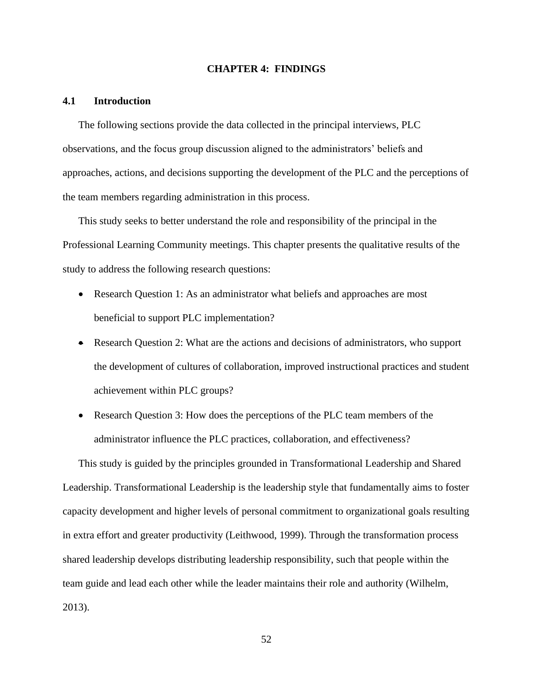#### **CHAPTER 4: FINDINGS**

## **4.1 Introduction**

The following sections provide the data collected in the principal interviews, PLC observations, and the focus group discussion aligned to the administrators' beliefs and approaches, actions, and decisions supporting the development of the PLC and the perceptions of the team members regarding administration in this process.

This study seeks to better understand the role and responsibility of the principal in the Professional Learning Community meetings. This chapter presents the qualitative results of the study to address the following research questions:

- Research Question 1: As an administrator what beliefs and approaches are most beneficial to support PLC implementation?
- Research Question 2: What are the actions and decisions of administrators, who support the development of cultures of collaboration, improved instructional practices and student achievement within PLC groups?
- Research Question 3: How does the perceptions of the PLC team members of the administrator influence the PLC practices, collaboration, and effectiveness?

This study is guided by the principles grounded in Transformational Leadership and Shared Leadership. Transformational Leadership is the leadership style that fundamentally aims to foster capacity development and higher levels of personal commitment to organizational goals resulting in extra effort and greater productivity (Leithwood, 1999). Through the transformation process shared leadership develops distributing leadership responsibility, such that people within the team guide and lead each other while the leader maintains their role and authority (Wilhelm, 2013).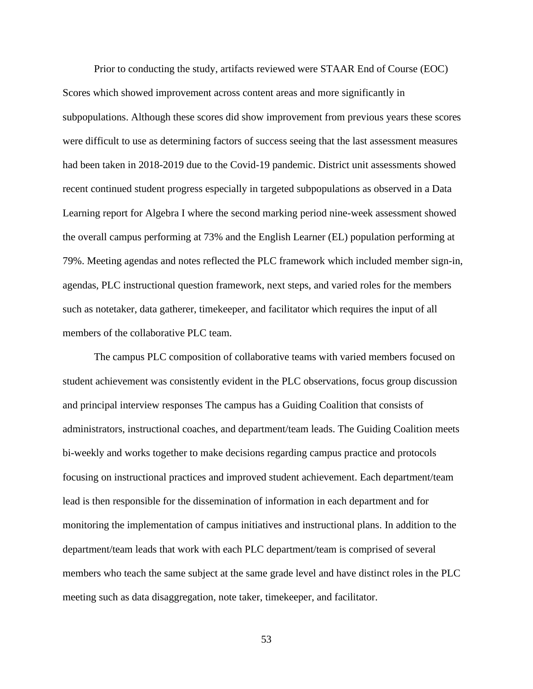Prior to conducting the study, artifacts reviewed were STAAR End of Course (EOC) Scores which showed improvement across content areas and more significantly in subpopulations. Although these scores did show improvement from previous years these scores were difficult to use as determining factors of success seeing that the last assessment measures had been taken in 2018-2019 due to the Covid-19 pandemic. District unit assessments showed recent continued student progress especially in targeted subpopulations as observed in a Data Learning report for Algebra I where the second marking period nine-week assessment showed the overall campus performing at 73% and the English Learner (EL) population performing at 79%. Meeting agendas and notes reflected the PLC framework which included member sign-in, agendas, PLC instructional question framework, next steps, and varied roles for the members such as notetaker, data gatherer, timekeeper, and facilitator which requires the input of all members of the collaborative PLC team.

The campus PLC composition of collaborative teams with varied members focused on student achievement was consistently evident in the PLC observations, focus group discussion and principal interview responses The campus has a Guiding Coalition that consists of administrators, instructional coaches, and department/team leads. The Guiding Coalition meets bi-weekly and works together to make decisions regarding campus practice and protocols focusing on instructional practices and improved student achievement. Each department/team lead is then responsible for the dissemination of information in each department and for monitoring the implementation of campus initiatives and instructional plans. In addition to the department/team leads that work with each PLC department/team is comprised of several members who teach the same subject at the same grade level and have distinct roles in the PLC meeting such as data disaggregation, note taker, timekeeper, and facilitator.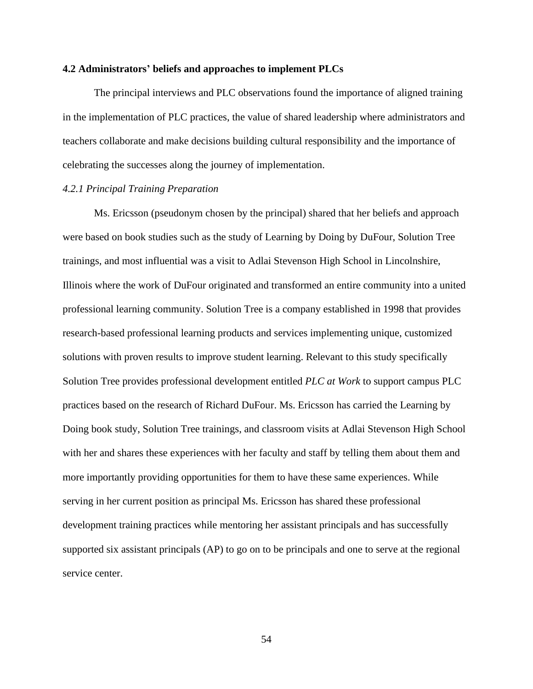#### **4.2 Administrators' beliefs and approaches to implement PLCs**

The principal interviews and PLC observations found the importance of aligned training in the implementation of PLC practices, the value of shared leadership where administrators and teachers collaborate and make decisions building cultural responsibility and the importance of celebrating the successes along the journey of implementation.

## *4.2.1 Principal Training Preparation*

Ms. Ericsson (pseudonym chosen by the principal) shared that her beliefs and approach were based on book studies such as the study of Learning by Doing by DuFour, Solution Tree trainings, and most influential was a visit to Adlai Stevenson High School in Lincolnshire, Illinois where the work of DuFour originated and transformed an entire community into a united professional learning community. Solution Tree is a company established in 1998 that provides research-based professional learning products and services implementing unique, customized solutions with proven results to improve student learning. Relevant to this study specifically Solution Tree provides professional development entitled *PLC at Work* to support campus PLC practices based on the research of Richard DuFour. Ms. Ericsson has carried the Learning by Doing book study, Solution Tree trainings, and classroom visits at Adlai Stevenson High School with her and shares these experiences with her faculty and staff by telling them about them and more importantly providing opportunities for them to have these same experiences. While serving in her current position as principal Ms. Ericsson has shared these professional development training practices while mentoring her assistant principals and has successfully supported six assistant principals (AP) to go on to be principals and one to serve at the regional service center.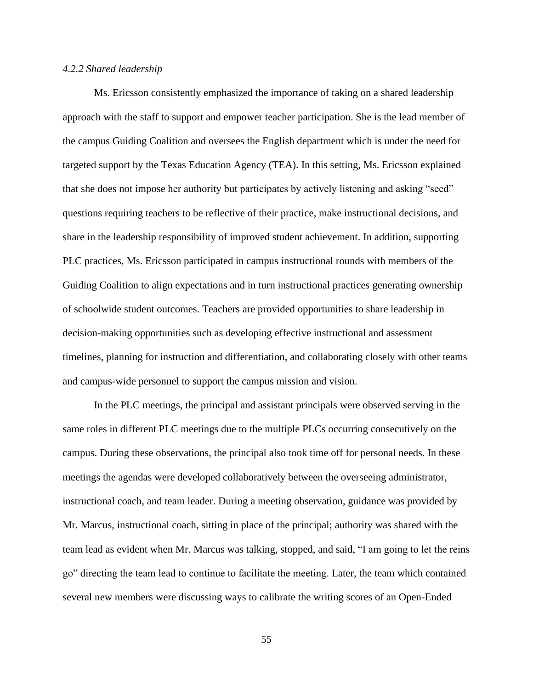## *4.2.2 Shared leadership*

Ms. Ericsson consistently emphasized the importance of taking on a shared leadership approach with the staff to support and empower teacher participation. She is the lead member of the campus Guiding Coalition and oversees the English department which is under the need for targeted support by the Texas Education Agency (TEA). In this setting, Ms. Ericsson explained that she does not impose her authority but participates by actively listening and asking "seed" questions requiring teachers to be reflective of their practice, make instructional decisions, and share in the leadership responsibility of improved student achievement. In addition, supporting PLC practices, Ms. Ericsson participated in campus instructional rounds with members of the Guiding Coalition to align expectations and in turn instructional practices generating ownership of schoolwide student outcomes. Teachers are provided opportunities to share leadership in decision-making opportunities such as developing effective instructional and assessment timelines, planning for instruction and differentiation, and collaborating closely with other teams and campus-wide personnel to support the campus mission and vision.

In the PLC meetings, the principal and assistant principals were observed serving in the same roles in different PLC meetings due to the multiple PLCs occurring consecutively on the campus. During these observations, the principal also took time off for personal needs. In these meetings the agendas were developed collaboratively between the overseeing administrator, instructional coach, and team leader. During a meeting observation, guidance was provided by Mr. Marcus, instructional coach, sitting in place of the principal; authority was shared with the team lead as evident when Mr. Marcus was talking, stopped, and said, "I am going to let the reins go" directing the team lead to continue to facilitate the meeting. Later, the team which contained several new members were discussing ways to calibrate the writing scores of an Open-Ended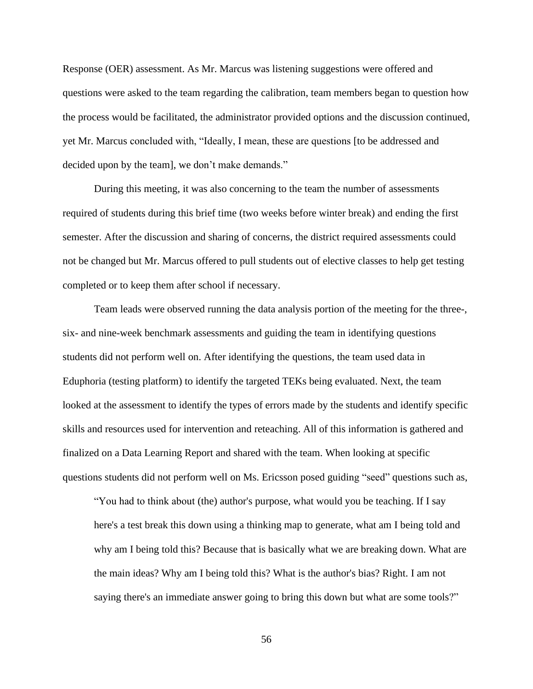Response (OER) assessment. As Mr. Marcus was listening suggestions were offered and questions were asked to the team regarding the calibration, team members began to question how the process would be facilitated, the administrator provided options and the discussion continued, yet Mr. Marcus concluded with, "Ideally, I mean, these are questions [to be addressed and decided upon by the team], we don't make demands."

During this meeting, it was also concerning to the team the number of assessments required of students during this brief time (two weeks before winter break) and ending the first semester. After the discussion and sharing of concerns, the district required assessments could not be changed but Mr. Marcus offered to pull students out of elective classes to help get testing completed or to keep them after school if necessary.

Team leads were observed running the data analysis portion of the meeting for the three-, six- and nine-week benchmark assessments and guiding the team in identifying questions students did not perform well on. After identifying the questions, the team used data in Eduphoria (testing platform) to identify the targeted TEKs being evaluated. Next, the team looked at the assessment to identify the types of errors made by the students and identify specific skills and resources used for intervention and reteaching. All of this information is gathered and finalized on a Data Learning Report and shared with the team. When looking at specific questions students did not perform well on Ms. Ericsson posed guiding "seed" questions such as,

"You had to think about (the) author's purpose, what would you be teaching. If I say here's a test break this down using a thinking map to generate, what am I being told and why am I being told this? Because that is basically what we are breaking down. What are the main ideas? Why am I being told this? What is the author's bias? Right. I am not saying there's an immediate answer going to bring this down but what are some tools?"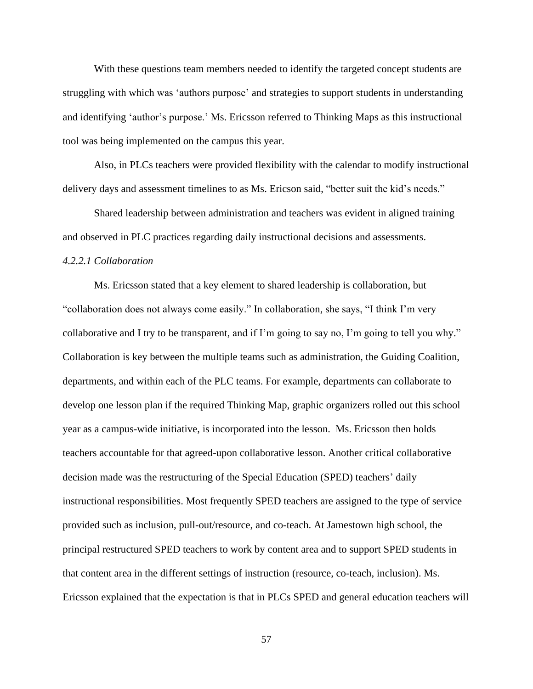With these questions team members needed to identify the targeted concept students are struggling with which was 'authors purpose' and strategies to support students in understanding and identifying 'author's purpose.' Ms. Ericsson referred to Thinking Maps as this instructional tool was being implemented on the campus this year.

Also, in PLCs teachers were provided flexibility with the calendar to modify instructional delivery days and assessment timelines to as Ms. Ericson said, "better suit the kid's needs."

Shared leadership between administration and teachers was evident in aligned training and observed in PLC practices regarding daily instructional decisions and assessments.

## *4.2.2.1 Collaboration*

Ms. Ericsson stated that a key element to shared leadership is collaboration, but "collaboration does not always come easily." In collaboration, she says, "I think I'm very collaborative and I try to be transparent, and if I'm going to say no, I'm going to tell you why." Collaboration is key between the multiple teams such as administration, the Guiding Coalition, departments, and within each of the PLC teams. For example, departments can collaborate to develop one lesson plan if the required Thinking Map, graphic organizers rolled out this school year as a campus-wide initiative, is incorporated into the lesson. Ms. Ericsson then holds teachers accountable for that agreed-upon collaborative lesson. Another critical collaborative decision made was the restructuring of the Special Education (SPED) teachers' daily instructional responsibilities. Most frequently SPED teachers are assigned to the type of service provided such as inclusion, pull-out/resource, and co-teach. At Jamestown high school, the principal restructured SPED teachers to work by content area and to support SPED students in that content area in the different settings of instruction (resource, co-teach, inclusion). Ms. Ericsson explained that the expectation is that in PLCs SPED and general education teachers will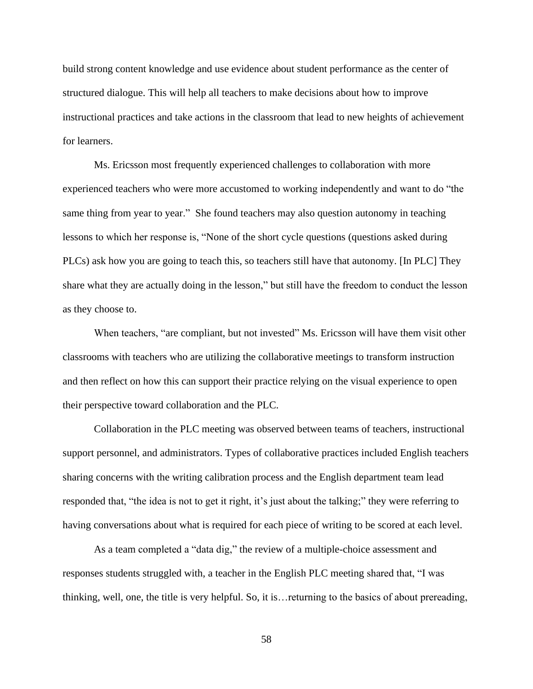build strong content knowledge and use evidence about student performance as the center of structured dialogue. This will help all teachers to make decisions about how to improve instructional practices and take actions in the classroom that lead to new heights of achievement for learners.

Ms. Ericsson most frequently experienced challenges to collaboration with more experienced teachers who were more accustomed to working independently and want to do "the same thing from year to year." She found teachers may also question autonomy in teaching lessons to which her response is, "None of the short cycle questions (questions asked during PLCs) ask how you are going to teach this, so teachers still have that autonomy. [In PLC] They share what they are actually doing in the lesson," but still have the freedom to conduct the lesson as they choose to.

When teachers, "are compliant, but not invested" Ms. Ericsson will have them visit other classrooms with teachers who are utilizing the collaborative meetings to transform instruction and then reflect on how this can support their practice relying on the visual experience to open their perspective toward collaboration and the PLC.

Collaboration in the PLC meeting was observed between teams of teachers, instructional support personnel, and administrators. Types of collaborative practices included English teachers sharing concerns with the writing calibration process and the English department team lead responded that, "the idea is not to get it right, it's just about the talking;" they were referring to having conversations about what is required for each piece of writing to be scored at each level.

As a team completed a "data dig," the review of a multiple-choice assessment and responses students struggled with, a teacher in the English PLC meeting shared that, "I was thinking, well, one, the title is very helpful. So, it is…returning to the basics of about prereading,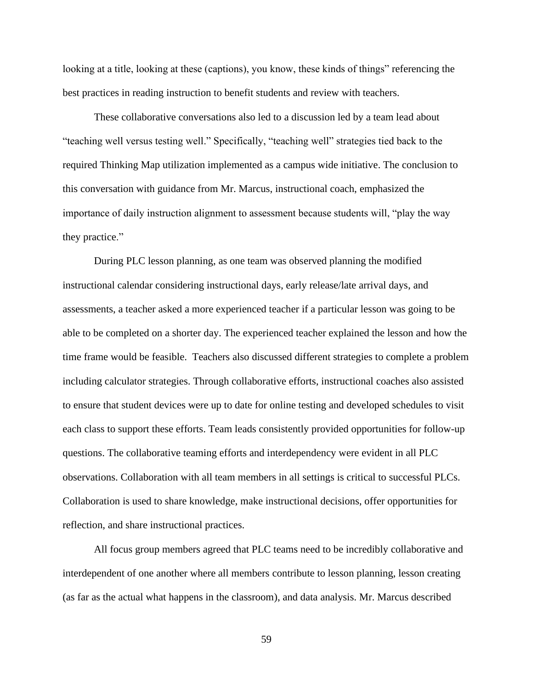looking at a title, looking at these (captions), you know, these kinds of things" referencing the best practices in reading instruction to benefit students and review with teachers.

These collaborative conversations also led to a discussion led by a team lead about "teaching well versus testing well." Specifically, "teaching well" strategies tied back to the required Thinking Map utilization implemented as a campus wide initiative. The conclusion to this conversation with guidance from Mr. Marcus, instructional coach, emphasized the importance of daily instruction alignment to assessment because students will, "play the way they practice."

During PLC lesson planning, as one team was observed planning the modified instructional calendar considering instructional days, early release/late arrival days, and assessments, a teacher asked a more experienced teacher if a particular lesson was going to be able to be completed on a shorter day. The experienced teacher explained the lesson and how the time frame would be feasible. Teachers also discussed different strategies to complete a problem including calculator strategies. Through collaborative efforts, instructional coaches also assisted to ensure that student devices were up to date for online testing and developed schedules to visit each class to support these efforts. Team leads consistently provided opportunities for follow-up questions. The collaborative teaming efforts and interdependency were evident in all PLC observations. Collaboration with all team members in all settings is critical to successful PLCs. Collaboration is used to share knowledge, make instructional decisions, offer opportunities for reflection, and share instructional practices.

All focus group members agreed that PLC teams need to be incredibly collaborative and interdependent of one another where all members contribute to lesson planning, lesson creating (as far as the actual what happens in the classroom), and data analysis. Mr. Marcus described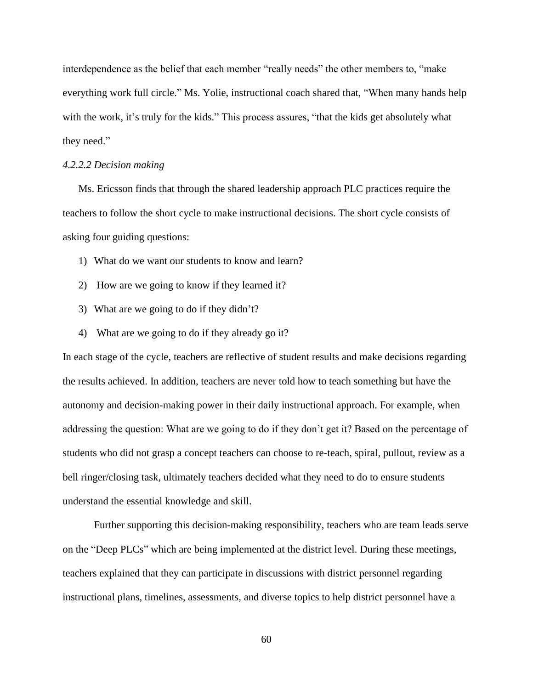interdependence as the belief that each member "really needs" the other members to, "make everything work full circle." Ms. Yolie, instructional coach shared that, "When many hands help with the work, it's truly for the kids." This process assures, "that the kids get absolutely what they need."

#### *4.2.2.2 Decision making*

Ms. Ericsson finds that through the shared leadership approach PLC practices require the teachers to follow the short cycle to make instructional decisions. The short cycle consists of asking four guiding questions:

- 1) What do we want our students to know and learn?
- 2) How are we going to know if they learned it?
- 3) What are we going to do if they didn't?
- 4) What are we going to do if they already go it?

In each stage of the cycle, teachers are reflective of student results and make decisions regarding the results achieved. In addition, teachers are never told how to teach something but have the autonomy and decision-making power in their daily instructional approach. For example, when addressing the question: What are we going to do if they don't get it? Based on the percentage of students who did not grasp a concept teachers can choose to re-teach, spiral, pullout, review as a bell ringer/closing task, ultimately teachers decided what they need to do to ensure students understand the essential knowledge and skill.

Further supporting this decision-making responsibility, teachers who are team leads serve on the "Deep PLCs" which are being implemented at the district level. During these meetings, teachers explained that they can participate in discussions with district personnel regarding instructional plans, timelines, assessments, and diverse topics to help district personnel have a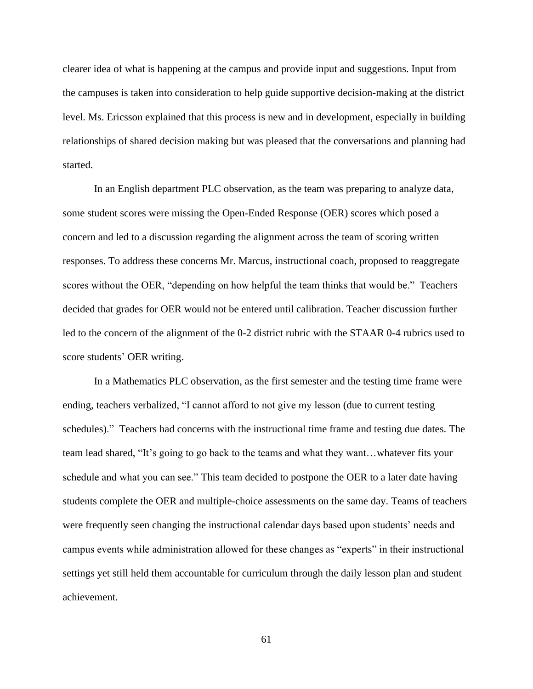clearer idea of what is happening at the campus and provide input and suggestions. Input from the campuses is taken into consideration to help guide supportive decision-making at the district level. Ms. Ericsson explained that this process is new and in development, especially in building relationships of shared decision making but was pleased that the conversations and planning had started.

In an English department PLC observation, as the team was preparing to analyze data, some student scores were missing the Open-Ended Response (OER) scores which posed a concern and led to a discussion regarding the alignment across the team of scoring written responses. To address these concerns Mr. Marcus, instructional coach, proposed to reaggregate scores without the OER, "depending on how helpful the team thinks that would be." Teachers decided that grades for OER would not be entered until calibration. Teacher discussion further led to the concern of the alignment of the 0-2 district rubric with the STAAR 0-4 rubrics used to score students' OER writing.

In a Mathematics PLC observation, as the first semester and the testing time frame were ending, teachers verbalized, "I cannot afford to not give my lesson (due to current testing schedules)." Teachers had concerns with the instructional time frame and testing due dates. The team lead shared, "It's going to go back to the teams and what they want…whatever fits your schedule and what you can see." This team decided to postpone the OER to a later date having students complete the OER and multiple-choice assessments on the same day. Teams of teachers were frequently seen changing the instructional calendar days based upon students' needs and campus events while administration allowed for these changes as "experts" in their instructional settings yet still held them accountable for curriculum through the daily lesson plan and student achievement.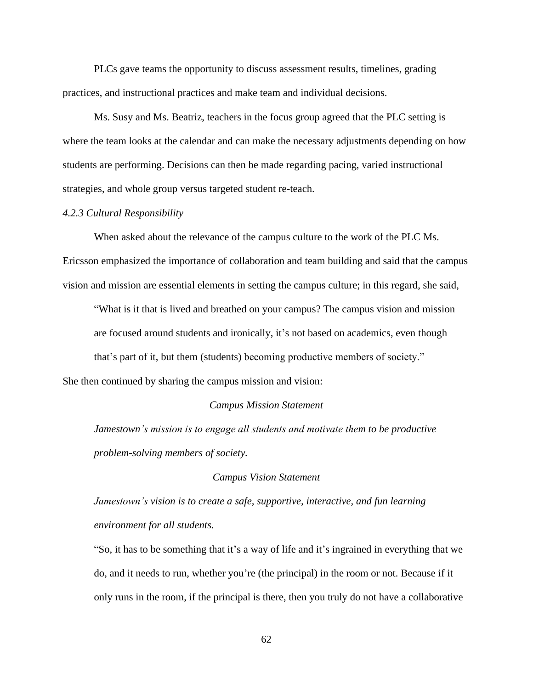PLCs gave teams the opportunity to discuss assessment results, timelines, grading practices, and instructional practices and make team and individual decisions.

Ms. Susy and Ms. Beatriz, teachers in the focus group agreed that the PLC setting is where the team looks at the calendar and can make the necessary adjustments depending on how students are performing. Decisions can then be made regarding pacing, varied instructional strategies, and whole group versus targeted student re-teach.

# *4.2.3 Cultural Responsibility*

When asked about the relevance of the campus culture to the work of the PLC Ms. Ericsson emphasized the importance of collaboration and team building and said that the campus vision and mission are essential elements in setting the campus culture; in this regard, she said,

"What is it that is lived and breathed on your campus? The campus vision and mission are focused around students and ironically, it's not based on academics, even though that's part of it, but them (students) becoming productive members of society."

She then continued by sharing the campus mission and vision:

#### *Campus Mission Statement*

*Jamestown's mission is to engage all students and motivate them to be productive problem-solving members of society.*

#### *Campus Vision Statement*

*Jamestown's vision is to create a safe, supportive, interactive, and fun learning environment for all students.*

"So, it has to be something that it's a way of life and it's ingrained in everything that we do, and it needs to run, whether you're (the principal) in the room or not. Because if it only runs in the room, if the principal is there, then you truly do not have a collaborative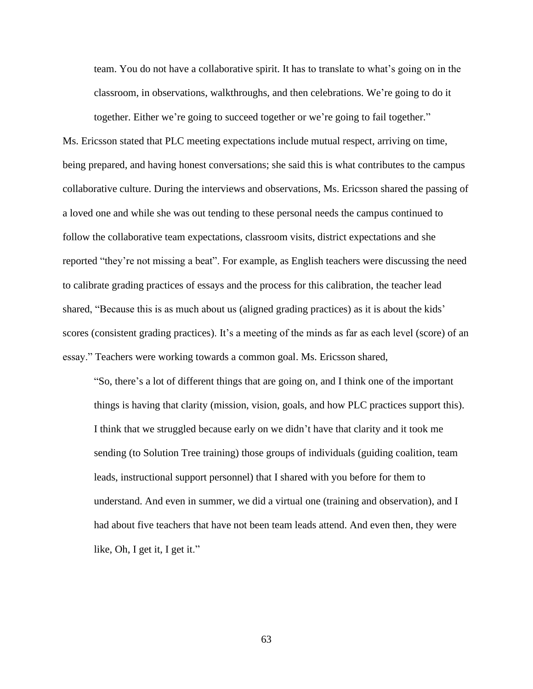team. You do not have a collaborative spirit. It has to translate to what's going on in the classroom, in observations, walkthroughs, and then celebrations. We're going to do it

together. Either we're going to succeed together or we're going to fail together." Ms. Ericsson stated that PLC meeting expectations include mutual respect, arriving on time, being prepared, and having honest conversations; she said this is what contributes to the campus collaborative culture. During the interviews and observations, Ms. Ericsson shared the passing of a loved one and while she was out tending to these personal needs the campus continued to follow the collaborative team expectations, classroom visits, district expectations and she reported "they're not missing a beat". For example, as English teachers were discussing the need to calibrate grading practices of essays and the process for this calibration, the teacher lead shared, "Because this is as much about us (aligned grading practices) as it is about the kids' scores (consistent grading practices). It's a meeting of the minds as far as each level (score) of an essay." Teachers were working towards a common goal. Ms. Ericsson shared,

"So, there's a lot of different things that are going on, and I think one of the important things is having that clarity (mission, vision, goals, and how PLC practices support this). I think that we struggled because early on we didn't have that clarity and it took me sending (to Solution Tree training) those groups of individuals (guiding coalition, team leads, instructional support personnel) that I shared with you before for them to understand. And even in summer, we did a virtual one (training and observation), and I had about five teachers that have not been team leads attend. And even then, they were like, Oh, I get it, I get it."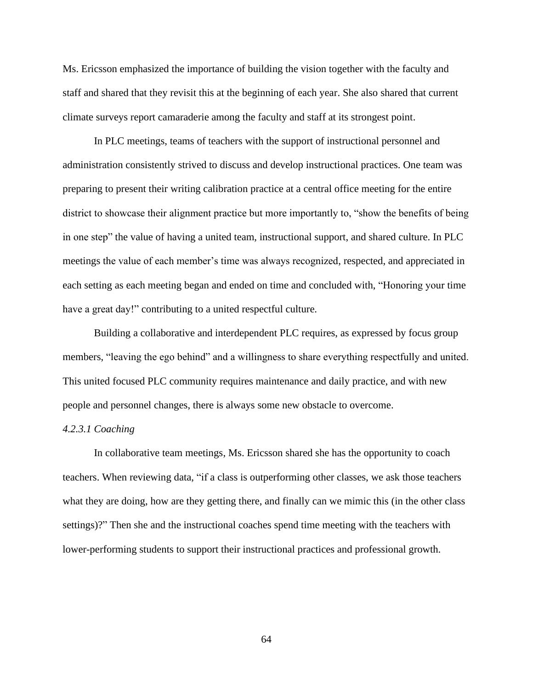Ms. Ericsson emphasized the importance of building the vision together with the faculty and staff and shared that they revisit this at the beginning of each year. She also shared that current climate surveys report camaraderie among the faculty and staff at its strongest point.

In PLC meetings, teams of teachers with the support of instructional personnel and administration consistently strived to discuss and develop instructional practices. One team was preparing to present their writing calibration practice at a central office meeting for the entire district to showcase their alignment practice but more importantly to, "show the benefits of being in one step" the value of having a united team, instructional support, and shared culture. In PLC meetings the value of each member's time was always recognized, respected, and appreciated in each setting as each meeting began and ended on time and concluded with, "Honoring your time have a great day!" contributing to a united respectful culture.

Building a collaborative and interdependent PLC requires, as expressed by focus group members, "leaving the ego behind" and a willingness to share everything respectfully and united. This united focused PLC community requires maintenance and daily practice, and with new people and personnel changes, there is always some new obstacle to overcome.

# *4.2.3.1 Coaching*

In collaborative team meetings, Ms. Ericsson shared she has the opportunity to coach teachers. When reviewing data, "if a class is outperforming other classes, we ask those teachers what they are doing, how are they getting there, and finally can we mimic this (in the other class settings)?" Then she and the instructional coaches spend time meeting with the teachers with lower-performing students to support their instructional practices and professional growth.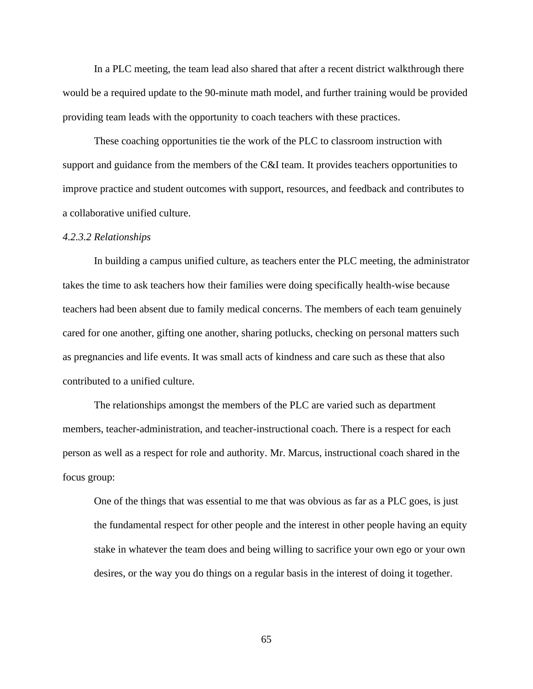In a PLC meeting, the team lead also shared that after a recent district walkthrough there would be a required update to the 90-minute math model, and further training would be provided providing team leads with the opportunity to coach teachers with these practices.

These coaching opportunities tie the work of the PLC to classroom instruction with support and guidance from the members of the C&I team. It provides teachers opportunities to improve practice and student outcomes with support, resources, and feedback and contributes to a collaborative unified culture.

#### *4.2.3.2 Relationships*

In building a campus unified culture, as teachers enter the PLC meeting, the administrator takes the time to ask teachers how their families were doing specifically health-wise because teachers had been absent due to family medical concerns. The members of each team genuinely cared for one another, gifting one another, sharing potlucks, checking on personal matters such as pregnancies and life events. It was small acts of kindness and care such as these that also contributed to a unified culture.

The relationships amongst the members of the PLC are varied such as department members, teacher-administration, and teacher-instructional coach. There is a respect for each person as well as a respect for role and authority. Mr. Marcus, instructional coach shared in the focus group:

One of the things that was essential to me that was obvious as far as a PLC goes, is just the fundamental respect for other people and the interest in other people having an equity stake in whatever the team does and being willing to sacrifice your own ego or your own desires, or the way you do things on a regular basis in the interest of doing it together.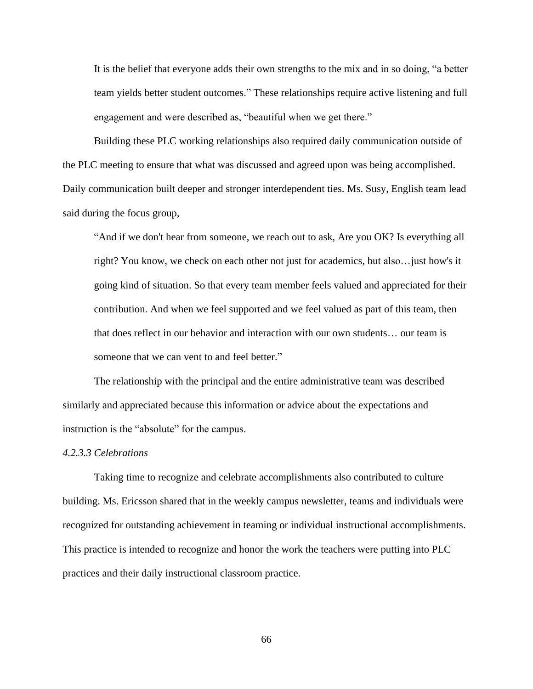It is the belief that everyone adds their own strengths to the mix and in so doing, "a better team yields better student outcomes." These relationships require active listening and full engagement and were described as, "beautiful when we get there."

Building these PLC working relationships also required daily communication outside of the PLC meeting to ensure that what was discussed and agreed upon was being accomplished. Daily communication built deeper and stronger interdependent ties. Ms. Susy, English team lead said during the focus group,

"And if we don't hear from someone, we reach out to ask, Are you OK? Is everything all right? You know, we check on each other not just for academics, but also…just how's it going kind of situation. So that every team member feels valued and appreciated for their contribution. And when we feel supported and we feel valued as part of this team, then that does reflect in our behavior and interaction with our own students… our team is someone that we can vent to and feel better."

The relationship with the principal and the entire administrative team was described similarly and appreciated because this information or advice about the expectations and instruction is the "absolute" for the campus.

#### *4.2.3.3 Celebrations*

Taking time to recognize and celebrate accomplishments also contributed to culture building. Ms. Ericsson shared that in the weekly campus newsletter, teams and individuals were recognized for outstanding achievement in teaming or individual instructional accomplishments. This practice is intended to recognize and honor the work the teachers were putting into PLC practices and their daily instructional classroom practice.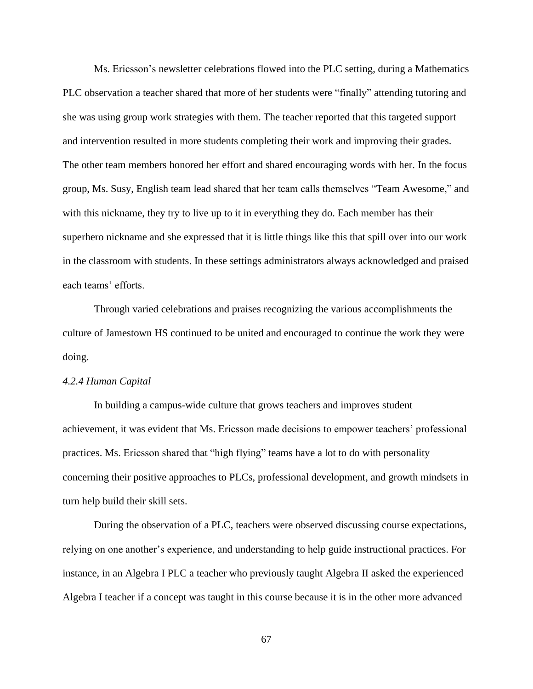Ms. Ericsson's newsletter celebrations flowed into the PLC setting, during a Mathematics PLC observation a teacher shared that more of her students were "finally" attending tutoring and she was using group work strategies with them. The teacher reported that this targeted support and intervention resulted in more students completing their work and improving their grades. The other team members honored her effort and shared encouraging words with her. In the focus group, Ms. Susy, English team lead shared that her team calls themselves "Team Awesome," and with this nickname, they try to live up to it in everything they do. Each member has their superhero nickname and she expressed that it is little things like this that spill over into our work in the classroom with students. In these settings administrators always acknowledged and praised each teams' efforts.

Through varied celebrations and praises recognizing the various accomplishments the culture of Jamestown HS continued to be united and encouraged to continue the work they were doing.

#### *4.2.4 Human Capital*

In building a campus-wide culture that grows teachers and improves student achievement, it was evident that Ms. Ericsson made decisions to empower teachers' professional practices. Ms. Ericsson shared that "high flying" teams have a lot to do with personality concerning their positive approaches to PLCs, professional development, and growth mindsets in turn help build their skill sets.

During the observation of a PLC, teachers were observed discussing course expectations, relying on one another's experience, and understanding to help guide instructional practices. For instance, in an Algebra I PLC a teacher who previously taught Algebra II asked the experienced Algebra I teacher if a concept was taught in this course because it is in the other more advanced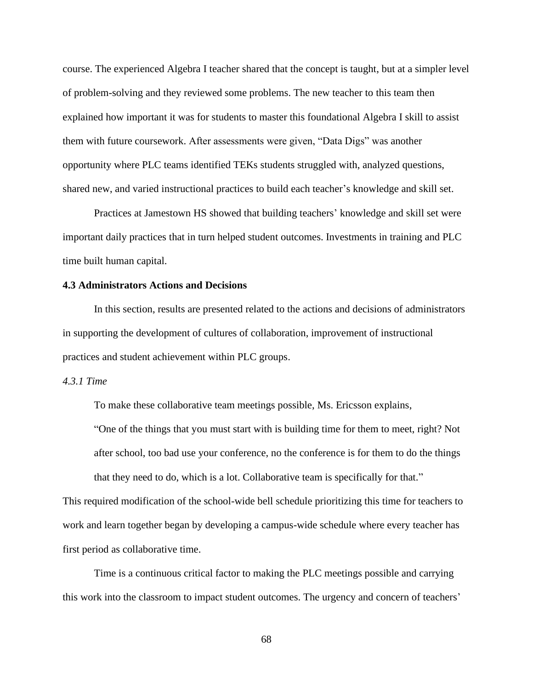course. The experienced Algebra I teacher shared that the concept is taught, but at a simpler level of problem-solving and they reviewed some problems. The new teacher to this team then explained how important it was for students to master this foundational Algebra I skill to assist them with future coursework. After assessments were given, "Data Digs" was another opportunity where PLC teams identified TEKs students struggled with, analyzed questions, shared new, and varied instructional practices to build each teacher's knowledge and skill set.

Practices at Jamestown HS showed that building teachers' knowledge and skill set were important daily practices that in turn helped student outcomes. Investments in training and PLC time built human capital.

# **4.3 Administrators Actions and Decisions**

In this section, results are presented related to the actions and decisions of administrators in supporting the development of cultures of collaboration, improvement of instructional practices and student achievement within PLC groups.

# *4.3.1 Time*

To make these collaborative team meetings possible, Ms. Ericsson explains,

"One of the things that you must start with is building time for them to meet, right? Not after school, too bad use your conference, no the conference is for them to do the things that they need to do, which is a lot. Collaborative team is specifically for that."

This required modification of the school-wide bell schedule prioritizing this time for teachers to work and learn together began by developing a campus-wide schedule where every teacher has first period as collaborative time.

Time is a continuous critical factor to making the PLC meetings possible and carrying this work into the classroom to impact student outcomes. The urgency and concern of teachers'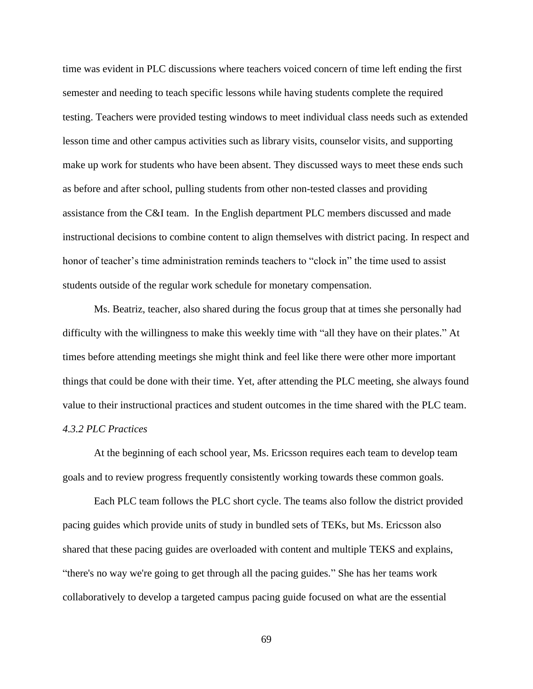time was evident in PLC discussions where teachers voiced concern of time left ending the first semester and needing to teach specific lessons while having students complete the required testing. Teachers were provided testing windows to meet individual class needs such as extended lesson time and other campus activities such as library visits, counselor visits, and supporting make up work for students who have been absent. They discussed ways to meet these ends such as before and after school, pulling students from other non-tested classes and providing assistance from the C&I team. In the English department PLC members discussed and made instructional decisions to combine content to align themselves with district pacing. In respect and honor of teacher's time administration reminds teachers to "clock in" the time used to assist students outside of the regular work schedule for monetary compensation.

Ms. Beatriz, teacher, also shared during the focus group that at times she personally had difficulty with the willingness to make this weekly time with "all they have on their plates." At times before attending meetings she might think and feel like there were other more important things that could be done with their time. Yet, after attending the PLC meeting, she always found value to their instructional practices and student outcomes in the time shared with the PLC team. *4.3.2 PLC Practices* 

At the beginning of each school year, Ms. Ericsson requires each team to develop team goals and to review progress frequently consistently working towards these common goals.

Each PLC team follows the PLC short cycle. The teams also follow the district provided pacing guides which provide units of study in bundled sets of TEKs, but Ms. Ericsson also shared that these pacing guides are overloaded with content and multiple TEKS and explains, "there's no way we're going to get through all the pacing guides." She has her teams work collaboratively to develop a targeted campus pacing guide focused on what are the essential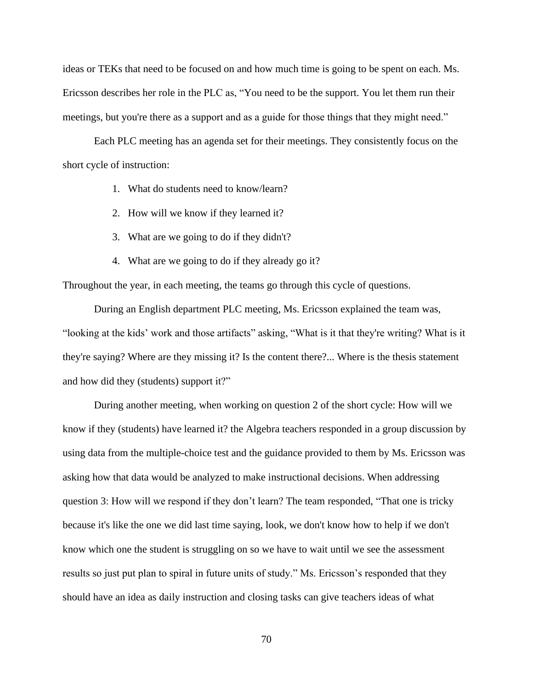ideas or TEKs that need to be focused on and how much time is going to be spent on each. Ms. Ericsson describes her role in the PLC as, "You need to be the support. You let them run their meetings, but you're there as a support and as a guide for those things that they might need."

Each PLC meeting has an agenda set for their meetings. They consistently focus on the short cycle of instruction:

- 1. What do students need to know/learn?
- 2. How will we know if they learned it?
- 3. What are we going to do if they didn't?
- 4. What are we going to do if they already go it?

Throughout the year, in each meeting, the teams go through this cycle of questions.

During an English department PLC meeting, Ms. Ericsson explained the team was, "looking at the kids' work and those artifacts" asking, "What is it that they're writing? What is it they're saying? Where are they missing it? Is the content there?... Where is the thesis statement and how did they (students) support it?"

During another meeting, when working on question 2 of the short cycle: How will we know if they (students) have learned it? the Algebra teachers responded in a group discussion by using data from the multiple-choice test and the guidance provided to them by Ms. Ericsson was asking how that data would be analyzed to make instructional decisions. When addressing question 3: How will we respond if they don't learn? The team responded, "That one is tricky because it's like the one we did last time saying, look, we don't know how to help if we don't know which one the student is struggling on so we have to wait until we see the assessment results so just put plan to spiral in future units of study." Ms. Ericsson's responded that they should have an idea as daily instruction and closing tasks can give teachers ideas of what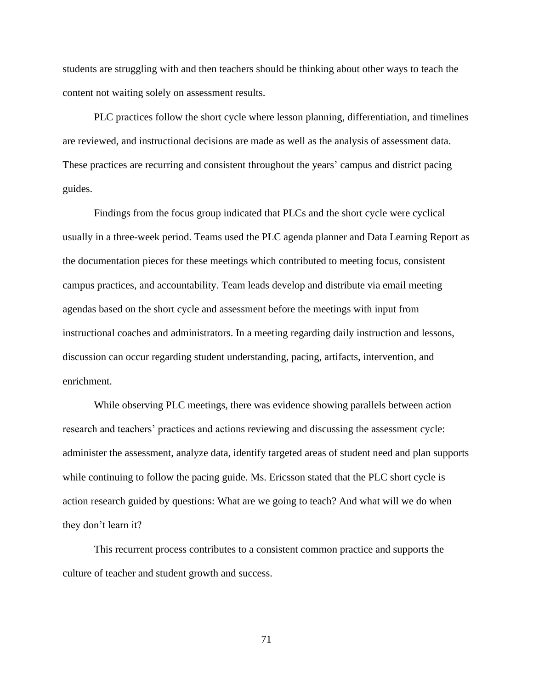students are struggling with and then teachers should be thinking about other ways to teach the content not waiting solely on assessment results.

PLC practices follow the short cycle where lesson planning, differentiation, and timelines are reviewed, and instructional decisions are made as well as the analysis of assessment data. These practices are recurring and consistent throughout the years' campus and district pacing guides.

Findings from the focus group indicated that PLCs and the short cycle were cyclical usually in a three-week period. Teams used the PLC agenda planner and Data Learning Report as the documentation pieces for these meetings which contributed to meeting focus, consistent campus practices, and accountability. Team leads develop and distribute via email meeting agendas based on the short cycle and assessment before the meetings with input from instructional coaches and administrators. In a meeting regarding daily instruction and lessons, discussion can occur regarding student understanding, pacing, artifacts, intervention, and enrichment.

While observing PLC meetings, there was evidence showing parallels between action research and teachers' practices and actions reviewing and discussing the assessment cycle: administer the assessment, analyze data, identify targeted areas of student need and plan supports while continuing to follow the pacing guide. Ms. Ericsson stated that the PLC short cycle is action research guided by questions: What are we going to teach? And what will we do when they don't learn it?

This recurrent process contributes to a consistent common practice and supports the culture of teacher and student growth and success.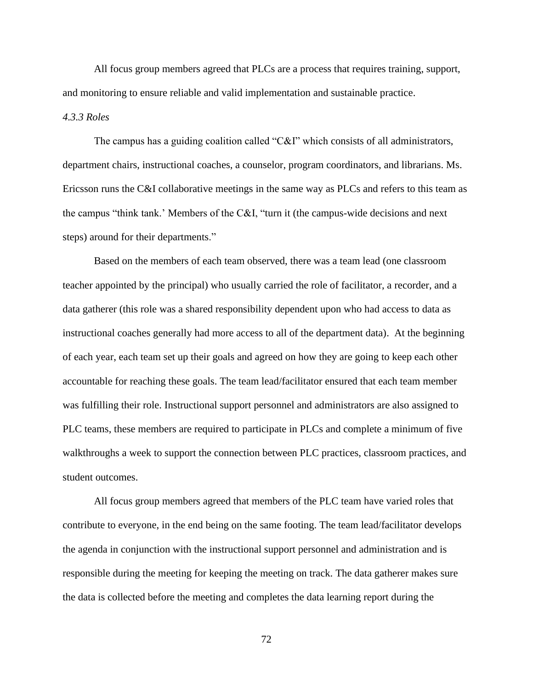All focus group members agreed that PLCs are a process that requires training, support, and monitoring to ensure reliable and valid implementation and sustainable practice. *4.3.3 Roles*

The campus has a guiding coalition called "C&I" which consists of all administrators, department chairs, instructional coaches, a counselor, program coordinators, and librarians. Ms. Ericsson runs the C&I collaborative meetings in the same way as PLCs and refers to this team as the campus "think tank.' Members of the C&I, "turn it (the campus-wide decisions and next steps) around for their departments."

Based on the members of each team observed, there was a team lead (one classroom teacher appointed by the principal) who usually carried the role of facilitator, a recorder, and a data gatherer (this role was a shared responsibility dependent upon who had access to data as instructional coaches generally had more access to all of the department data). At the beginning of each year, each team set up their goals and agreed on how they are going to keep each other accountable for reaching these goals. The team lead/facilitator ensured that each team member was fulfilling their role. Instructional support personnel and administrators are also assigned to PLC teams, these members are required to participate in PLCs and complete a minimum of five walkthroughs a week to support the connection between PLC practices, classroom practices, and student outcomes.

All focus group members agreed that members of the PLC team have varied roles that contribute to everyone, in the end being on the same footing. The team lead/facilitator develops the agenda in conjunction with the instructional support personnel and administration and is responsible during the meeting for keeping the meeting on track. The data gatherer makes sure the data is collected before the meeting and completes the data learning report during the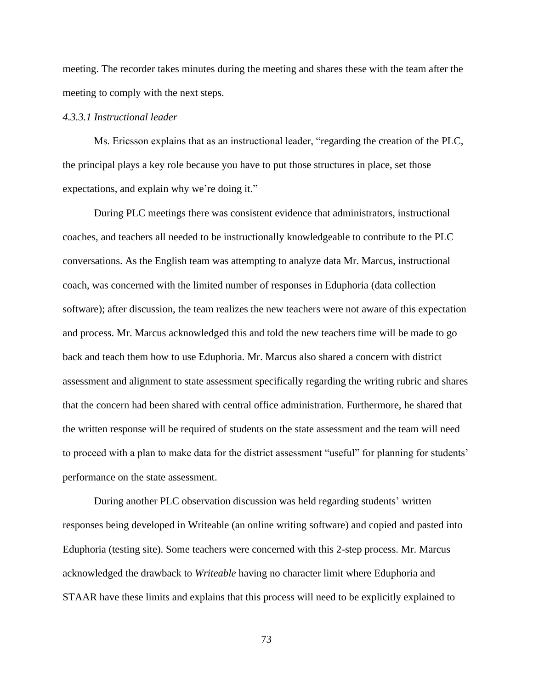meeting. The recorder takes minutes during the meeting and shares these with the team after the meeting to comply with the next steps.

# *4.3.3.1 Instructional leader*

Ms. Ericsson explains that as an instructional leader, "regarding the creation of the PLC, the principal plays a key role because you have to put those structures in place, set those expectations, and explain why we're doing it."

During PLC meetings there was consistent evidence that administrators, instructional coaches, and teachers all needed to be instructionally knowledgeable to contribute to the PLC conversations. As the English team was attempting to analyze data Mr. Marcus, instructional coach, was concerned with the limited number of responses in Eduphoria (data collection software); after discussion, the team realizes the new teachers were not aware of this expectation and process. Mr. Marcus acknowledged this and told the new teachers time will be made to go back and teach them how to use Eduphoria. Mr. Marcus also shared a concern with district assessment and alignment to state assessment specifically regarding the writing rubric and shares that the concern had been shared with central office administration. Furthermore, he shared that the written response will be required of students on the state assessment and the team will need to proceed with a plan to make data for the district assessment "useful" for planning for students' performance on the state assessment.

During another PLC observation discussion was held regarding students' written responses being developed in Writeable (an online writing software) and copied and pasted into Eduphoria (testing site). Some teachers were concerned with this 2-step process. Mr. Marcus acknowledged the drawback to *Writeable* having no character limit where Eduphoria and STAAR have these limits and explains that this process will need to be explicitly explained to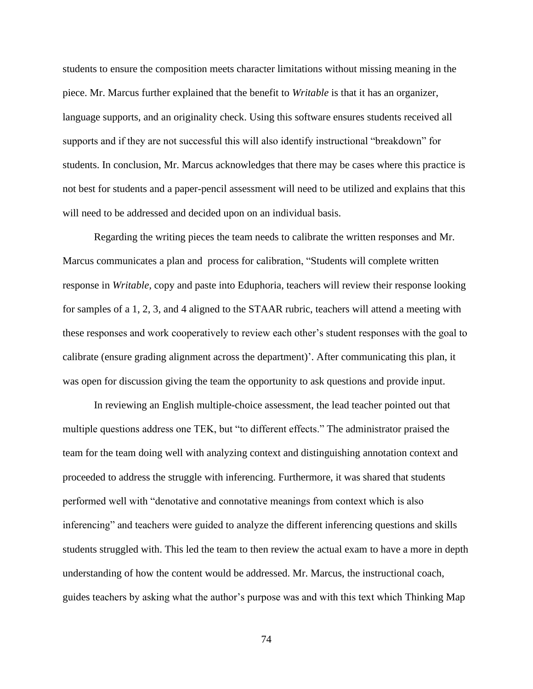students to ensure the composition meets character limitations without missing meaning in the piece. Mr. Marcus further explained that the benefit to *Writable* is that it has an organizer, language supports, and an originality check. Using this software ensures students received all supports and if they are not successful this will also identify instructional "breakdown" for students. In conclusion, Mr. Marcus acknowledges that there may be cases where this practice is not best for students and a paper-pencil assessment will need to be utilized and explains that this will need to be addressed and decided upon on an individual basis.

Regarding the writing pieces the team needs to calibrate the written responses and Mr. Marcus communicates a plan and process for calibration, "Students will complete written response in *Writable,* copy and paste into Eduphoria, teachers will review their response looking for samples of a 1, 2, 3, and 4 aligned to the STAAR rubric, teachers will attend a meeting with these responses and work cooperatively to review each other's student responses with the goal to calibrate (ensure grading alignment across the department)'. After communicating this plan, it was open for discussion giving the team the opportunity to ask questions and provide input.

In reviewing an English multiple-choice assessment, the lead teacher pointed out that multiple questions address one TEK, but "to different effects." The administrator praised the team for the team doing well with analyzing context and distinguishing annotation context and proceeded to address the struggle with inferencing. Furthermore, it was shared that students performed well with "denotative and connotative meanings from context which is also inferencing" and teachers were guided to analyze the different inferencing questions and skills students struggled with. This led the team to then review the actual exam to have a more in depth understanding of how the content would be addressed. Mr. Marcus, the instructional coach, guides teachers by asking what the author's purpose was and with this text which Thinking Map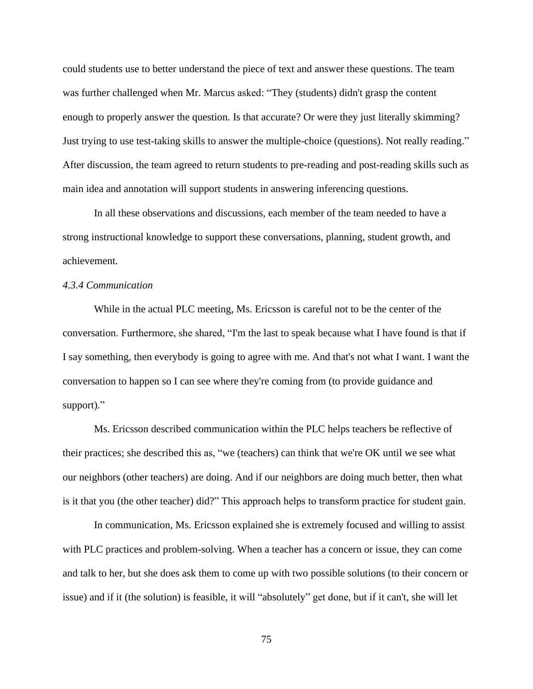could students use to better understand the piece of text and answer these questions. The team was further challenged when Mr. Marcus asked: "They (students) didn't grasp the content enough to properly answer the question. Is that accurate? Or were they just literally skimming? Just trying to use test-taking skills to answer the multiple-choice (questions). Not really reading." After discussion, the team agreed to return students to pre-reading and post-reading skills such as main idea and annotation will support students in answering inferencing questions.

In all these observations and discussions, each member of the team needed to have a strong instructional knowledge to support these conversations, planning, student growth, and achievement.

# *4.3.4 Communication*

While in the actual PLC meeting, Ms. Ericsson is careful not to be the center of the conversation. Furthermore, she shared, "I'm the last to speak because what I have found is that if I say something, then everybody is going to agree with me. And that's not what I want. I want the conversation to happen so I can see where they're coming from (to provide guidance and support)."

Ms. Ericsson described communication within the PLC helps teachers be reflective of their practices; she described this as, "we (teachers) can think that we're OK until we see what our neighbors (other teachers) are doing. And if our neighbors are doing much better, then what is it that you (the other teacher) did?" This approach helps to transform practice for student gain.

In communication, Ms. Ericsson explained she is extremely focused and willing to assist with PLC practices and problem-solving. When a teacher has a concern or issue, they can come and talk to her, but she does ask them to come up with two possible solutions (to their concern or issue) and if it (the solution) is feasible, it will "absolutely" get done, but if it can't, she will let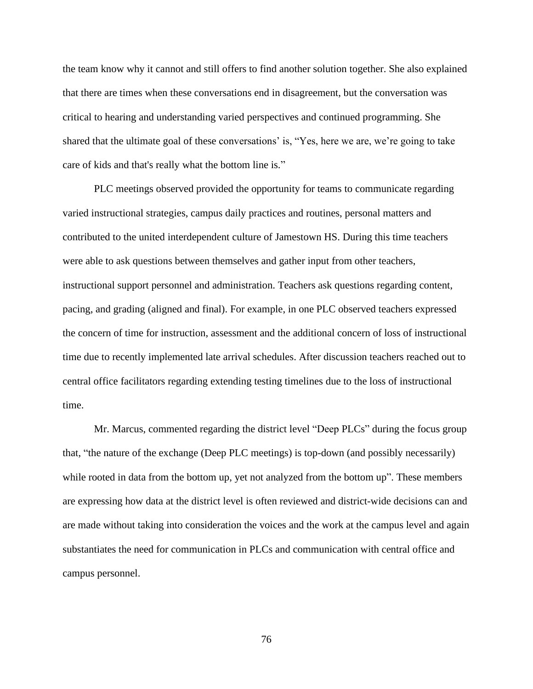the team know why it cannot and still offers to find another solution together. She also explained that there are times when these conversations end in disagreement, but the conversation was critical to hearing and understanding varied perspectives and continued programming. She shared that the ultimate goal of these conversations' is, "Yes, here we are, we're going to take care of kids and that's really what the bottom line is."

PLC meetings observed provided the opportunity for teams to communicate regarding varied instructional strategies, campus daily practices and routines, personal matters and contributed to the united interdependent culture of Jamestown HS. During this time teachers were able to ask questions between themselves and gather input from other teachers, instructional support personnel and administration. Teachers ask questions regarding content, pacing, and grading (aligned and final). For example, in one PLC observed teachers expressed the concern of time for instruction, assessment and the additional concern of loss of instructional time due to recently implemented late arrival schedules. After discussion teachers reached out to central office facilitators regarding extending testing timelines due to the loss of instructional time.

Mr. Marcus, commented regarding the district level "Deep PLCs" during the focus group that, "the nature of the exchange (Deep PLC meetings) is top-down (and possibly necessarily) while rooted in data from the bottom up, yet not analyzed from the bottom up". These members are expressing how data at the district level is often reviewed and district-wide decisions can and are made without taking into consideration the voices and the work at the campus level and again substantiates the need for communication in PLCs and communication with central office and campus personnel.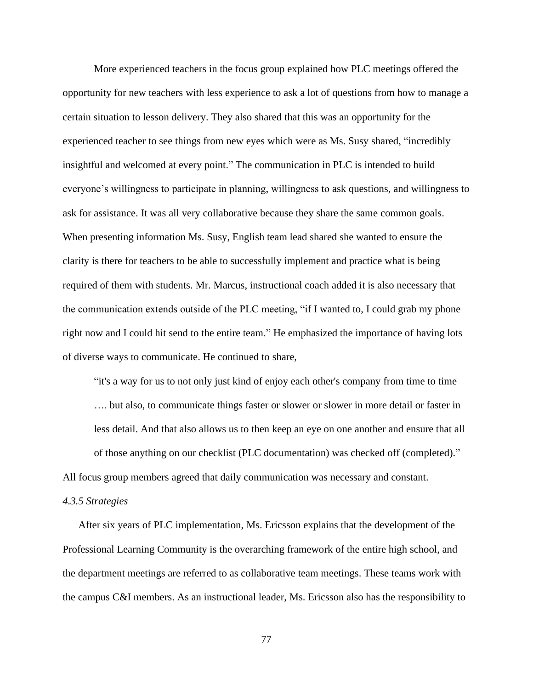More experienced teachers in the focus group explained how PLC meetings offered the opportunity for new teachers with less experience to ask a lot of questions from how to manage a certain situation to lesson delivery. They also shared that this was an opportunity for the experienced teacher to see things from new eyes which were as Ms. Susy shared, "incredibly insightful and welcomed at every point." The communication in PLC is intended to build everyone's willingness to participate in planning, willingness to ask questions, and willingness to ask for assistance. It was all very collaborative because they share the same common goals. When presenting information Ms. Susy, English team lead shared she wanted to ensure the clarity is there for teachers to be able to successfully implement and practice what is being required of them with students. Mr. Marcus, instructional coach added it is also necessary that the communication extends outside of the PLC meeting, "if I wanted to, I could grab my phone right now and I could hit send to the entire team." He emphasized the importance of having lots of diverse ways to communicate. He continued to share,

"it's a way for us to not only just kind of enjoy each other's company from time to time …. but also, to communicate things faster or slower or slower in more detail or faster in less detail. And that also allows us to then keep an eye on one another and ensure that all of those anything on our checklist (PLC documentation) was checked off (completed)." All focus group members agreed that daily communication was necessary and constant.

#### *4.3.5 Strategies*

After six years of PLC implementation, Ms. Ericsson explains that the development of the Professional Learning Community is the overarching framework of the entire high school, and the department meetings are referred to as collaborative team meetings. These teams work with the campus C&I members. As an instructional leader, Ms. Ericsson also has the responsibility to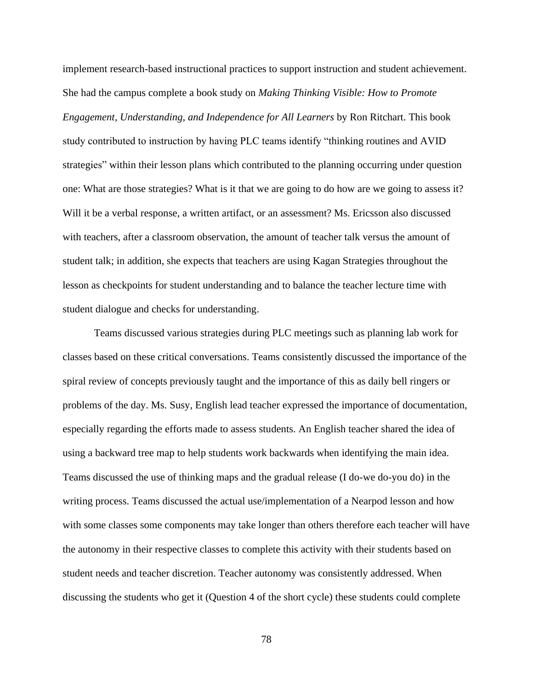implement research-based instructional practices to support instruction and student achievement. She had the campus complete a book study on *Making Thinking Visible: How to Promote Engagement, Understanding, and Independence for All Learners* by Ron Ritchart. This book study contributed to instruction by having PLC teams identify "thinking routines and AVID strategies" within their lesson plans which contributed to the planning occurring under question one: What are those strategies? What is it that we are going to do how are we going to assess it? Will it be a verbal response, a written artifact, or an assessment? Ms. Ericsson also discussed with teachers, after a classroom observation, the amount of teacher talk versus the amount of student talk; in addition, she expects that teachers are using Kagan Strategies throughout the lesson as checkpoints for student understanding and to balance the teacher lecture time with student dialogue and checks for understanding.

Teams discussed various strategies during PLC meetings such as planning lab work for classes based on these critical conversations. Teams consistently discussed the importance of the spiral review of concepts previously taught and the importance of this as daily bell ringers or problems of the day. Ms. Susy, English lead teacher expressed the importance of documentation, especially regarding the efforts made to assess students. An English teacher shared the idea of using a backward tree map to help students work backwards when identifying the main idea. Teams discussed the use of thinking maps and the gradual release (I do-we do-you do) in the writing process. Teams discussed the actual use/implementation of a Nearpod lesson and how with some classes some components may take longer than others therefore each teacher will have the autonomy in their respective classes to complete this activity with their students based on student needs and teacher discretion. Teacher autonomy was consistently addressed. When discussing the students who get it (Question 4 of the short cycle) these students could complete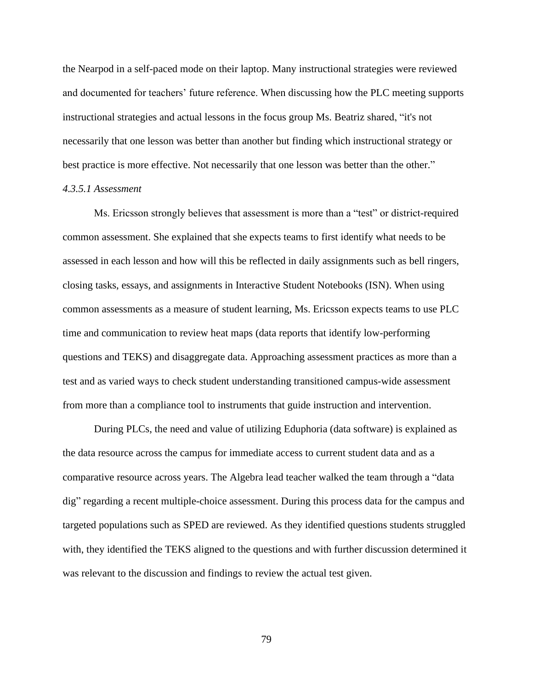the Nearpod in a self-paced mode on their laptop. Many instructional strategies were reviewed and documented for teachers' future reference. When discussing how the PLC meeting supports instructional strategies and actual lessons in the focus group Ms. Beatriz shared, "it's not necessarily that one lesson was better than another but finding which instructional strategy or best practice is more effective. Not necessarily that one lesson was better than the other."

# *4.3.5.1 Assessment*

Ms. Ericsson strongly believes that assessment is more than a "test" or district-required common assessment. She explained that she expects teams to first identify what needs to be assessed in each lesson and how will this be reflected in daily assignments such as bell ringers, closing tasks, essays, and assignments in Interactive Student Notebooks (ISN). When using common assessments as a measure of student learning, Ms. Ericsson expects teams to use PLC time and communication to review heat maps (data reports that identify low-performing questions and TEKS) and disaggregate data. Approaching assessment practices as more than a test and as varied ways to check student understanding transitioned campus-wide assessment from more than a compliance tool to instruments that guide instruction and intervention.

During PLCs, the need and value of utilizing Eduphoria (data software) is explained as the data resource across the campus for immediate access to current student data and as a comparative resource across years. The Algebra lead teacher walked the team through a "data dig" regarding a recent multiple-choice assessment. During this process data for the campus and targeted populations such as SPED are reviewed. As they identified questions students struggled with, they identified the TEKS aligned to the questions and with further discussion determined it was relevant to the discussion and findings to review the actual test given.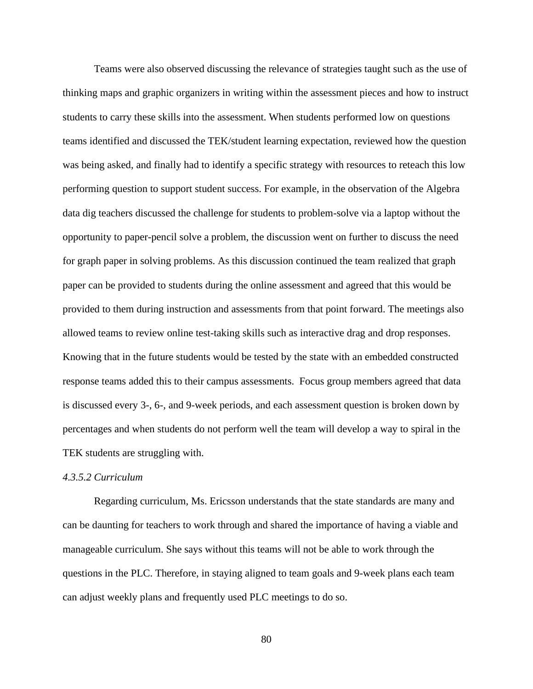Teams were also observed discussing the relevance of strategies taught such as the use of thinking maps and graphic organizers in writing within the assessment pieces and how to instruct students to carry these skills into the assessment. When students performed low on questions teams identified and discussed the TEK/student learning expectation, reviewed how the question was being asked, and finally had to identify a specific strategy with resources to reteach this low performing question to support student success. For example, in the observation of the Algebra data dig teachers discussed the challenge for students to problem-solve via a laptop without the opportunity to paper-pencil solve a problem, the discussion went on further to discuss the need for graph paper in solving problems. As this discussion continued the team realized that graph paper can be provided to students during the online assessment and agreed that this would be provided to them during instruction and assessments from that point forward. The meetings also allowed teams to review online test-taking skills such as interactive drag and drop responses. Knowing that in the future students would be tested by the state with an embedded constructed response teams added this to their campus assessments. Focus group members agreed that data is discussed every 3-, 6-, and 9-week periods, and each assessment question is broken down by percentages and when students do not perform well the team will develop a way to spiral in the TEK students are struggling with.

#### *4.3.5.2 Curriculum*

Regarding curriculum, Ms. Ericsson understands that the state standards are many and can be daunting for teachers to work through and shared the importance of having a viable and manageable curriculum. She says without this teams will not be able to work through the questions in the PLC. Therefore, in staying aligned to team goals and 9-week plans each team can adjust weekly plans and frequently used PLC meetings to do so.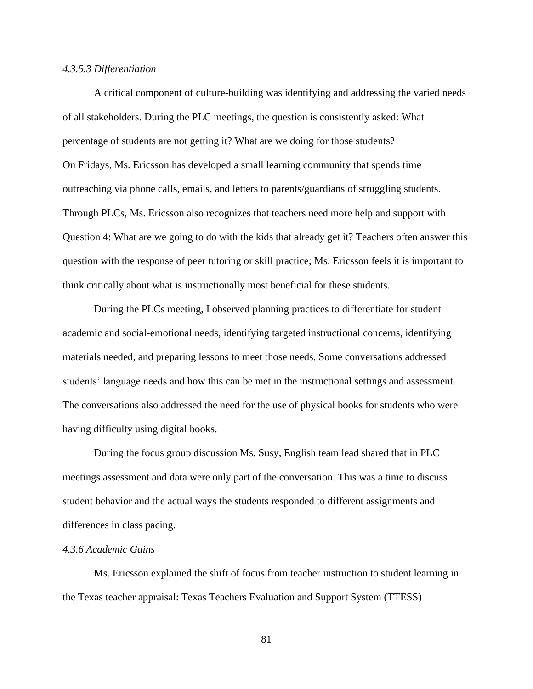#### *4.3.5.3 Differentiation*

A critical component of culture-building was identifying and addressing the varied needs of all stakeholders. During the PLC meetings, the question is consistently asked: What percentage of students are not getting it? What are we doing for those students? On Fridays, Ms. Ericsson has developed a small learning community that spends time outreaching via phone calls, emails, and letters to parents/guardians of struggling students. Through PLCs, Ms. Ericsson also recognizes that teachers need more help and support with Question 4: What are we going to do with the kids that already get it? Teachers often answer this question with the response of peer tutoring or skill practice; Ms. Ericsson feels it is important to think critically about what is instructionally most beneficial for these students.

During the PLCs meeting, I observed planning practices to differentiate for student academic and social-emotional needs, identifying targeted instructional concerns, identifying materials needed, and preparing lessons to meet those needs. Some conversations addressed students' language needs and how this can be met in the instructional settings and assessment. The conversations also addressed the need for the use of physical books for students who were having difficulty using digital books.

During the focus group discussion Ms. Susy, English team lead shared that in PLC meetings assessment and data were only part of the conversation. This was a time to discuss student behavior and the actual ways the students responded to different assignments and differences in class pacing.

# *4.3.6 Academic Gains*

Ms. Ericsson explained the shift of focus from teacher instruction to student learning in the Texas teacher appraisal: Texas Teachers Evaluation and Support System (TTESS)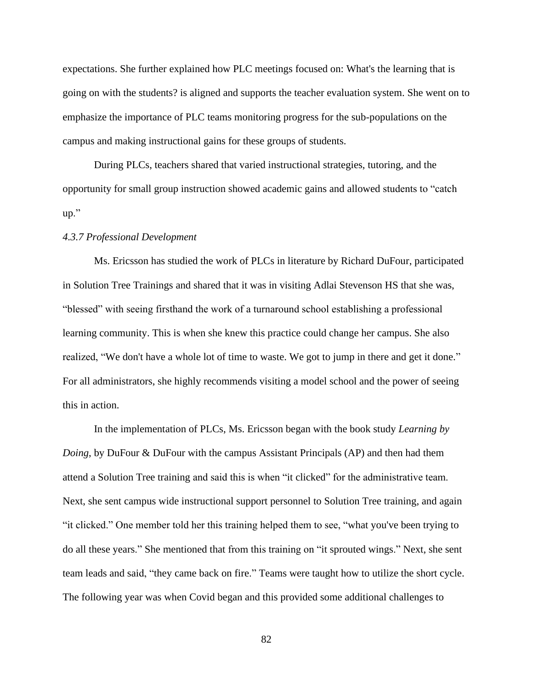expectations. She further explained how PLC meetings focused on: What's the learning that is going on with the students? is aligned and supports the teacher evaluation system. She went on to emphasize the importance of PLC teams monitoring progress for the sub-populations on the campus and making instructional gains for these groups of students.

During PLCs, teachers shared that varied instructional strategies, tutoring, and the opportunity for small group instruction showed academic gains and allowed students to "catch up."

# *4.3.7 Professional Development*

Ms. Ericsson has studied the work of PLCs in literature by Richard DuFour, participated in Solution Tree Trainings and shared that it was in visiting Adlai Stevenson HS that she was, "blessed" with seeing firsthand the work of a turnaround school establishing a professional learning community. This is when she knew this practice could change her campus. She also realized, "We don't have a whole lot of time to waste. We got to jump in there and get it done." For all administrators, she highly recommends visiting a model school and the power of seeing this in action.

In the implementation of PLCs, Ms. Ericsson began with the book study *Learning by Doing*, by DuFour & DuFour with the campus Assistant Principals (AP) and then had them attend a Solution Tree training and said this is when "it clicked" for the administrative team. Next, she sent campus wide instructional support personnel to Solution Tree training, and again "it clicked." One member told her this training helped them to see, "what you've been trying to do all these years." She mentioned that from this training on "it sprouted wings." Next, she sent team leads and said, "they came back on fire." Teams were taught how to utilize the short cycle. The following year was when Covid began and this provided some additional challenges to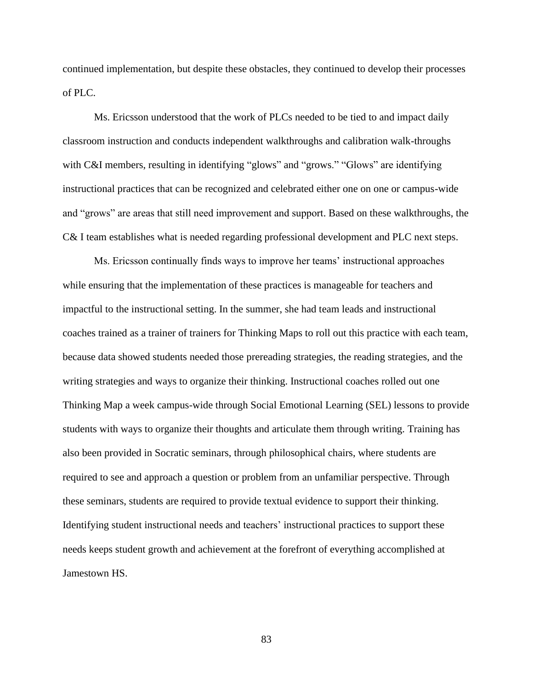continued implementation, but despite these obstacles, they continued to develop their processes of PLC.

Ms. Ericsson understood that the work of PLCs needed to be tied to and impact daily classroom instruction and conducts independent walkthroughs and calibration walk-throughs with C&I members, resulting in identifying "glows" and "grows." "Glows" are identifying instructional practices that can be recognized and celebrated either one on one or campus-wide and "grows" are areas that still need improvement and support. Based on these walkthroughs, the C& I team establishes what is needed regarding professional development and PLC next steps.

Ms. Ericsson continually finds ways to improve her teams' instructional approaches while ensuring that the implementation of these practices is manageable for teachers and impactful to the instructional setting. In the summer, she had team leads and instructional coaches trained as a trainer of trainers for Thinking Maps to roll out this practice with each team, because data showed students needed those prereading strategies, the reading strategies, and the writing strategies and ways to organize their thinking. Instructional coaches rolled out one Thinking Map a week campus-wide through Social Emotional Learning (SEL) lessons to provide students with ways to organize their thoughts and articulate them through writing. Training has also been provided in Socratic seminars, through philosophical chairs, where students are required to see and approach a question or problem from an unfamiliar perspective. Through these seminars, students are required to provide textual evidence to support their thinking. Identifying student instructional needs and teachers' instructional practices to support these needs keeps student growth and achievement at the forefront of everything accomplished at Jamestown HS.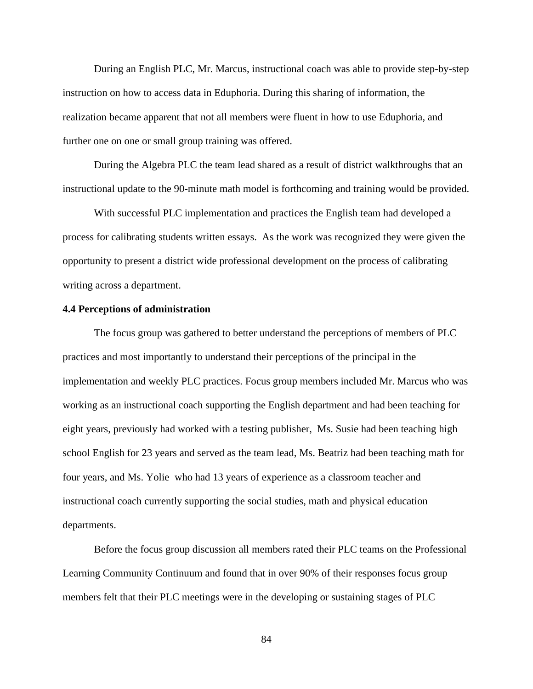During an English PLC, Mr. Marcus, instructional coach was able to provide step-by-step instruction on how to access data in Eduphoria. During this sharing of information, the realization became apparent that not all members were fluent in how to use Eduphoria, and further one on one or small group training was offered.

During the Algebra PLC the team lead shared as a result of district walkthroughs that an instructional update to the 90-minute math model is forthcoming and training would be provided.

With successful PLC implementation and practices the English team had developed a process for calibrating students written essays. As the work was recognized they were given the opportunity to present a district wide professional development on the process of calibrating writing across a department.

# **4.4 Perceptions of administration**

The focus group was gathered to better understand the perceptions of members of PLC practices and most importantly to understand their perceptions of the principal in the implementation and weekly PLC practices. Focus group members included Mr. Marcus who was working as an instructional coach supporting the English department and had been teaching for eight years, previously had worked with a testing publisher, Ms. Susie had been teaching high school English for 23 years and served as the team lead, Ms. Beatriz had been teaching math for four years, and Ms. Yolie who had 13 years of experience as a classroom teacher and instructional coach currently supporting the social studies, math and physical education departments.

Before the focus group discussion all members rated their PLC teams on the Professional Learning Community Continuum and found that in over 90% of their responses focus group members felt that their PLC meetings were in the developing or sustaining stages of PLC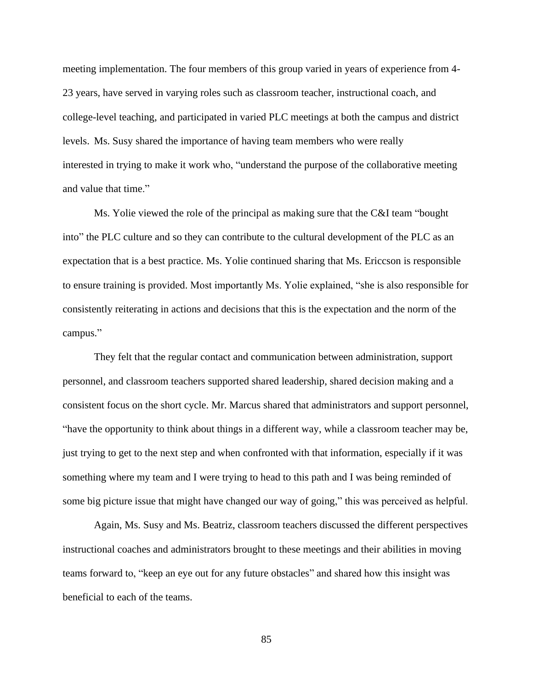meeting implementation. The four members of this group varied in years of experience from 4- 23 years, have served in varying roles such as classroom teacher, instructional coach, and college-level teaching, and participated in varied PLC meetings at both the campus and district levels. Ms. Susy shared the importance of having team members who were really interested in trying to make it work who, "understand the purpose of the collaborative meeting and value that time."

Ms. Yolie viewed the role of the principal as making sure that the C&I team "bought into" the PLC culture and so they can contribute to the cultural development of the PLC as an expectation that is a best practice. Ms. Yolie continued sharing that Ms. Ericcson is responsible to ensure training is provided. Most importantly Ms. Yolie explained, "she is also responsible for consistently reiterating in actions and decisions that this is the expectation and the norm of the campus."

They felt that the regular contact and communication between administration, support personnel, and classroom teachers supported shared leadership, shared decision making and a consistent focus on the short cycle. Mr. Marcus shared that administrators and support personnel, "have the opportunity to think about things in a different way, while a classroom teacher may be, just trying to get to the next step and when confronted with that information, especially if it was something where my team and I were trying to head to this path and I was being reminded of some big picture issue that might have changed our way of going," this was perceived as helpful.

Again, Ms. Susy and Ms. Beatriz, classroom teachers discussed the different perspectives instructional coaches and administrators brought to these meetings and their abilities in moving teams forward to, "keep an eye out for any future obstacles" and shared how this insight was beneficial to each of the teams.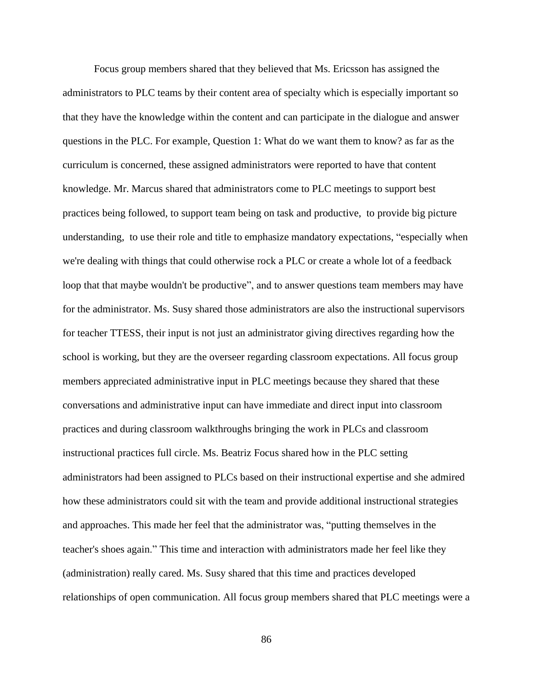Focus group members shared that they believed that Ms. Ericsson has assigned the administrators to PLC teams by their content area of specialty which is especially important so that they have the knowledge within the content and can participate in the dialogue and answer questions in the PLC. For example, Question 1: What do we want them to know? as far as the curriculum is concerned, these assigned administrators were reported to have that content knowledge. Mr. Marcus shared that administrators come to PLC meetings to support best practices being followed, to support team being on task and productive, to provide big picture understanding, to use their role and title to emphasize mandatory expectations, "especially when we're dealing with things that could otherwise rock a PLC or create a whole lot of a feedback loop that that maybe wouldn't be productive", and to answer questions team members may have for the administrator. Ms. Susy shared those administrators are also the instructional supervisors for teacher TTESS, their input is not just an administrator giving directives regarding how the school is working, but they are the overseer regarding classroom expectations. All focus group members appreciated administrative input in PLC meetings because they shared that these conversations and administrative input can have immediate and direct input into classroom practices and during classroom walkthroughs bringing the work in PLCs and classroom instructional practices full circle. Ms. Beatriz Focus shared how in the PLC setting administrators had been assigned to PLCs based on their instructional expertise and she admired how these administrators could sit with the team and provide additional instructional strategies and approaches. This made her feel that the administrator was, "putting themselves in the teacher's shoes again." This time and interaction with administrators made her feel like they (administration) really cared. Ms. Susy shared that this time and practices developed relationships of open communication. All focus group members shared that PLC meetings were a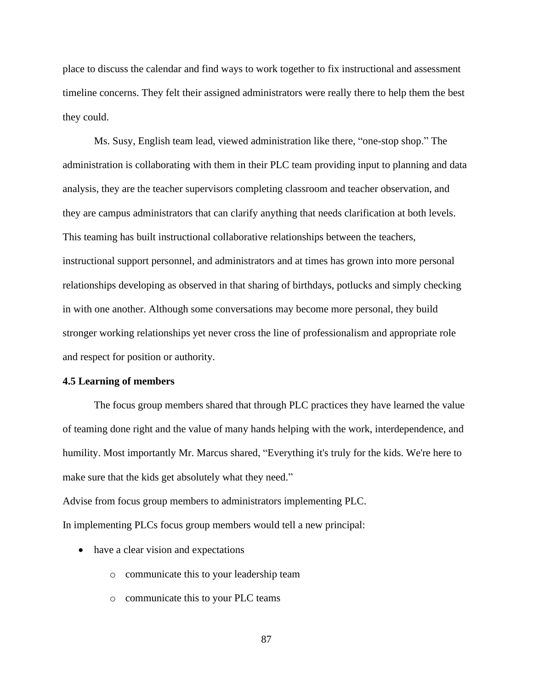place to discuss the calendar and find ways to work together to fix instructional and assessment timeline concerns. They felt their assigned administrators were really there to help them the best they could.

Ms. Susy, English team lead, viewed administration like there, "one-stop shop." The administration is collaborating with them in their PLC team providing input to planning and data analysis, they are the teacher supervisors completing classroom and teacher observation, and they are campus administrators that can clarify anything that needs clarification at both levels. This teaming has built instructional collaborative relationships between the teachers, instructional support personnel, and administrators and at times has grown into more personal relationships developing as observed in that sharing of birthdays, potlucks and simply checking in with one another. Although some conversations may become more personal, they build stronger working relationships yet never cross the line of professionalism and appropriate role and respect for position or authority.

#### **4.5 Learning of members**

The focus group members shared that through PLC practices they have learned the value of teaming done right and the value of many hands helping with the work, interdependence, and humility. Most importantly Mr. Marcus shared, "Everything it's truly for the kids. We're here to make sure that the kids get absolutely what they need."

Advise from focus group members to administrators implementing PLC. In implementing PLCs focus group members would tell a new principal:

- have a clear vision and expectations
	- o communicate this to your leadership team
	- o communicate this to your PLC teams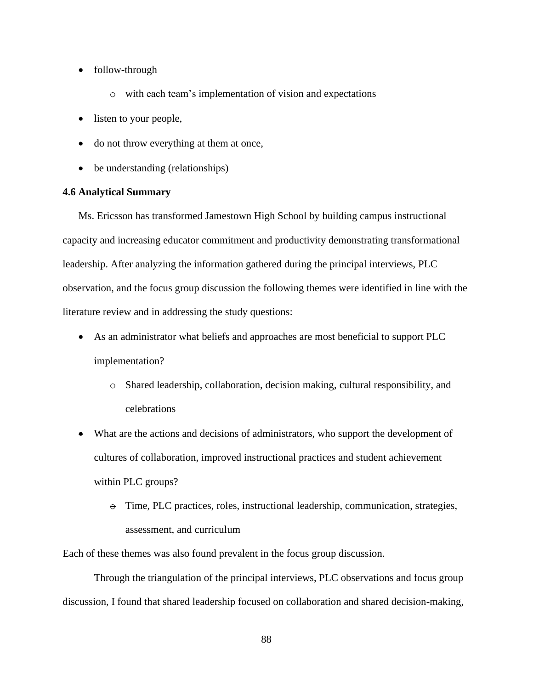- follow-through
	- o with each team's implementation of vision and expectations
- listen to your people,
- do not throw everything at them at once,
- be understanding (relationships)

# **4.6 Analytical Summary**

Ms. Ericsson has transformed Jamestown High School by building campus instructional capacity and increasing educator commitment and productivity demonstrating transformational leadership. After analyzing the information gathered during the principal interviews, PLC observation, and the focus group discussion the following themes were identified in line with the literature review and in addressing the study questions:

- As an administrator what beliefs and approaches are most beneficial to support PLC implementation?
	- o Shared leadership, collaboration, decision making, cultural responsibility, and celebrations
- What are the actions and decisions of administrators, who support the development of cultures of collaboration, improved instructional practices and student achievement within PLC groups?
	- $\Theta$  Time, PLC practices, roles, instructional leadership, communication, strategies, assessment, and curriculum

Each of these themes was also found prevalent in the focus group discussion.

Through the triangulation of the principal interviews, PLC observations and focus group discussion, I found that shared leadership focused on collaboration and shared decision-making,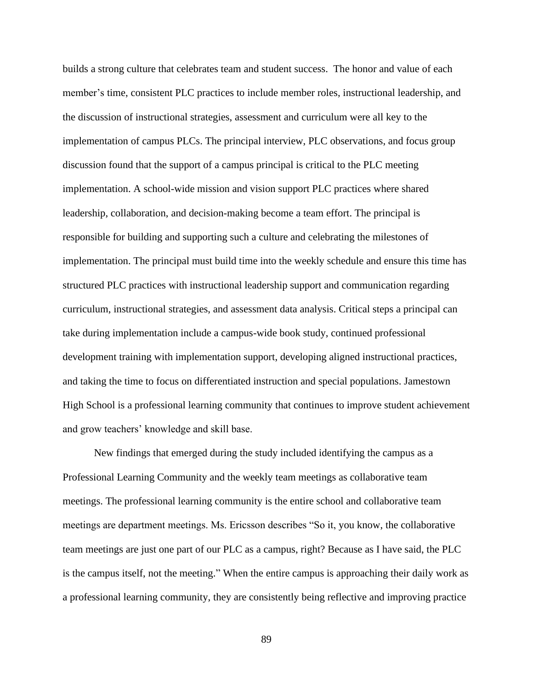builds a strong culture that celebrates team and student success. The honor and value of each member's time, consistent PLC practices to include member roles, instructional leadership, and the discussion of instructional strategies, assessment and curriculum were all key to the implementation of campus PLCs. The principal interview, PLC observations, and focus group discussion found that the support of a campus principal is critical to the PLC meeting implementation. A school-wide mission and vision support PLC practices where shared leadership, collaboration, and decision-making become a team effort. The principal is responsible for building and supporting such a culture and celebrating the milestones of implementation. The principal must build time into the weekly schedule and ensure this time has structured PLC practices with instructional leadership support and communication regarding curriculum, instructional strategies, and assessment data analysis. Critical steps a principal can take during implementation include a campus-wide book study, continued professional development training with implementation support, developing aligned instructional practices, and taking the time to focus on differentiated instruction and special populations. Jamestown High School is a professional learning community that continues to improve student achievement and grow teachers' knowledge and skill base.

New findings that emerged during the study included identifying the campus as a Professional Learning Community and the weekly team meetings as collaborative team meetings. The professional learning community is the entire school and collaborative team meetings are department meetings. Ms. Ericsson describes "So it, you know, the collaborative team meetings are just one part of our PLC as a campus, right? Because as I have said, the PLC is the campus itself, not the meeting." When the entire campus is approaching their daily work as a professional learning community, they are consistently being reflective and improving practice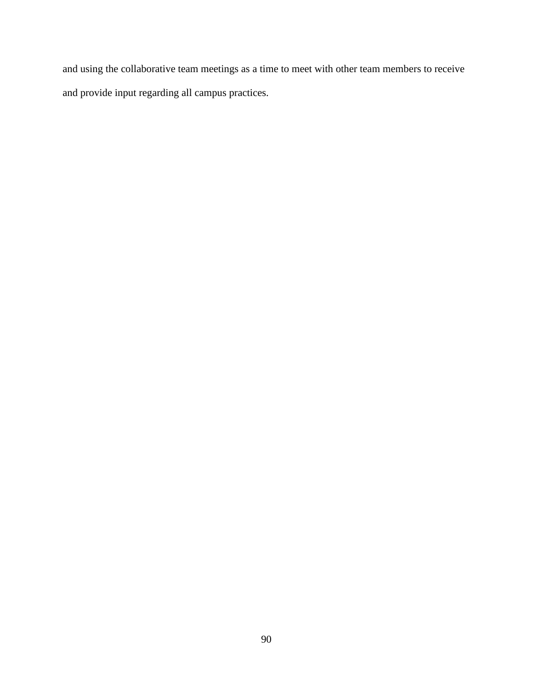and using the collaborative team meetings as a time to meet with other team members to receive and provide input regarding all campus practices.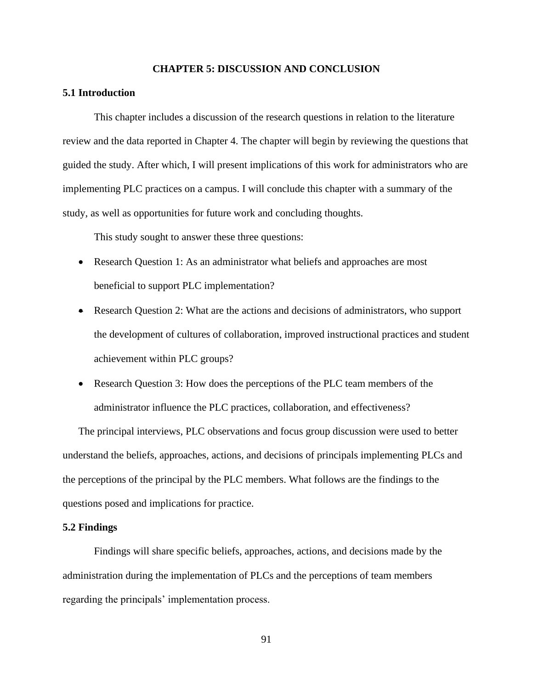### **CHAPTER 5: DISCUSSION AND CONCLUSION**

# **5.1 Introduction**

This chapter includes a discussion of the research questions in relation to the literature review and the data reported in Chapter 4. The chapter will begin by reviewing the questions that guided the study. After which, I will present implications of this work for administrators who are implementing PLC practices on a campus. I will conclude this chapter with a summary of the study, as well as opportunities for future work and concluding thoughts.

This study sought to answer these three questions:

- Research Question 1: As an administrator what beliefs and approaches are most beneficial to support PLC implementation?
- Research Question 2: What are the actions and decisions of administrators, who support the development of cultures of collaboration, improved instructional practices and student achievement within PLC groups?
- Research Question 3: How does the perceptions of the PLC team members of the administrator influence the PLC practices, collaboration, and effectiveness?

The principal interviews, PLC observations and focus group discussion were used to better understand the beliefs, approaches, actions, and decisions of principals implementing PLCs and the perceptions of the principal by the PLC members. What follows are the findings to the questions posed and implications for practice.

#### **5.2 Findings**

Findings will share specific beliefs, approaches, actions, and decisions made by the administration during the implementation of PLCs and the perceptions of team members regarding the principals' implementation process.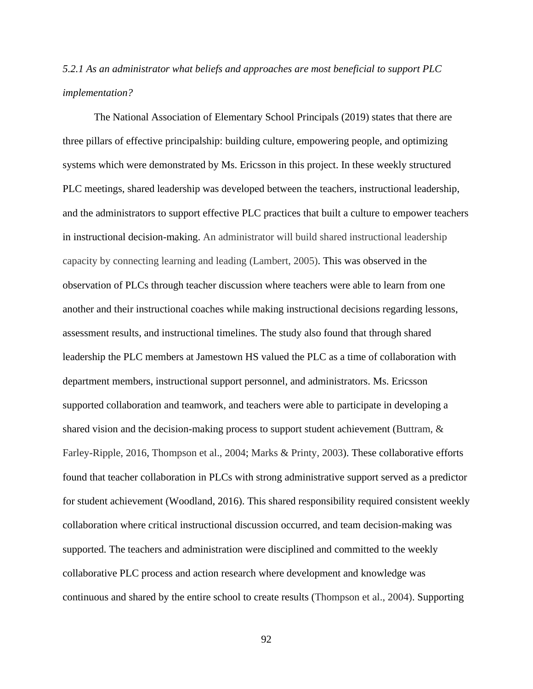# *5.2.1 As an administrator what beliefs and approaches are most beneficial to support PLC implementation?*

The National Association of Elementary School Principals (2019) states that there are three pillars of effective principalship: building culture, empowering people, and optimizing systems which were demonstrated by Ms. Ericsson in this project. In these weekly structured PLC meetings, shared leadership was developed between the teachers, instructional leadership, and the administrators to support effective PLC practices that built a culture to empower teachers in instructional decision-making. An administrator will build shared instructional leadership capacity by connecting learning and leading (Lambert, 2005). This was observed in the observation of PLCs through teacher discussion where teachers were able to learn from one another and their instructional coaches while making instructional decisions regarding lessons, assessment results, and instructional timelines. The study also found that through shared leadership the PLC members at Jamestown HS valued the PLC as a time of collaboration with department members, instructional support personnel, and administrators. Ms. Ericsson supported collaboration and teamwork, and teachers were able to participate in developing a shared vision and the decision-making process to support student achievement (Buttram, & Farley-Ripple, 2016, Thompson et al., 2004; Marks & Printy, 2003). These collaborative efforts found that teacher collaboration in PLCs with strong administrative support served as a predictor for student achievement (Woodland, 2016). This shared responsibility required consistent weekly collaboration where critical instructional discussion occurred, and team decision-making was supported. The teachers and administration were disciplined and committed to the weekly collaborative PLC process and action research where development and knowledge was continuous and shared by the entire school to create results (Thompson et al., 2004). Supporting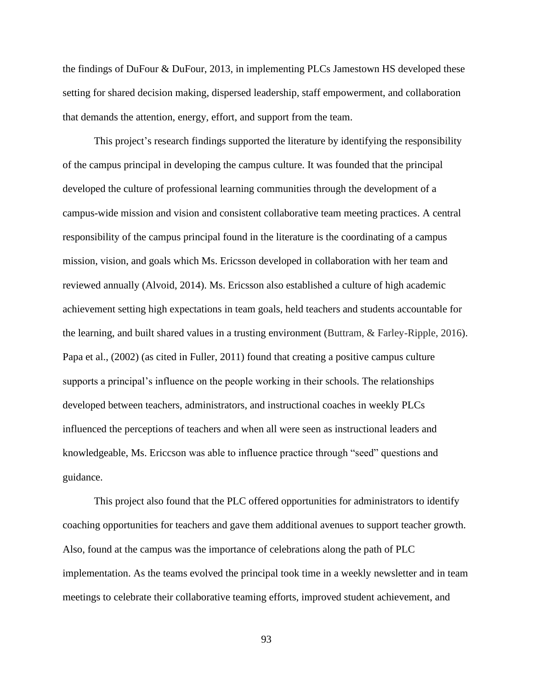the findings of DuFour & DuFour, 2013, in implementing PLCs Jamestown HS developed these setting for shared decision making, dispersed leadership, staff empowerment, and collaboration that demands the attention, energy, effort, and support from the team.

This project's research findings supported the literature by identifying the responsibility of the campus principal in developing the campus culture. It was founded that the principal developed the culture of professional learning communities through the development of a campus-wide mission and vision and consistent collaborative team meeting practices. A central responsibility of the campus principal found in the literature is the coordinating of a campus mission, vision, and goals which Ms. Ericsson developed in collaboration with her team and reviewed annually (Alvoid, 2014). Ms. Ericsson also established a culture of high academic achievement setting high expectations in team goals, held teachers and students accountable for the learning, and built shared values in a trusting environment (Buttram, & Farley-Ripple, 2016). Papa et al., (2002) (as cited in Fuller, 2011) found that creating a positive campus culture supports a principal's influence on the people working in their schools. The relationships developed between teachers, administrators, and instructional coaches in weekly PLCs influenced the perceptions of teachers and when all were seen as instructional leaders and knowledgeable, Ms. Ericcson was able to influence practice through "seed" questions and guidance.

This project also found that the PLC offered opportunities for administrators to identify coaching opportunities for teachers and gave them additional avenues to support teacher growth. Also, found at the campus was the importance of celebrations along the path of PLC implementation. As the teams evolved the principal took time in a weekly newsletter and in team meetings to celebrate their collaborative teaming efforts, improved student achievement, and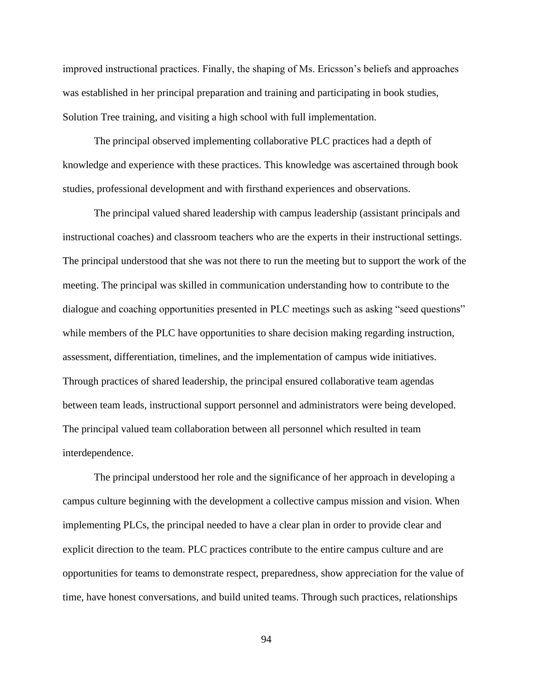improved instructional practices. Finally, the shaping of Ms. Ericsson's beliefs and approaches was established in her principal preparation and training and participating in book studies, Solution Tree training, and visiting a high school with full implementation.

The principal observed implementing collaborative PLC practices had a depth of knowledge and experience with these practices. This knowledge was ascertained through book studies, professional development and with firsthand experiences and observations.

The principal valued shared leadership with campus leadership (assistant principals and instructional coaches) and classroom teachers who are the experts in their instructional settings. The principal understood that she was not there to run the meeting but to support the work of the meeting. The principal was skilled in communication understanding how to contribute to the dialogue and coaching opportunities presented in PLC meetings such as asking "seed questions" while members of the PLC have opportunities to share decision making regarding instruction, assessment, differentiation, timelines, and the implementation of campus wide initiatives. Through practices of shared leadership, the principal ensured collaborative team agendas between team leads, instructional support personnel and administrators were being developed. The principal valued team collaboration between all personnel which resulted in team interdependence.

The principal understood her role and the significance of her approach in developing a campus culture beginning with the development a collective campus mission and vision. When implementing PLCs, the principal needed to have a clear plan in order to provide clear and explicit direction to the team. PLC practices contribute to the entire campus culture and are opportunities for teams to demonstrate respect, preparedness, show appreciation for the value of time, have honest conversations, and build united teams. Through such practices, relationships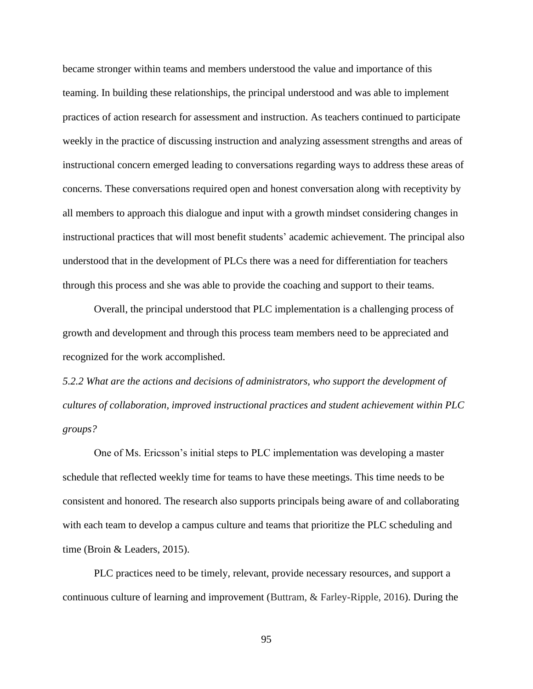became stronger within teams and members understood the value and importance of this teaming. In building these relationships, the principal understood and was able to implement practices of action research for assessment and instruction. As teachers continued to participate weekly in the practice of discussing instruction and analyzing assessment strengths and areas of instructional concern emerged leading to conversations regarding ways to address these areas of concerns. These conversations required open and honest conversation along with receptivity by all members to approach this dialogue and input with a growth mindset considering changes in instructional practices that will most benefit students' academic achievement. The principal also understood that in the development of PLCs there was a need for differentiation for teachers through this process and she was able to provide the coaching and support to their teams.

Overall, the principal understood that PLC implementation is a challenging process of growth and development and through this process team members need to be appreciated and recognized for the work accomplished.

*5.2.2 What are the actions and decisions of administrators, who support the development of cultures of collaboration, improved instructional practices and student achievement within PLC groups?*

One of Ms. Ericsson's initial steps to PLC implementation was developing a master schedule that reflected weekly time for teams to have these meetings. This time needs to be consistent and honored. The research also supports principals being aware of and collaborating with each team to develop a campus culture and teams that prioritize the PLC scheduling and time (Broin & Leaders, 2015).

PLC practices need to be timely, relevant, provide necessary resources, and support a continuous culture of learning and improvement (Buttram, & Farley-Ripple, 2016). During the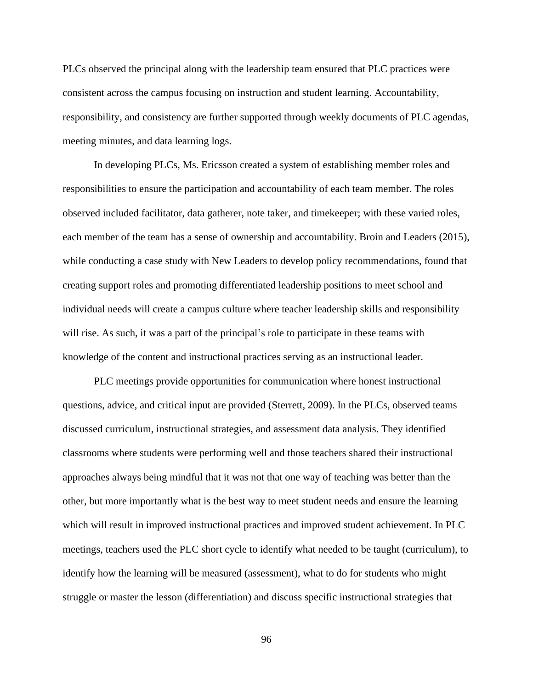PLCs observed the principal along with the leadership team ensured that PLC practices were consistent across the campus focusing on instruction and student learning. Accountability, responsibility, and consistency are further supported through weekly documents of PLC agendas, meeting minutes, and data learning logs.

In developing PLCs, Ms. Ericsson created a system of establishing member roles and responsibilities to ensure the participation and accountability of each team member. The roles observed included facilitator, data gatherer, note taker, and timekeeper; with these varied roles, each member of the team has a sense of ownership and accountability. Broin and Leaders (2015), while conducting a case study with New Leaders to develop policy recommendations, found that creating support roles and promoting differentiated leadership positions to meet school and individual needs will create a campus culture where teacher leadership skills and responsibility will rise. As such, it was a part of the principal's role to participate in these teams with knowledge of the content and instructional practices serving as an instructional leader.

PLC meetings provide opportunities for communication where honest instructional questions, advice, and critical input are provided (Sterrett, 2009). In the PLCs, observed teams discussed curriculum, instructional strategies, and assessment data analysis. They identified classrooms where students were performing well and those teachers shared their instructional approaches always being mindful that it was not that one way of teaching was better than the other, but more importantly what is the best way to meet student needs and ensure the learning which will result in improved instructional practices and improved student achievement. In PLC meetings, teachers used the PLC short cycle to identify what needed to be taught (curriculum), to identify how the learning will be measured (assessment), what to do for students who might struggle or master the lesson (differentiation) and discuss specific instructional strategies that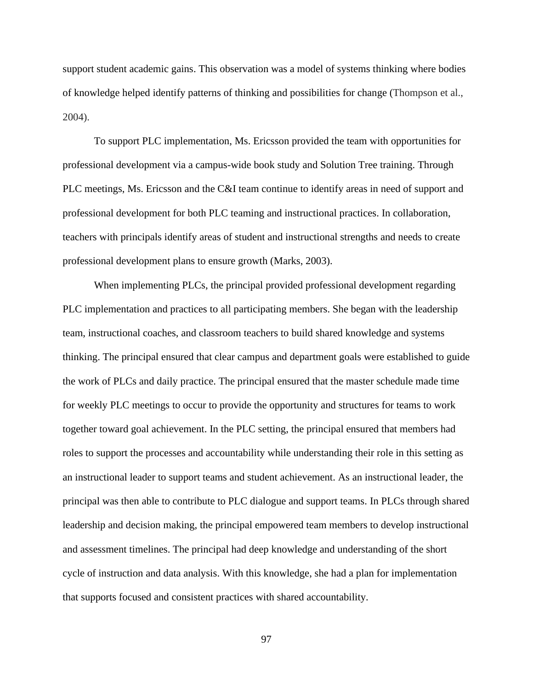support student academic gains. This observation was a model of systems thinking where bodies of knowledge helped identify patterns of thinking and possibilities for change (Thompson et al., 2004).

To support PLC implementation, Ms. Ericsson provided the team with opportunities for professional development via a campus-wide book study and Solution Tree training. Through PLC meetings, Ms. Ericsson and the C&I team continue to identify areas in need of support and professional development for both PLC teaming and instructional practices. In collaboration, teachers with principals identify areas of student and instructional strengths and needs to create professional development plans to ensure growth (Marks, 2003).

When implementing PLCs, the principal provided professional development regarding PLC implementation and practices to all participating members. She began with the leadership team, instructional coaches, and classroom teachers to build shared knowledge and systems thinking. The principal ensured that clear campus and department goals were established to guide the work of PLCs and daily practice. The principal ensured that the master schedule made time for weekly PLC meetings to occur to provide the opportunity and structures for teams to work together toward goal achievement. In the PLC setting, the principal ensured that members had roles to support the processes and accountability while understanding their role in this setting as an instructional leader to support teams and student achievement. As an instructional leader, the principal was then able to contribute to PLC dialogue and support teams. In PLCs through shared leadership and decision making, the principal empowered team members to develop instructional and assessment timelines. The principal had deep knowledge and understanding of the short cycle of instruction and data analysis. With this knowledge, she had a plan for implementation that supports focused and consistent practices with shared accountability.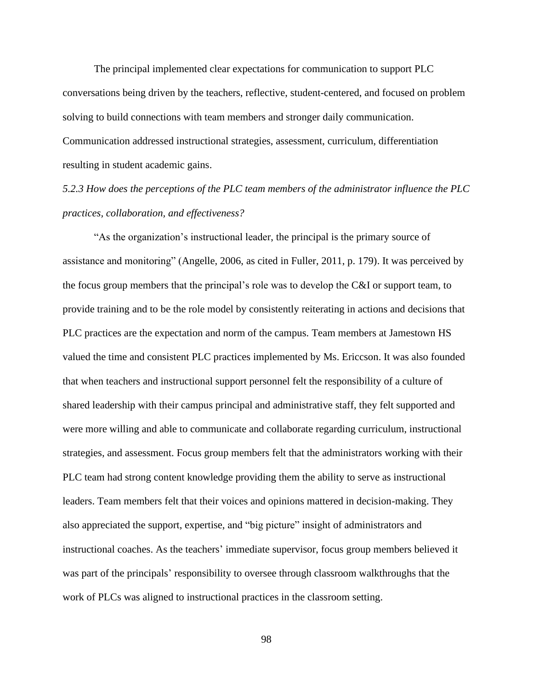The principal implemented clear expectations for communication to support PLC conversations being driven by the teachers, reflective, student-centered, and focused on problem solving to build connections with team members and stronger daily communication. Communication addressed instructional strategies, assessment, curriculum, differentiation resulting in student academic gains.

*5.2.3 How does the perceptions of the PLC team members of the administrator influence the PLC practices, collaboration, and effectiveness?* 

"As the organization's instructional leader, the principal is the primary source of assistance and monitoring" (Angelle, 2006, as cited in Fuller, 2011, p. 179). It was perceived by the focus group members that the principal's role was to develop the C&I or support team, to provide training and to be the role model by consistently reiterating in actions and decisions that PLC practices are the expectation and norm of the campus. Team members at Jamestown HS valued the time and consistent PLC practices implemented by Ms. Ericcson. It was also founded that when teachers and instructional support personnel felt the responsibility of a culture of shared leadership with their campus principal and administrative staff, they felt supported and were more willing and able to communicate and collaborate regarding curriculum, instructional strategies, and assessment. Focus group members felt that the administrators working with their PLC team had strong content knowledge providing them the ability to serve as instructional leaders. Team members felt that their voices and opinions mattered in decision-making. They also appreciated the support, expertise, and "big picture" insight of administrators and instructional coaches. As the teachers' immediate supervisor, focus group members believed it was part of the principals' responsibility to oversee through classroom walkthroughs that the work of PLCs was aligned to instructional practices in the classroom setting.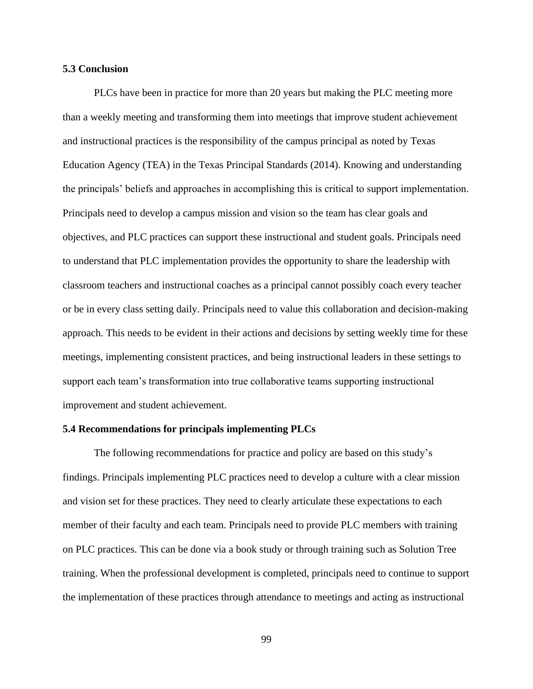#### **5.3 Conclusion**

PLCs have been in practice for more than 20 years but making the PLC meeting more than a weekly meeting and transforming them into meetings that improve student achievement and instructional practices is the responsibility of the campus principal as noted by Texas Education Agency (TEA) in the Texas Principal Standards (2014). Knowing and understanding the principals' beliefs and approaches in accomplishing this is critical to support implementation. Principals need to develop a campus mission and vision so the team has clear goals and objectives, and PLC practices can support these instructional and student goals. Principals need to understand that PLC implementation provides the opportunity to share the leadership with classroom teachers and instructional coaches as a principal cannot possibly coach every teacher or be in every class setting daily. Principals need to value this collaboration and decision-making approach. This needs to be evident in their actions and decisions by setting weekly time for these meetings, implementing consistent practices, and being instructional leaders in these settings to support each team's transformation into true collaborative teams supporting instructional improvement and student achievement.

#### **5.4 Recommendations for principals implementing PLCs**

The following recommendations for practice and policy are based on this study's findings. Principals implementing PLC practices need to develop a culture with a clear mission and vision set for these practices. They need to clearly articulate these expectations to each member of their faculty and each team. Principals need to provide PLC members with training on PLC practices. This can be done via a book study or through training such as Solution Tree training. When the professional development is completed, principals need to continue to support the implementation of these practices through attendance to meetings and acting as instructional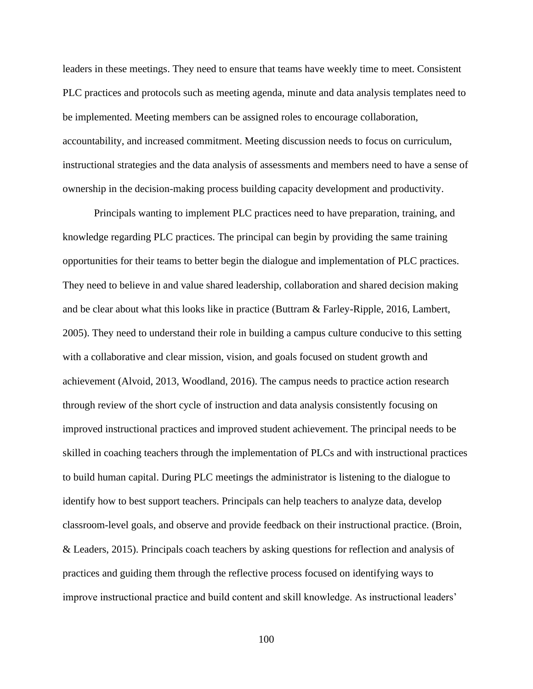leaders in these meetings. They need to ensure that teams have weekly time to meet. Consistent PLC practices and protocols such as meeting agenda, minute and data analysis templates need to be implemented. Meeting members can be assigned roles to encourage collaboration, accountability, and increased commitment. Meeting discussion needs to focus on curriculum, instructional strategies and the data analysis of assessments and members need to have a sense of ownership in the decision-making process building capacity development and productivity.

Principals wanting to implement PLC practices need to have preparation, training, and knowledge regarding PLC practices. The principal can begin by providing the same training opportunities for their teams to better begin the dialogue and implementation of PLC practices. They need to believe in and value shared leadership, collaboration and shared decision making and be clear about what this looks like in practice (Buttram & Farley-Ripple, 2016, Lambert, 2005). They need to understand their role in building a campus culture conducive to this setting with a collaborative and clear mission, vision, and goals focused on student growth and achievement (Alvoid, 2013, Woodland, 2016). The campus needs to practice action research through review of the short cycle of instruction and data analysis consistently focusing on improved instructional practices and improved student achievement. The principal needs to be skilled in coaching teachers through the implementation of PLCs and with instructional practices to build human capital. During PLC meetings the administrator is listening to the dialogue to identify how to best support teachers. Principals can help teachers to analyze data, develop classroom-level goals, and observe and provide feedback on their instructional practice. (Broin, & Leaders, 2015). Principals coach teachers by asking questions for reflection and analysis of practices and guiding them through the reflective process focused on identifying ways to improve instructional practice and build content and skill knowledge. As instructional leaders'

100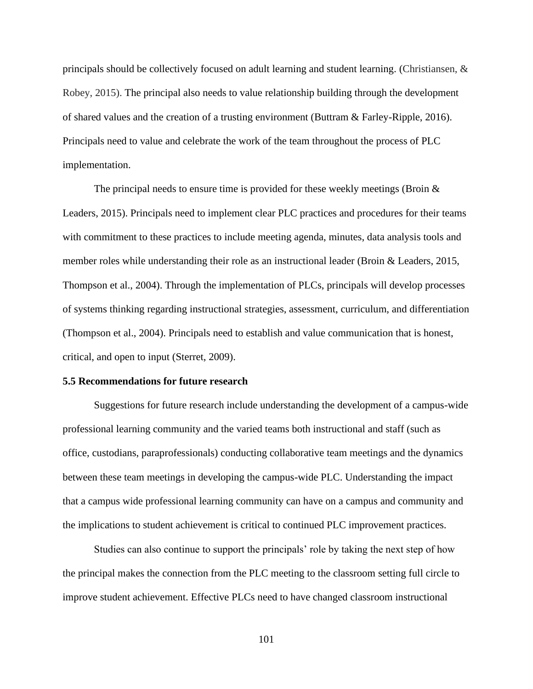principals should be collectively focused on adult learning and student learning. (Christiansen, & Robey, 2015). The principal also needs to value relationship building through the development of shared values and the creation of a trusting environment (Buttram & Farley-Ripple, 2016). Principals need to value and celebrate the work of the team throughout the process of PLC implementation.

The principal needs to ensure time is provided for these weekly meetings (Broin  $\&$ Leaders, 2015). Principals need to implement clear PLC practices and procedures for their teams with commitment to these practices to include meeting agenda, minutes, data analysis tools and member roles while understanding their role as an instructional leader (Broin & Leaders, 2015, Thompson et al., 2004). Through the implementation of PLCs, principals will develop processes of systems thinking regarding instructional strategies, assessment, curriculum, and differentiation (Thompson et al., 2004). Principals need to establish and value communication that is honest, critical, and open to input (Sterret, 2009).

#### **5.5 Recommendations for future research**

Suggestions for future research include understanding the development of a campus-wide professional learning community and the varied teams both instructional and staff (such as office, custodians, paraprofessionals) conducting collaborative team meetings and the dynamics between these team meetings in developing the campus-wide PLC. Understanding the impact that a campus wide professional learning community can have on a campus and community and the implications to student achievement is critical to continued PLC improvement practices.

Studies can also continue to support the principals' role by taking the next step of how the principal makes the connection from the PLC meeting to the classroom setting full circle to improve student achievement. Effective PLCs need to have changed classroom instructional

101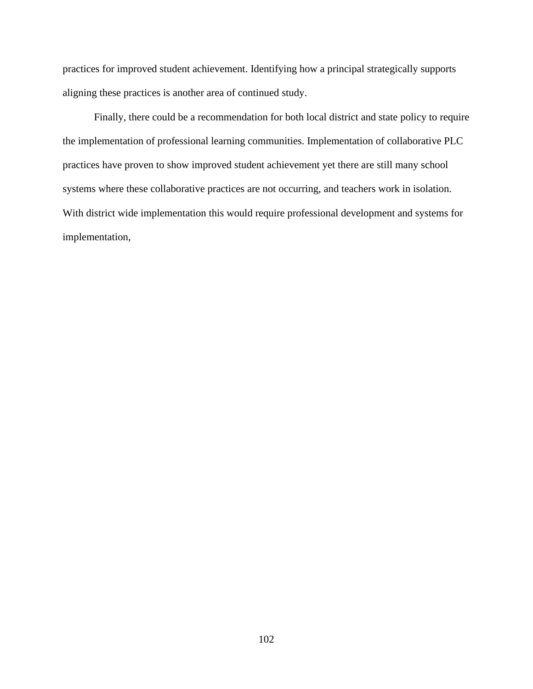practices for improved student achievement. Identifying how a principal strategically supports aligning these practices is another area of continued study.

Finally, there could be a recommendation for both local district and state policy to require the implementation of professional learning communities. Implementation of collaborative PLC practices have proven to show improved student achievement yet there are still many school systems where these collaborative practices are not occurring, and teachers work in isolation. With district wide implementation this would require professional development and systems for implementation,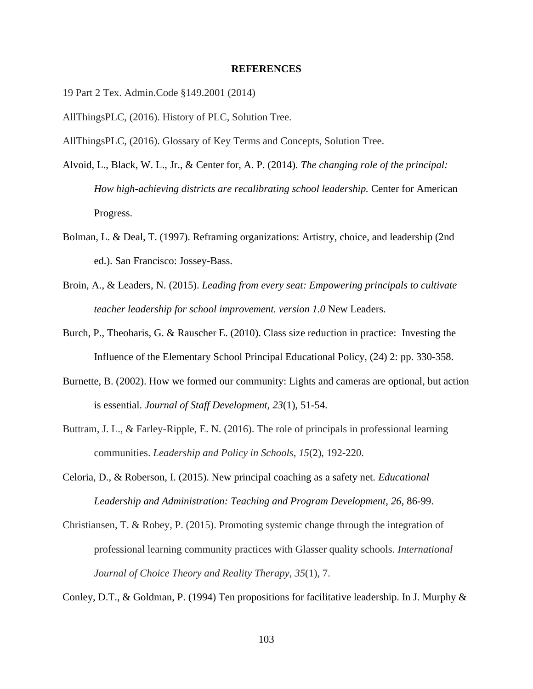#### **REFERENCES**

19 Part 2 Tex. Admin.Code §149.2001 (2014)

AllThingsPLC, (2016). History of PLC, Solution Tree.

AllThingsPLC, (2016). Glossary of Key Terms and Concepts, Solution Tree.

- Alvoid, L., Black, W. L., Jr., & Center for, A. P. (2014). *The changing role of the principal: How high-achieving districts are recalibrating school leadership.* Center for American Progress.
- Bolman, L. & Deal, T. (1997). Reframing organizations: Artistry, choice, and leadership (2nd ed.). San Francisco: Jossey-Bass.
- Broin, A., & Leaders, N. (2015). *Leading from every seat: Empowering principals to cultivate teacher leadership for school improvement. version 1.0* New Leaders.
- Burch, P., Theoharis, G. & Rauscher E. (2010). Class size reduction in practice: Investing the Influence of the Elementary School Principal Educational Policy, (24) 2: pp. 330-358.
- Burnette, B. (2002). How we formed our community: Lights and cameras are optional, but action is essential. *Journal of Staff Development, 23*(1), 51-54.
- Buttram, J. L., & Farley-Ripple, E. N. (2016). The role of principals in professional learning communities. *Leadership and Policy in Schools*, *15*(2), 192-220.
- Celoria, D., & Roberson, I. (2015). New principal coaching as a safety net. *Educational Leadership and Administration: Teaching and Program Development, 26*, 86-99.
- Christiansen, T. & Robey, P. (2015). Promoting systemic change through the integration of professional learning community practices with Glasser quality schools. *International Journal of Choice Theory and Reality Therapy*, *35*(1), 7.

Conley, D.T., & Goldman, P. (1994) Ten propositions for facilitative leadership. In J. Murphy &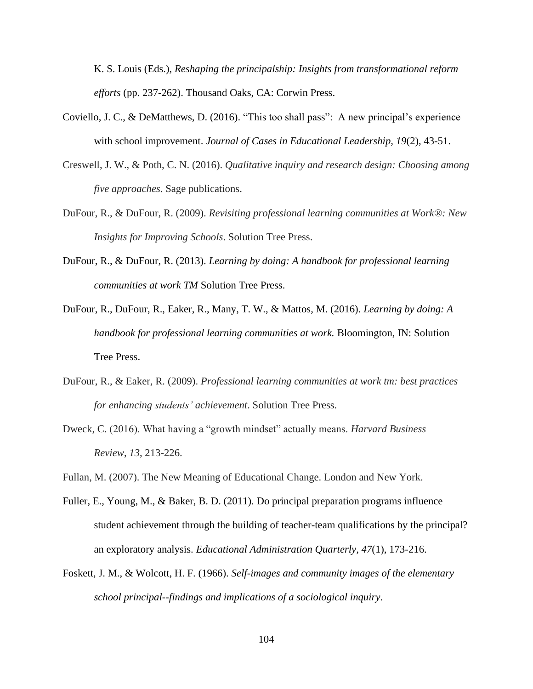K. S. Louis (Eds.), *Reshaping the principalship: Insights from transformational reform efforts* (pp. 237-262). Thousand Oaks, CA: Corwin Press.

- Coviello, J. C., & DeMatthews, D. (2016). "This too shall pass": A new principal's experience with school improvement. *Journal of Cases in Educational Leadership, 19*(2), 43-51.
- Creswell, J. W., & Poth, C. N. (2016). *Qualitative inquiry and research design: Choosing among five approaches*. Sage publications.
- DuFour, R., & DuFour, R. (2009). *Revisiting professional learning communities at Work®: New Insights for Improving Schools*. Solution Tree Press.
- DuFour, R., & DuFour, R. (2013). *Learning by doing: A handbook for professional learning communities at work TM* Solution Tree Press.
- DuFour, R., DuFour, R., Eaker, R., Many, T. W., & Mattos, M. (2016). *Learning by doing: A handbook for professional learning communities at work.* Bloomington, IN: Solution Tree Press.
- DuFour, R., & Eaker, R. (2009). *Professional learning communities at work tm: best practices for enhancing students' achievement*. Solution Tree Press.
- Dweck, C. (2016). What having a "growth mindset" actually means. *Harvard Business Review*, *13*, 213-226.
- Fullan, M. (2007). The New Meaning of Educational Change. London and New York.
- Fuller, E., Young, M., & Baker, B. D. (2011). Do principal preparation programs influence student achievement through the building of teacher-team qualifications by the principal? an exploratory analysis. *Educational Administration Quarterly, 47*(1), 173-216.
- Foskett, J. M., & Wolcott, H. F. (1966). *Self-images and community images of the elementary school principal--findings and implications of a sociological inquiry*.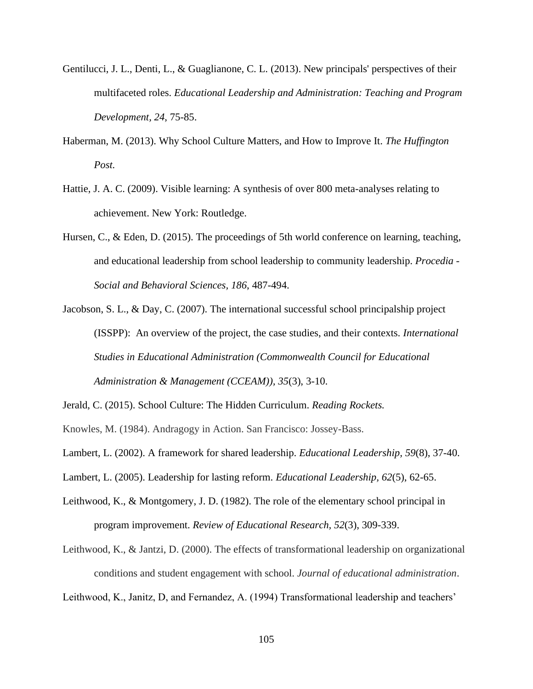- Gentilucci, J. L., Denti, L., & Guaglianone, C. L. (2013). New principals' perspectives of their multifaceted roles. *Educational Leadership and Administration: Teaching and Program Development, 24*, 75-85.
- Haberman, M. (2013). Why School Culture Matters, and How to Improve It. *The Huffington Post.*
- Hattie, J. A. C. (2009). Visible learning: A synthesis of over 800 meta-analyses relating to achievement. New York: Routledge.
- Hursen, C., & Eden, D. (2015). The proceedings of 5th world conference on learning, teaching, and educational leadership from school leadership to community leadership. *Procedia - Social and Behavioral Sciences, 186*, 487-494.
- Jacobson, S. L., & Day, C. (2007). The international successful school principalship project (ISSPP): An overview of the project, the case studies, and their contexts. *International Studies in Educational Administration (Commonwealth Council for Educational Administration & Management (CCEAM)), 35*(3), 3-10.
- Jerald, C. (2015). School Culture: The Hidden Curriculum. *Reading Rockets.*
- Knowles, M. (1984). Andragogy in Action. San Francisco: Jossey-Bass.
- Lambert, L. (2002). A framework for shared leadership. *Educational Leadership, 59*(8), 37-40.
- Lambert, L. (2005). Leadership for lasting reform. *Educational Leadership, 62*(5), 62-65.
- Leithwood, K., & Montgomery, J. D. (1982). The role of the elementary school principal in program improvement. *Review of Educational Research, 52*(3), 309-339.
- Leithwood, K., & Jantzi, D. (2000). The effects of transformational leadership on organizational conditions and student engagement with school. *Journal of educational administration*.

Leithwood, K., Janitz, D, and Fernandez, A. (1994) Transformational leadership and teachers'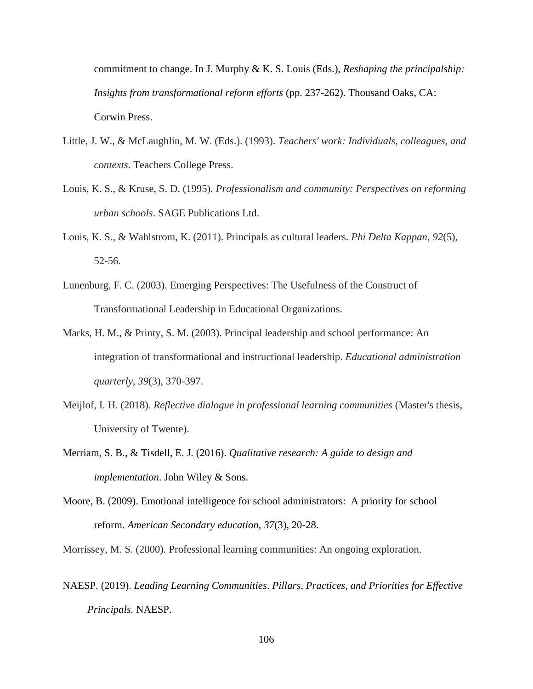commitment to change. In J. Murphy & K. S. Louis (Eds.), *Reshaping the principalship: Insights from transformational reform efforts* (pp. 237-262). Thousand Oaks, CA: Corwin Press.

- Little, J. W., & McLaughlin, M. W. (Eds.). (1993). *Teachers' work: Individuals, colleagues, and contexts*. Teachers College Press.
- Louis, K. S., & Kruse, S. D. (1995). *Professionalism and community: Perspectives on reforming urban schools*. SAGE Publications Ltd.
- Louis, K. S., & Wahlstrom, K. (2011). Principals as cultural leaders. *Phi Delta Kappan*, *92*(5), 52-56.
- Lunenburg, F. C. (2003). Emerging Perspectives: The Usefulness of the Construct of Transformational Leadership in Educational Organizations.
- Marks, H. M., & Printy, S. M. (2003). Principal leadership and school performance: An integration of transformational and instructional leadership. *Educational administration quarterly*, *39*(3), 370-397.
- Meijlof, I. H. (2018). *Reflective dialogue in professional learning communities* (Master's thesis, University of Twente).
- Merriam, S. B., & Tisdell, E. J. (2016). *Qualitative research: A guide to design and implementation*. John Wiley & Sons.
- Moore, B. (2009). Emotional intelligence for school administrators: A priority for school reform. *American Secondary education, 37*(3), 20-28.

Morrissey, M. S. (2000). Professional learning communities: An ongoing exploration.

NAESP. (2019). *Leading Learning Communities*. *Pillars, Practices, and Priorities for Effective Principals.* NAESP.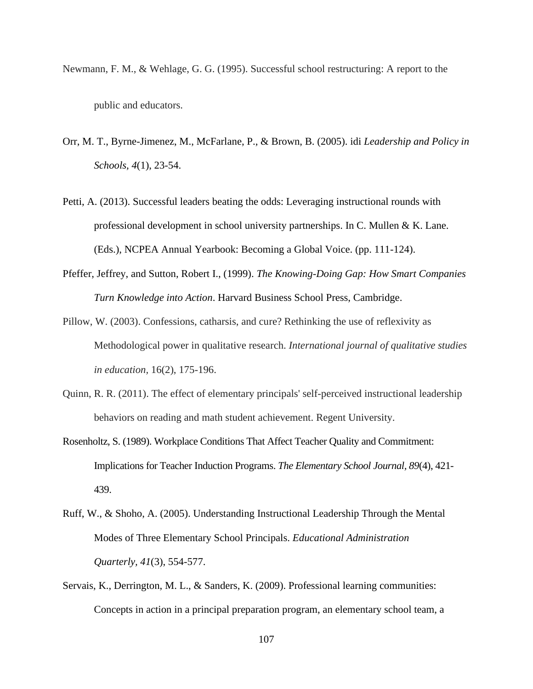- Newmann, F. M., & Wehlage, G. G. (1995). Successful school restructuring: A report to the public and educators.
- Orr, M. T., Byrne-Jimenez, M., McFarlane, P., & Brown, B. (2005). idi *Leadership and Policy in Schools, 4*(1), 23-54.
- Petti, A. (2013). Successful leaders beating the odds: Leveraging instructional rounds with professional development in school university partnerships. In C. Mullen & K. Lane. (Eds.), NCPEA Annual Yearbook: Becoming a Global Voice. (pp. 111-124).
- Pfeffer, Jeffrey, and Sutton, Robert I., (1999). *The Knowing-Doing Gap: How Smart Companies Turn Knowledge into Action*. Harvard Business School Press, Cambridge.
- Pillow, W. (2003). Confessions, catharsis, and cure? Rethinking the use of reflexivity as Methodological power in qualitative research. *International journal of qualitative studies in education,* 16(2), 175-196.
- Quinn, R. R. (2011). The effect of elementary principals' self-perceived instructional leadership behaviors on reading and math student achievement. Regent University.
- Rosenholtz, S. (1989). Workplace Conditions That Affect Teacher Quality and Commitment: Implications for Teacher Induction Programs. *The Elementary School Journal, 89*(4), 421- 439.
- Ruff, W., & Shoho, A. (2005). Understanding Instructional Leadership Through the Mental Modes of Three Elementary School Principals. *Educational Administration Quarterly, 41*(3), 554-577.
- Servais, K., Derrington, M. L., & Sanders, K. (2009). Professional learning communities: Concepts in action in a principal preparation program, an elementary school team, a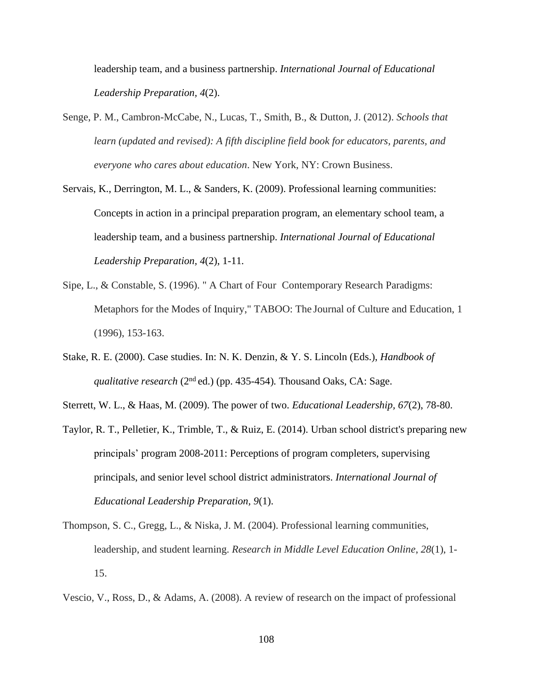leadership team, and a business partnership. *International Journal of Educational Leadership Preparation, 4*(2).

- Senge, P. M., Cambron-McCabe, N., Lucas, T., Smith, B., & Dutton, J. (2012). *Schools that learn (updated and revised): A fifth discipline field book for educators, parents, and everyone who cares about education*. New York, NY: Crown Business.
- Servais, K., Derrington, M. L., & Sanders, K. (2009). Professional learning communities: Concepts in action in a principal preparation program, an elementary school team, a leadership team, and a business partnership. *International Journal of Educational Leadership Preparation, 4*(2), 1-11*.*
- Sipe, L., & Constable, S. (1996). " A Chart of Four Contemporary Research Paradigms: Metaphors for the Modes of Inquiry," TABOO: The Journal of Culture and Education, 1 (1996), 153-163.
- Stake, R. E. (2000). Case studies. In: N. K. Denzin, & Y. S. Lincoln (Eds.), *Handbook of qualitative research* (2nd ed.) (pp. 435-454)*.* Thousand Oaks, CA: Sage.
- Sterrett, W. L., & Haas, M. (2009). The power of two. *Educational Leadership, 67*(2), 78-80.
- Taylor, R. T., Pelletier, K., Trimble, T., & Ruiz, E. (2014). Urban school district's preparing new principals' program 2008-2011: Perceptions of program completers, supervising principals, and senior level school district administrators. *International Journal of Educational Leadership Preparation, 9*(1).
- Thompson, S. C., Gregg, L., & Niska, J. M. (2004). Professional learning communities, leadership, and student learning. *Research in Middle Level Education Online*, *28*(1), 1- 15.

Vescio, V., Ross, D., & Adams, A. (2008). A review of research on the impact of professional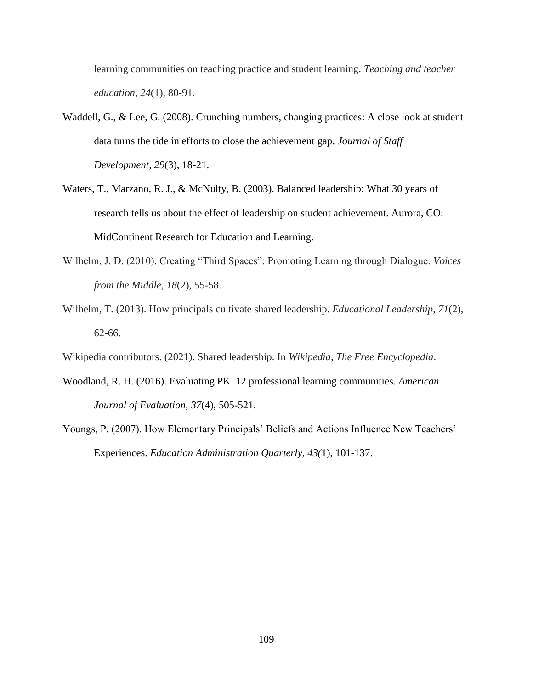learning communities on teaching practice and student learning. *Teaching and teacher education*, *24*(1), 80-91.

- Waddell, G., & Lee, G. (2008). Crunching numbers, changing practices: A close look at student data turns the tide in efforts to close the achievement gap. *Journal of Staff Development, 29*(3), 18-21.
- Waters, T., Marzano, R. J., & McNulty, B. (2003). Balanced leadership: What 30 years of research tells us about the effect of leadership on student achievement. Aurora, CO: MidContinent Research for Education and Learning.
- Wilhelm, J. D. (2010). Creating "Third Spaces": Promoting Learning through Dialogue. *Voices from the Middle*, *18*(2), 55-58.
- Wilhelm, T. (2013). How principals cultivate shared leadership. *Educational Leadership*, *71*(2), 62-66.

Wikipedia contributors. (2021). Shared leadership. In *Wikipedia, The Free Encyclopedia*.

- Woodland, R. H. (2016). Evaluating PK–12 professional learning communities. *American Journal of Evaluation, 37*(4), 505-521.
- Youngs, P. (2007). How Elementary Principals' Beliefs and Actions Influence New Teachers' Experiences. *Education Administration Quarterly, 43(*1), 101-137.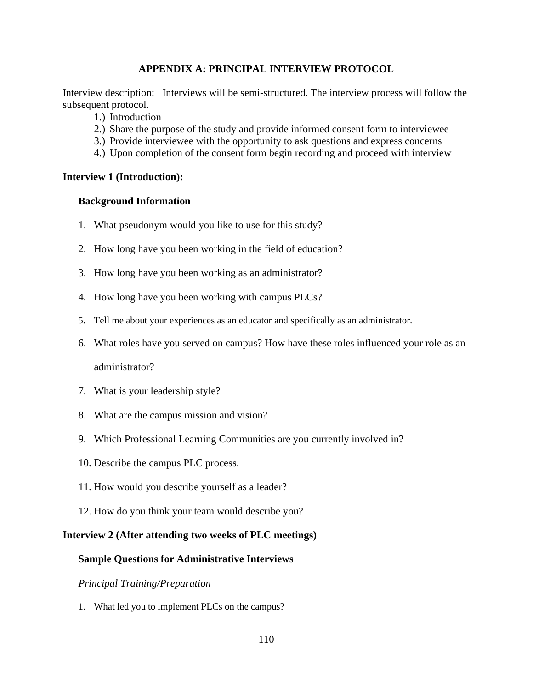# **APPENDIX A: PRINCIPAL INTERVIEW PROTOCOL**

Interview description: Interviews will be semi-structured. The interview process will follow the subsequent protocol.

- 1.) Introduction
- 2.) Share the purpose of the study and provide informed consent form to interviewee
- 3.) Provide interviewee with the opportunity to ask questions and express concerns
- 4.) Upon completion of the consent form begin recording and proceed with interview

## **Interview 1 (Introduction):**

## **Background Information**

- 1. What pseudonym would you like to use for this study?
- 2. How long have you been working in the field of education?
- 3. How long have you been working as an administrator?
- 4. How long have you been working with campus PLCs?
- 5. Tell me about your experiences as an educator and specifically as an administrator.
- 6. What roles have you served on campus? How have these roles influenced your role as an administrator?
- 7. What is your leadership style?
- 8. What are the campus mission and vision?
- 9. Which Professional Learning Communities are you currently involved in?
- 10. Describe the campus PLC process.
- 11. How would you describe yourself as a leader?
- 12. How do you think your team would describe you?

## **Interview 2 (After attending two weeks of PLC meetings)**

## **Sample Questions for Administrative Interviews**

## *Principal Training/Preparation*

1. What led you to implement PLCs on the campus?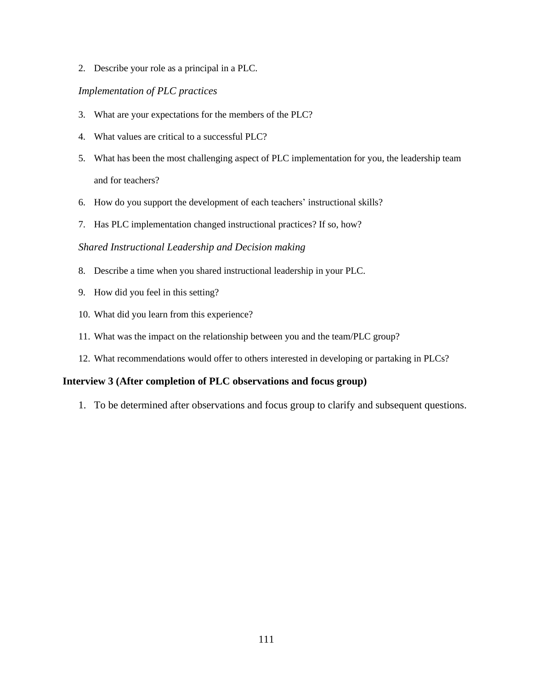2. Describe your role as a principal in a PLC.

### *Implementation of PLC practices*

- 3. What are your expectations for the members of the PLC?
- 4. What values are critical to a successful PLC?
- 5. What has been the most challenging aspect of PLC implementation for you, the leadership team and for teachers?
- 6. How do you support the development of each teachers' instructional skills?
- 7. Has PLC implementation changed instructional practices? If so, how?

#### *Shared Instructional Leadership and Decision making*

- 8. Describe a time when you shared instructional leadership in your PLC.
- 9. How did you feel in this setting?
- 10. What did you learn from this experience?
- 11. What was the impact on the relationship between you and the team/PLC group?
- 12. What recommendations would offer to others interested in developing or partaking in PLCs?

### **Interview 3 (After completion of PLC observations and focus group)**

1. To be determined after observations and focus group to clarify and subsequent questions.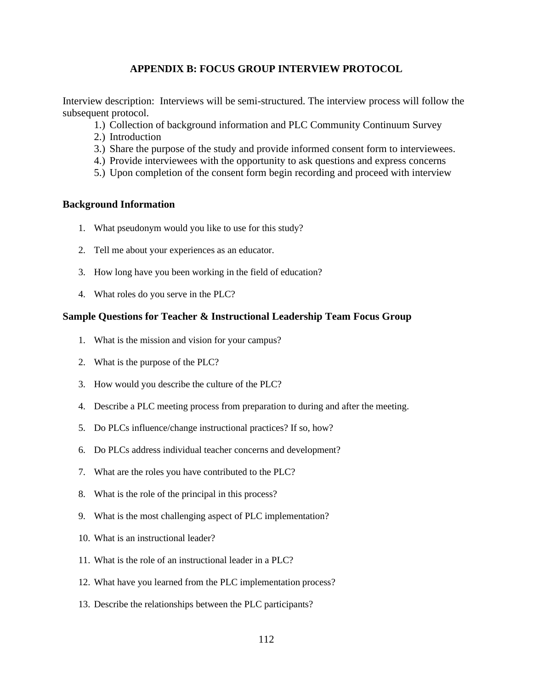# **APPENDIX B: FOCUS GROUP INTERVIEW PROTOCOL**

Interview description: Interviews will be semi-structured. The interview process will follow the subsequent protocol.

- 1.) Collection of background information and PLC Community Continuum Survey
- 2.) Introduction
- 3.) Share the purpose of the study and provide informed consent form to interviewees.
- 4.) Provide interviewees with the opportunity to ask questions and express concerns
- 5.) Upon completion of the consent form begin recording and proceed with interview

## **Background Information**

- 1. What pseudonym would you like to use for this study?
- 2. Tell me about your experiences as an educator.
- 3. How long have you been working in the field of education?
- 4. What roles do you serve in the PLC?

## **Sample Questions for Teacher & Instructional Leadership Team Focus Group**

- 1. What is the mission and vision for your campus?
- 2. What is the purpose of the PLC?
- 3. How would you describe the culture of the PLC?
- 4. Describe a PLC meeting process from preparation to during and after the meeting.
- 5. Do PLCs influence/change instructional practices? If so, how?
- 6. Do PLCs address individual teacher concerns and development?
- 7. What are the roles you have contributed to the PLC?
- 8. What is the role of the principal in this process?
- 9. What is the most challenging aspect of PLC implementation?
- 10. What is an instructional leader?
- 11. What is the role of an instructional leader in a PLC?
- 12. What have you learned from the PLC implementation process?
- 13. Describe the relationships between the PLC participants?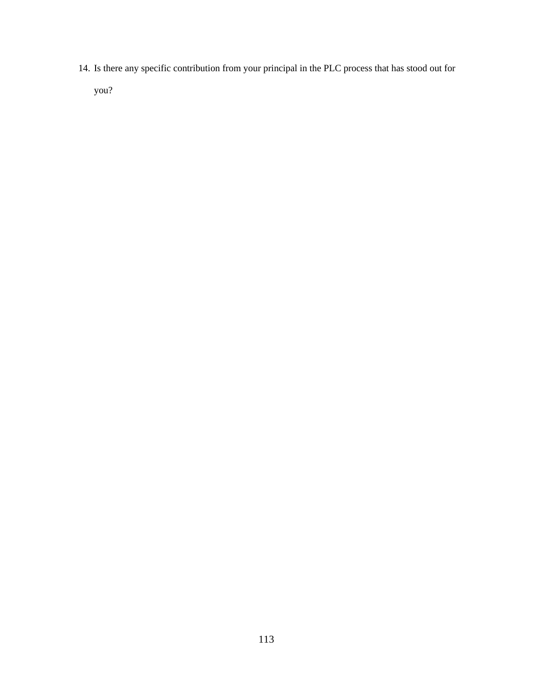14. Is there any specific contribution from your principal in the PLC process that has stood out for

you?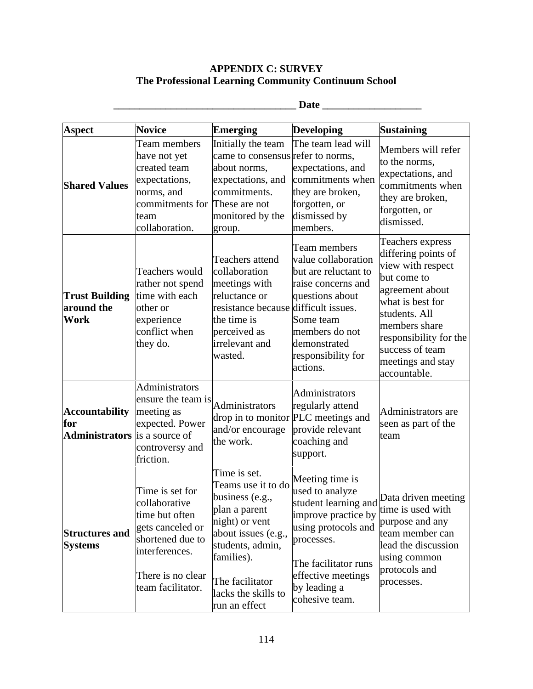# **APPENDIX C: SURVEY The Professional Learning Community Continuum School**

| <b>Aspect</b>                                                        | <b>Novice</b>                                                                                                                                          | <b>Emerging</b>                                                                                                                                                                                              | <b>Developing</b>                                                                                                                                                                     | <b>Sustaining</b>                                                                                                                                                                                                                      |
|----------------------------------------------------------------------|--------------------------------------------------------------------------------------------------------------------------------------------------------|--------------------------------------------------------------------------------------------------------------------------------------------------------------------------------------------------------------|---------------------------------------------------------------------------------------------------------------------------------------------------------------------------------------|----------------------------------------------------------------------------------------------------------------------------------------------------------------------------------------------------------------------------------------|
| <b>Shared Values</b>                                                 | Team members<br>have not yet<br>created team<br>expectations,<br>norms, and<br>commitments for<br>team<br>collaboration.                               | Initially the team<br>came to consensus refer to norms,<br>about norms,<br>expectations, and<br>commitments.<br>These are not<br>monitored by the<br>group.                                                  | The team lead will<br>expectations, and<br>commitments when<br>they are broken,<br>forgotten, or<br>dismissed by<br>members.                                                          | Members will refer<br>to the norms,<br>expectations, and<br>commitments when<br>they are broken,<br>forgotten, or<br>dismissed.                                                                                                        |
| <b>Trust Building</b><br>around the<br>Work                          | Teachers would<br>rather not spend<br>time with each<br>other or<br>experience<br>conflict when<br>they do.                                            | Teachers attend<br>collaboration<br>meetings with<br>reluctance or<br>resistance because difficult issues.<br>the time is<br>perceived as<br>irrelevant and<br>wasted.                                       | Team members<br>value collaboration<br>but are reluctant to<br>raise concerns and<br>questions about<br>Some team<br>members do not<br>demonstrated<br>responsibility for<br>actions. | Teachers express<br>differing points of<br>view with respect<br>but come to<br>agreement about<br>what is best for<br>students. All<br>members share<br>responsibility for the<br>success of team<br>meetings and stay<br>accountable. |
| <b>Accountability</b><br>for<br><b>Administrators</b> is a source of | <b>Administrators</b><br>ensure the team is<br>meeting as<br>expected. Power<br>controversy and<br>friction.                                           | Administrators<br>and/or encourage<br>the work.                                                                                                                                                              | Administrators<br>regularly attend<br>drop in to monitor PLC meetings and<br>provide relevant<br>coaching and<br>support.                                                             | Administrators are<br>seen as part of the<br>team                                                                                                                                                                                      |
| <b>Structures and</b><br><b>Systems</b>                              | Time is set for<br>collaborative<br>time but often<br>gets canceled or<br>shortened due to<br>interferences.<br>There is no clear<br>team facilitator. | Time is set.<br>Teams use it to do<br>business (e.g.,<br>plan a parent<br>night) or vent<br>about issues (e.g.,<br>students, admin,<br>families).<br>The facilitator<br>lacks the skills to<br>run an effect | Meeting time is<br>used to analyze<br>improve practice by<br>using protocols and<br>processes.<br>The facilitator runs<br>effective meetings<br>by leading a<br>cohesive team.        | student learning and Data driven meeting<br>time is used with<br>purpose and any<br>team member can<br>lead the discussion<br>using common<br>protocols and<br>processes.                                                              |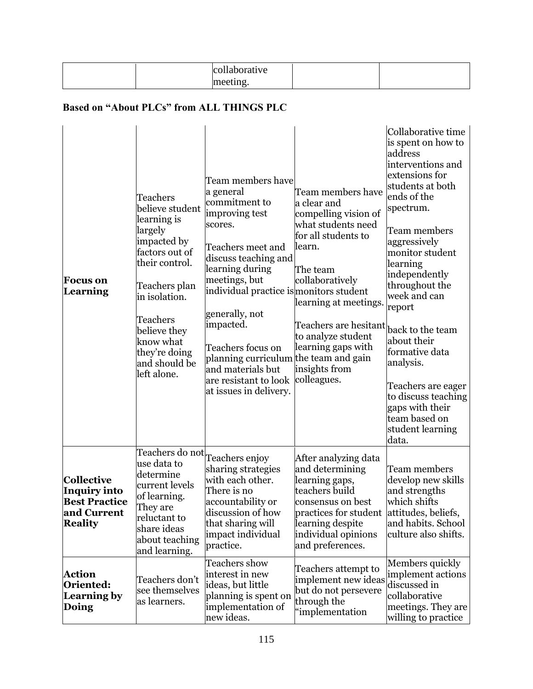|                                                                                                   |                                                                                                                                                                                                                                      | collaborative<br>meeting.                                                                                                                                                                                                                                                                                                                                                     |                                                                                                                                                                                                                                                                              |                                                                                                                                                                                                                                                                                                                                                                                                                                                        |  |  |  |  |  |
|---------------------------------------------------------------------------------------------------|--------------------------------------------------------------------------------------------------------------------------------------------------------------------------------------------------------------------------------------|-------------------------------------------------------------------------------------------------------------------------------------------------------------------------------------------------------------------------------------------------------------------------------------------------------------------------------------------------------------------------------|------------------------------------------------------------------------------------------------------------------------------------------------------------------------------------------------------------------------------------------------------------------------------|--------------------------------------------------------------------------------------------------------------------------------------------------------------------------------------------------------------------------------------------------------------------------------------------------------------------------------------------------------------------------------------------------------------------------------------------------------|--|--|--|--|--|
| <b>Based on "About PLCs" from ALL THINGS PLC</b>                                                  |                                                                                                                                                                                                                                      |                                                                                                                                                                                                                                                                                                                                                                               |                                                                                                                                                                                                                                                                              |                                                                                                                                                                                                                                                                                                                                                                                                                                                        |  |  |  |  |  |
| <b>Focus on</b><br>Learning                                                                       | Teachers<br>believe student<br>learning is<br>largely<br>impacted by<br>factors out of<br>their control.<br>Teachers plan<br>in isolation.<br>Teachers<br>believe they<br>know what<br>they're doing<br>and should be<br>left alone. | Team members have<br>a general<br>commitment to<br>improving test<br>scores.<br>Teachers meet and<br>discuss teaching and<br>learning during<br>meetings, but<br>individual practice is monitors student<br>generally, not<br>impacted.<br>Teachers focus on<br>planning curriculum the team and gain<br>and materials but<br>are resistant to look<br>at issues in delivery. | Team members have<br>a clear and<br>compelling vision of<br>what students need<br>for all students to<br>learn.<br>The team<br>collaboratively<br>learning at meetings.<br>Teachers are hesitant<br>to analyze student<br>learning gaps with<br>insights from<br>colleagues. | Collaborative time<br>is spent on how to<br>address<br>interventions and<br>extensions for<br>students at both<br>ends of the<br>spectrum.<br>Team members<br>aggressively<br>monitor student<br>learning<br>independently<br>throughout the<br>week and can<br>report<br>back to the team<br>about their<br>formative data<br>analysis.<br>Teachers are eager<br>to discuss teaching<br>gaps with their<br>team based on<br>student learning<br>data. |  |  |  |  |  |
| <b>Collective</b><br><b>Inquiry into</b><br><b>Best Practice</b><br>and Current<br><b>Reality</b> | Teachers do not<br>use data to<br>determine<br>current levels<br>of learning.<br>They are<br>reluctant to<br>share ideas<br>about teaching<br>and learning.                                                                          | Teachers enjoy<br>sharing strategies<br>with each other.<br>There is no<br>accountability or<br>discussion of how<br>that sharing will<br>impact individual<br>practice.                                                                                                                                                                                                      | After analyzing data<br>and determining<br>learning gaps,<br>teachers build<br>consensus on best<br>practices for student<br>learning despite<br>individual opinions<br>and preferences.                                                                                     | Team members<br>develop new skills<br>and strengths<br>which shifts<br>attitudes, beliefs,<br>and habits. School<br>culture also shifts.                                                                                                                                                                                                                                                                                                               |  |  |  |  |  |
| Action                                                                                            | Teachers don't                                                                                                                                                                                                                       | Teachers show<br>interest in new                                                                                                                                                                                                                                                                                                                                              | Teachers attempt to<br>implement new ideas implement actions                                                                                                                                                                                                                 | Members quickly                                                                                                                                                                                                                                                                                                                                                                                                                                        |  |  |  |  |  |

implement new ideas but do not persevere

discussed in collaborative meetings. They are willing to practice

through the "implementation

ideas, but little planning is spent on implementation of

new ideas.

**Oriented: Learning by** 

see themselves as learners.

**Doing**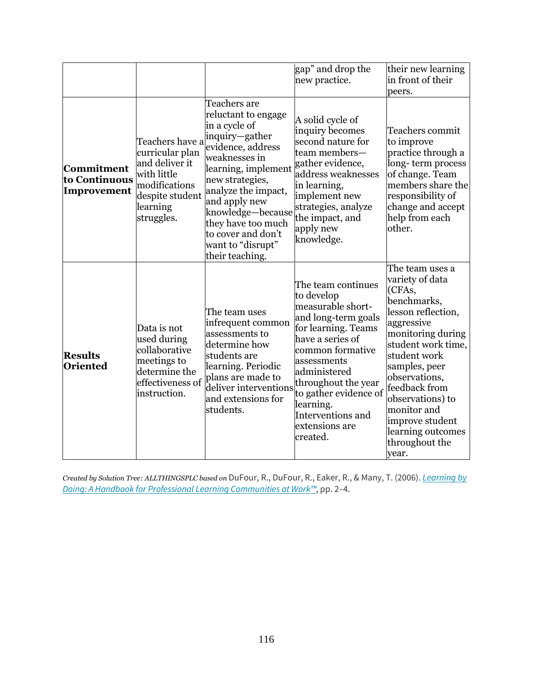|                                            |                                                                                                                                   |                                                                                                                                                                                                                                                                                                         | gap" and drop the<br>new practice.                                                                                                                                                                                                                                                         | their new learning<br>in front of their<br>peers.                                                                                                                                                                                                                                                                   |
|--------------------------------------------|-----------------------------------------------------------------------------------------------------------------------------------|---------------------------------------------------------------------------------------------------------------------------------------------------------------------------------------------------------------------------------------------------------------------------------------------------------|--------------------------------------------------------------------------------------------------------------------------------------------------------------------------------------------------------------------------------------------------------------------------------------------|---------------------------------------------------------------------------------------------------------------------------------------------------------------------------------------------------------------------------------------------------------------------------------------------------------------------|
| Commitment<br>to Continuous<br>Improvement | Teachers have a<br>curricular plan<br>and deliver it<br>with little<br>modifications<br>despite student<br>learning<br>struggles. | Teachers are<br>reluctant to engage<br>in a cycle of<br>inquiry-gather<br>evidence, address<br>weaknesses in<br>learning, implement<br>new strategies,<br>analyze the impact,<br>and apply new<br>knowledge-because<br>they have too much<br>to cover and don't<br>want to "disrupt"<br>their teaching. | A solid cycle of<br>inquiry becomes<br>second nature for<br>team members-<br>gather evidence,<br>address weaknesses<br>in learning,<br>implement new<br>strategies, analyze<br>the impact, and<br>apply new<br>knowledge.                                                                  | Teachers commit<br>to improve<br>practice through a<br>long-term process<br>of change. Team<br>members share the<br>responsibility of<br>change and accept<br>help from each<br>other.                                                                                                                              |
| <b>Results</b><br><b>Oriented</b>          | Data is not<br>used during<br>collaborative<br>meetings to<br>determine the<br>effectiveness of<br>instruction.                   | The team uses<br>infrequent common<br>assessments to<br>determine how<br>students are<br>learning. Periodic<br>plans are made to<br>deliver interventions<br>and extensions for<br>students.                                                                                                            | The team continues<br>to develop<br>measurable short-<br>and long-term goals<br>for learning. Teams<br>have a series of<br>common formative<br>assessments<br>administered<br>throughout the year<br>to gather evidence of<br>learning.<br>Interventions and<br>extensions are<br>created. | The team uses a<br>variety of data<br>(CFAs,<br>benchmarks,<br>lesson reflection,<br>aggressive<br>monitoring during<br>student work time,<br>student work<br>samples, peer<br>observations,<br>feedback from<br>observations) to<br>monitor and<br>improve student<br>learning outcomes<br>throughout the<br>year. |

*Created by Solution Tree: ALLTHINGSPLC based on* DuFour, R., DuFour, R., Eaker, R., & Many, T. (2006). *[Learning](https://www.solutiontree.com/products/learning-by-doing-third-edition.html) by Doing: A Handbook for Professional Learning [Communities](https://www.solutiontree.com/products/learning-by-doing-third-edition.html) at Work™*, pp. 2–4.